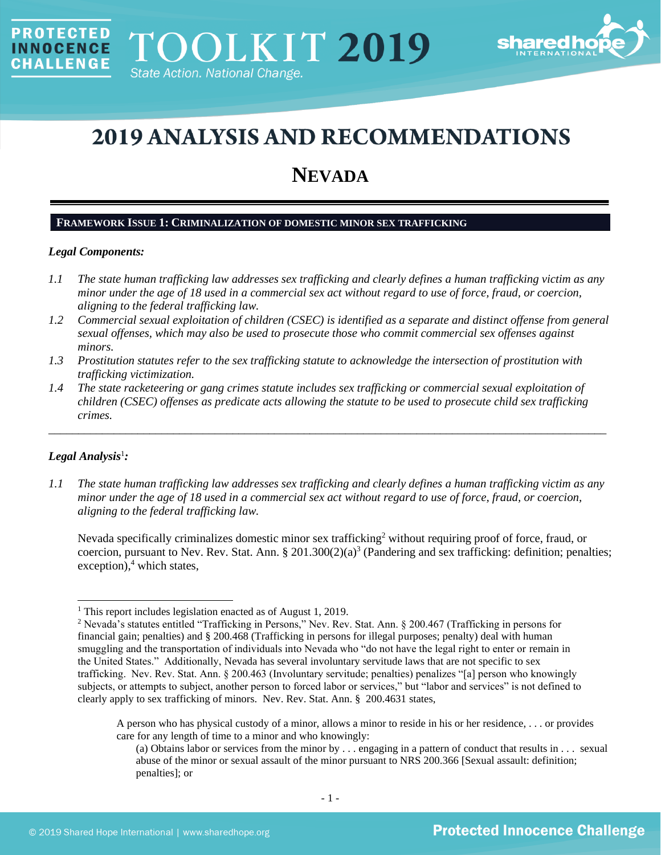

# **2019 ANALYSIS AND RECOMMENDATIONS**

## **NEVADA**

## **FRAMEWORK ISSUE 1: CRIMINALIZATION OF DOMESTIC MINOR SEX TRAFFICKING**

#### *Legal Components:*

**PROTECTED** 

**INNOCENCE CHALLENGE** 

- *1.1 The state human trafficking law addresses sex trafficking and clearly defines a human trafficking victim as any minor under the age of 18 used in a commercial sex act without regard to use of force, fraud, or coercion, aligning to the federal trafficking law.*
- *1.2 Commercial sexual exploitation of children (CSEC) is identified as a separate and distinct offense from general sexual offenses, which may also be used to prosecute those who commit commercial sex offenses against minors.*
- *1.3 Prostitution statutes refer to the sex trafficking statute to acknowledge the intersection of prostitution with trafficking victimization.*
- *1.4 The state racketeering or gang crimes statute includes sex trafficking or commercial sexual exploitation of children (CSEC) offenses as predicate acts allowing the statute to be used to prosecute child sex trafficking crimes.*

\_\_\_\_\_\_\_\_\_\_\_\_\_\_\_\_\_\_\_\_\_\_\_\_\_\_\_\_\_\_\_\_\_\_\_\_\_\_\_\_\_\_\_\_\_\_\_\_\_\_\_\_\_\_\_\_\_\_\_\_\_\_\_\_\_\_\_\_\_\_\_\_\_\_\_\_\_\_\_\_\_\_\_\_\_\_\_\_\_\_\_\_\_\_

## *Legal Analysis*<sup>1</sup> *:*

*1.1 The state human trafficking law addresses sex trafficking and clearly defines a human trafficking victim as any minor under the age of 18 used in a commercial sex act without regard to use of force, fraud, or coercion, aligning to the federal trafficking law.*

<span id="page-0-1"></span><span id="page-0-0"></span>Nevada specifically criminalizes domestic minor sex trafficking<sup>2</sup> without requiring proof of force, fraud, or coercion, pursuant to Nev. Rev. Stat. Ann. § 201.300(2)(a)<sup>3</sup> (Pandering and sex trafficking: definition; penalties; exception), <sup>4</sup> which states,

<sup>&</sup>lt;sup>1</sup> This report includes legislation enacted as of August 1, 2019.

<sup>2</sup> Nevada's statutes entitled "Trafficking in Persons," Nev. Rev. Stat. Ann. § 200.467 (Trafficking in persons for financial gain; penalties) and § 200.468 (Trafficking in persons for illegal purposes; penalty) deal with human smuggling and the transportation of individuals into Nevada who "do not have the legal right to enter or remain in the United States." Additionally, Nevada has several involuntary servitude laws that are not specific to sex trafficking. Nev. Rev. Stat. Ann. § 200.463 (Involuntary servitude; penalties) penalizes "[a] person who knowingly subjects, or attempts to subject, another person to forced labor or services," but "labor and services" is not defined to clearly apply to sex trafficking of minors. Nev. Rev. Stat. Ann. § 200.4631 states,

A person who has physical custody of a minor, allows a minor to reside in his or her residence, . . . or provides care for any length of time to a minor and who knowingly:

<sup>(</sup>a) Obtains labor or services from the minor by . . . engaging in a pattern of conduct that results in . . . sexual abuse of the minor or sexual assault of the minor pursuant to NRS 200.366 [Sexual assault: definition; penalties]; or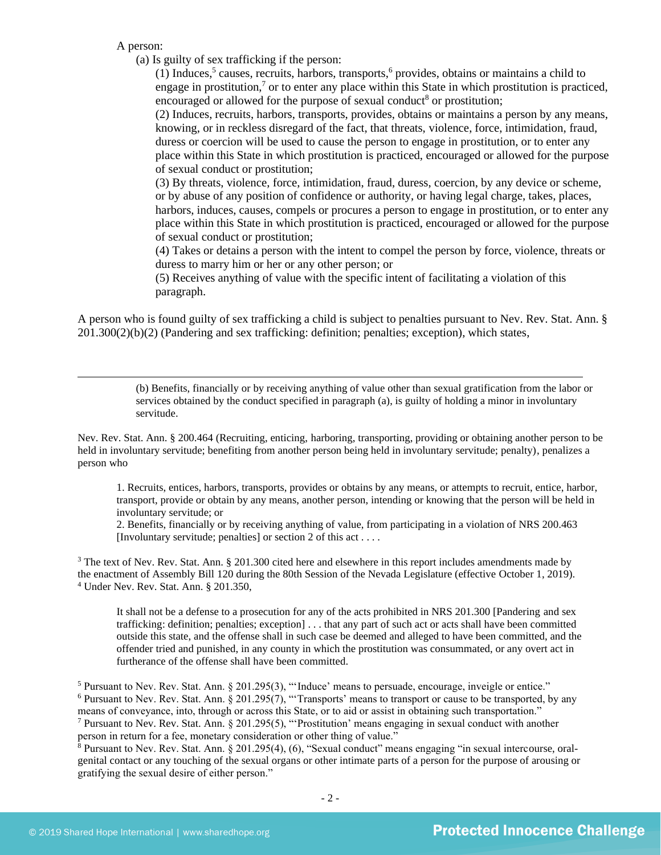A person:

(a) Is guilty of sex trafficking if the person:

<span id="page-1-2"></span><span id="page-1-1"></span><span id="page-1-0"></span>(1) Induces,<sup>5</sup> causes, recruits, harbors, transports,<sup>6</sup> provides, obtains or maintains a child to engage in prostitution, $\frac{7}{1}$  or to enter any place within this State in which prostitution is practiced, encouraged or allowed for the purpose of sexual conduct<sup>8</sup> or prostitution;

<span id="page-1-3"></span>(2) Induces, recruits, harbors, transports, provides, obtains or maintains a person by any means, knowing, or in reckless disregard of the fact, that threats, violence, force, intimidation, fraud, duress or coercion will be used to cause the person to engage in prostitution, or to enter any place within this State in which prostitution is practiced, encouraged or allowed for the purpose of sexual conduct or prostitution;

(3) By threats, violence, force, intimidation, fraud, duress, coercion, by any device or scheme, or by abuse of any position of confidence or authority, or having legal charge, takes, places, harbors, induces, causes, compels or procures a person to engage in prostitution, or to enter any place within this State in which prostitution is practiced, encouraged or allowed for the purpose of sexual conduct or prostitution;

(4) Takes or detains a person with the intent to compel the person by force, violence, threats or duress to marry him or her or any other person; or

(5) Receives anything of value with the specific intent of facilitating a violation of this paragraph.

A person who is found guilty of sex trafficking a child is subject to penalties pursuant to Nev. Rev. Stat. Ann. § 201.300(2)(b)(2) (Pandering and sex trafficking: definition; penalties; exception), which states,

> (b) Benefits, financially or by receiving anything of value other than sexual gratification from the labor or services obtained by the conduct specified in paragraph (a), is guilty of holding a minor in involuntary servitude.

Nev. Rev. Stat. Ann. § 200.464 (Recruiting, enticing, harboring, transporting, providing or obtaining another person to be held in involuntary servitude; benefiting from another person being held in involuntary servitude; penalty), penalizes a person who

1. Recruits, entices, harbors, transports, provides or obtains by any means, or attempts to recruit, entice, harbor, transport, provide or obtain by any means, another person, intending or knowing that the person will be held in involuntary servitude; or

2. Benefits, financially or by receiving anything of value, from participating in a violation of NRS 200.463 [Involuntary servitude; penalties] or section 2 of this act . . . .

<sup>3</sup> The text of Nev. Rev. Stat. Ann. § 201.300 cited here and elsewhere in this report includes amendments made by the enactment of Assembly Bill 120 during the 80th Session of the Nevada Legislature (effective October 1, 2019). <sup>4</sup> Under Nev. Rev. Stat. Ann. § 201.350,

It shall not be a defense to a prosecution for any of the acts prohibited in NRS 201.300 [Pandering and sex trafficking: definition; penalties; exception] . . . that any part of such act or acts shall have been committed outside this state, and the offense shall in such case be deemed and alleged to have been committed, and the offender tried and punished, in any county in which the prostitution was consummated, or any overt act in furtherance of the offense shall have been committed.

 Pursuant to Nev. Rev. Stat. Ann. § 201.295(3), "'Induce' means to persuade, encourage, inveigle or entice." Pursuant to Nev. Rev. Stat. Ann.  $\S 201.295(7)$ , "Transports' means to transport or cause to be transported, by any means of conveyance, into, through or across this State, or to aid or assist in obtaining such transportation." Pursuant to Nev. Rev. Stat. Ann. § 201.295(5), "'Prostitution' means engaging in sexual conduct with another

person in return for a fee, monetary consideration or other thing of value."

 $8$  Pursuant to Nev. Rev. Stat. Ann. § 201.295(4), (6), "Sexual conduct" means engaging "in sexual intercourse, oralgenital contact or any touching of the sexual organs or other intimate parts of a person for the purpose of arousing or gratifying the sexual desire of either person."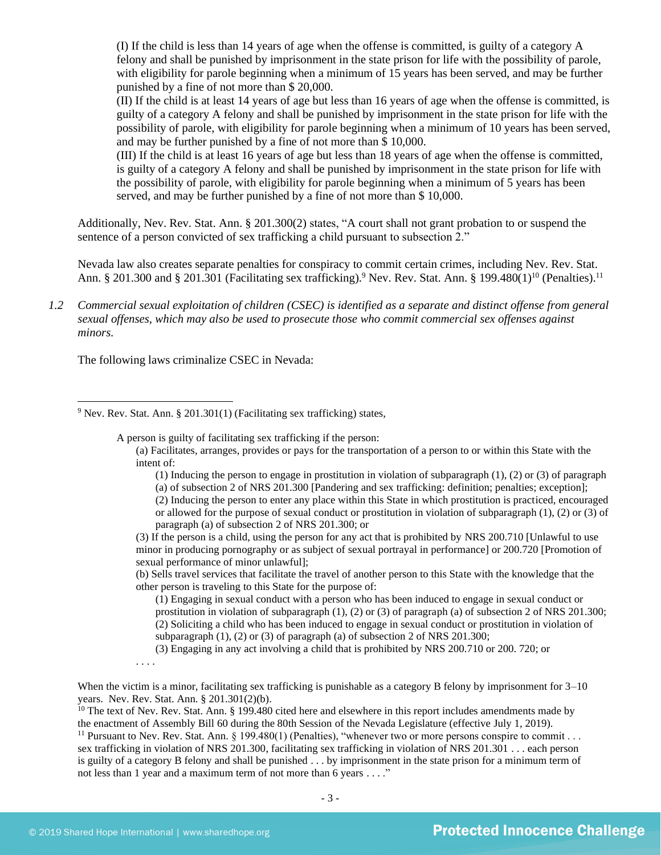(I) If the child is less than 14 years of age when the offense is committed, is guilty of a category A felony and shall be punished by imprisonment in the state prison for life with the possibility of parole, with eligibility for parole beginning when a minimum of 15 years has been served, and may be further punished by a fine of not more than \$ 20,000.

(II) If the child is at least 14 years of age but less than 16 years of age when the offense is committed, is guilty of a category A felony and shall be punished by imprisonment in the state prison for life with the possibility of parole, with eligibility for parole beginning when a minimum of 10 years has been served, and may be further punished by a fine of not more than \$ 10,000.

(III) If the child is at least 16 years of age but less than 18 years of age when the offense is committed, is guilty of a category A felony and shall be punished by imprisonment in the state prison for life with the possibility of parole, with eligibility for parole beginning when a minimum of 5 years has been served, and may be further punished by a fine of not more than \$ 10,000.

Additionally, Nev. Rev. Stat. Ann. § 201.300(2) states, "A court shall not grant probation to or suspend the sentence of a person convicted of sex trafficking a child pursuant to subsection 2."

Nevada law also creates separate penalties for conspiracy to commit certain crimes, including Nev. Rev. Stat. Ann. § 201.300 and § 201.301 (Facilitating sex trafficking).<sup>9</sup> Nev. Rev. Stat. Ann. § 199.480(1)<sup>10</sup> (Penalties).<sup>11</sup>

*1.2 Commercial sexual exploitation of children (CSEC) is identified as a separate and distinct offense from general sexual offenses, which may also be used to prosecute those who commit commercial sex offenses against minors.*

The following laws criminalize CSEC in Nevada:

<sup>9</sup> Nev. Rev. Stat. Ann. § 201.301(1) (Facilitating sex trafficking) states,

A person is guilty of facilitating sex trafficking if the person:

(a) Facilitates, arranges, provides or pays for the transportation of a person to or within this State with the intent of:

<span id="page-2-0"></span>(1) Inducing the person to engage in prostitution in violation of subparagraph (1), (2) or (3) of paragraph (a) of subsection 2 of NRS 201.300 [Pandering and sex trafficking: definition; penalties; exception]; (2) Inducing the person to enter any place within this State in which prostitution is practiced, encouraged or allowed for the purpose of sexual conduct or prostitution in violation of subparagraph (1), (2) or (3) of paragraph (a) of subsection 2 of NRS 201.300; or

(3) If the person is a child, using the person for any act that is prohibited by NRS 200.710 [Unlawful to use minor in producing pornography or as subject of sexual portrayal in performance] or 200.720 [Promotion of sexual performance of minor unlawful];

(b) Sells travel services that facilitate the travel of another person to this State with the knowledge that the other person is traveling to this State for the purpose of:

(1) Engaging in sexual conduct with a person who has been induced to engage in sexual conduct or prostitution in violation of subparagraph (1), (2) or (3) of paragraph (a) of subsection 2 of NRS 201.300; (2) Soliciting a child who has been induced to engage in sexual conduct or prostitution in violation of subparagraph (1), (2) or (3) of paragraph (a) of subsection 2 of NRS 201.300;

(3) Engaging in any act involving a child that is prohibited by NRS 200.710 or 200. 720; or . . . .

When the victim is a minor, facilitating sex trafficking is punishable as a category B felony by imprisonment for  $3-10$ years. Nev. Rev. Stat. Ann. § 201.301(2)(b).

 $10$  The text of Nev. Rev. Stat. Ann. § 199.480 cited here and elsewhere in this report includes amendments made by the enactment of Assembly Bill 60 during the 80th Session of the Nevada Legislature (effective July 1, 2019).

<sup>11</sup> Pursuant to Nev. Rev. Stat. Ann. § 199.480(1) (Penalties), "whenever two or more persons conspire to commit . . . sex trafficking in violation of NRS 201.300, facilitating sex trafficking in violation of NRS 201.301 . . . each person is guilty of a category B felony and shall be punished . . . by imprisonment in the state prison for a minimum term of not less than 1 year and a maximum term of not more than 6 years . . . ."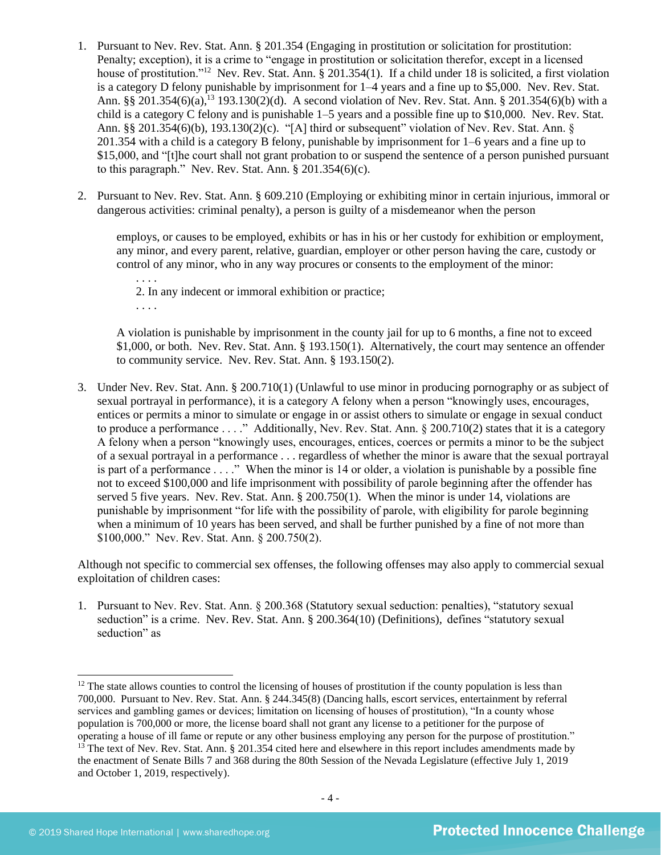- <span id="page-3-0"></span>1. Pursuant to Nev. Rev. Stat. Ann. § 201.354 (Engaging in prostitution or solicitation for prostitution: Penalty; exception), it is a crime to "engage in prostitution or solicitation therefor, except in a licensed house of prostitution."<sup>12</sup> Nev. Rev. Stat. Ann. § 201.354(1). If a child under 18 is solicited, a first violation is a category D felony punishable by imprisonment for 1–4 years and a fine up to \$5,000. Nev. Rev. Stat. Ann. §§ 201.354(6)(a),<sup>13</sup> 193.130(2)(d). A second violation of Nev. Rev. Stat. Ann. § 201.354(6)(b) with a child is a category C felony and is punishable 1–5 years and a possible fine up to \$10,000. Nev. Rev. Stat. Ann. §§ 201.354(6)(b), 193.130(2)(c). "[A] third or subsequent" violation of Nev. Rev. Stat. Ann. § 201.354 with a child is a category B felony, punishable by imprisonment for 1–6 years and a fine up to \$15,000, and "[t]he court shall not grant probation to or suspend the sentence of a person punished pursuant to this paragraph." Nev. Rev. Stat. Ann.  $\S 201.354(6)(c)$ .
- 2. Pursuant to Nev. Rev. Stat. Ann. § 609.210 (Employing or exhibiting minor in certain injurious, immoral or dangerous activities: criminal penalty), a person is guilty of a misdemeanor when the person

employs, or causes to be employed, exhibits or has in his or her custody for exhibition or employment, any minor, and every parent, relative, guardian, employer or other person having the care, custody or control of any minor, who in any way procures or consents to the employment of the minor:

2. In any indecent or immoral exhibition or practice; . . . .

A violation is punishable by imprisonment in the county jail for up to 6 months, a fine not to exceed \$1,000, or both. Nev. Rev. Stat. Ann. § 193.150(1). Alternatively, the court may sentence an offender to community service. Nev. Rev. Stat. Ann. § 193.150(2).

3. Under Nev. Rev. Stat. Ann. § 200.710(1) (Unlawful to use minor in producing pornography or as subject of sexual portrayal in performance), it is a category A felony when a person "knowingly uses, encourages, entices or permits a minor to simulate or engage in or assist others to simulate or engage in sexual conduct to produce a performance . . . ." Additionally, Nev. Rev. Stat. Ann. § 200.710(2) states that it is a category A felony when a person "knowingly uses, encourages, entices, coerces or permits a minor to be the subject of a sexual portrayal in a performance . . . regardless of whether the minor is aware that the sexual portrayal is part of a performance . . . ." When the minor is 14 or older, a violation is punishable by a possible fine not to exceed \$100,000 and life imprisonment with possibility of parole beginning after the offender has served 5 five years. Nev. Rev. Stat. Ann. § 200.750(1). When the minor is under 14, violations are punishable by imprisonment "for life with the possibility of parole, with eligibility for parole beginning when a minimum of 10 years has been served, and shall be further punished by a fine of not more than \$100,000." Nev. Rev. Stat. Ann. § 200.750(2).

Although not specific to commercial sex offenses, the following offenses may also apply to commercial sexual exploitation of children cases:

1. Pursuant to Nev. Rev. Stat. Ann. § 200.368 (Statutory sexual seduction: penalties), "statutory sexual seduction" is a crime. Nev. Rev. Stat. Ann. § 200.364(10) (Definitions), defines "statutory sexual seduction" as

. . . .

 $12$  The state allows counties to control the licensing of houses of prostitution if the county population is less than 700,000. Pursuant to Nev. Rev. Stat. Ann. § 244.345(8) (Dancing halls, escort services, entertainment by referral services and gambling games or devices; limitation on licensing of houses of prostitution), "In a county whose population is 700,000 or more, the license board shall not grant any license to a petitioner for the purpose of operating a house of ill fame or repute or any other business employing any person for the purpose of prostitution." <sup>13</sup> The text of Nev. Rev. Stat. Ann. § 201.354 cited here and elsewhere in this report includes amendments made by the enactment of Senate Bills 7 and 368 during the 80th Session of the Nevada Legislature (effective July 1, 2019 and October 1, 2019, respectively).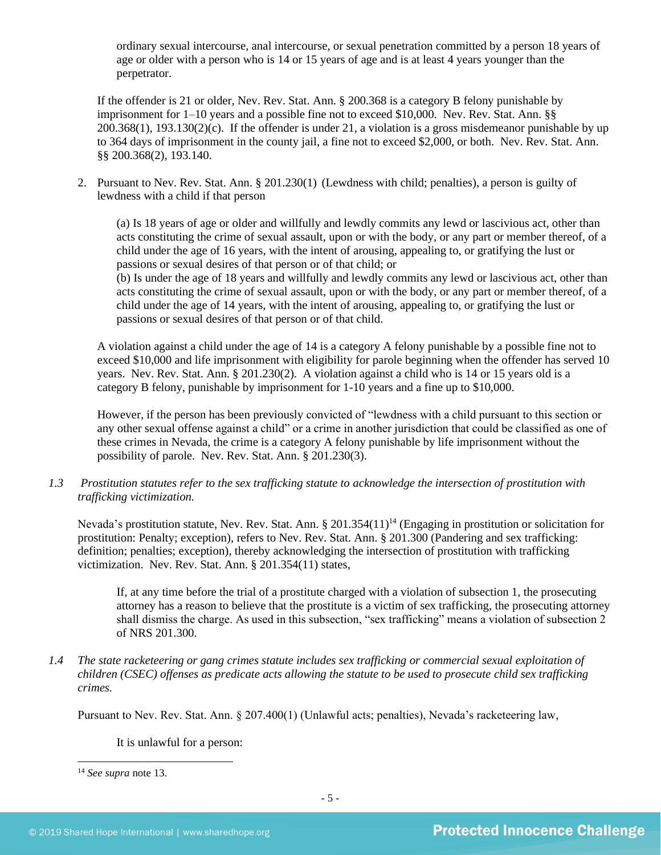ordinary sexual intercourse, anal intercourse, or sexual penetration committed by a person 18 years of age or older with a person who is 14 or 15 years of age and is at least 4 years younger than the perpetrator.

If the offender is 21 or older, Nev. Rev. Stat. Ann. § 200.368 is a category B felony punishable by imprisonment for 1–10 years and a possible fine not to exceed \$10,000. Nev. Rev. Stat. Ann. §§  $200.368(1)$ ,  $193.130(2)(c)$ . If the offender is under 21, a violation is a gross misdemeanor punishable by up to 364 days of imprisonment in the county jail, a fine not to exceed \$2,000, or both. Nev. Rev. Stat. Ann. §§ 200.368(2), 193.140.

2. Pursuant to Nev. Rev. Stat. Ann. § 201.230(1) (Lewdness with child; penalties), a person is guilty of lewdness with a child if that person

(a) Is 18 years of age or older and willfully and lewdly commits any lewd or lascivious act, other than acts constituting the crime of sexual assault, upon or with the body, or any part or member thereof, of a child under the age of 16 years, with the intent of arousing, appealing to, or gratifying the lust or passions or sexual desires of that person or of that child; or

(b) Is under the age of 18 years and willfully and lewdly commits any lewd or lascivious act, other than acts constituting the crime of sexual assault, upon or with the body, or any part or member thereof, of a child under the age of 14 years, with the intent of arousing, appealing to, or gratifying the lust or passions or sexual desires of that person or of that child.

A violation against a child under the age of 14 is a category A felony punishable by a possible fine not to exceed \$10,000 and life imprisonment with eligibility for parole beginning when the offender has served 10 years. Nev. Rev. Stat. Ann. § 201.230(2). A violation against a child who is 14 or 15 years old is a category B felony, punishable by imprisonment for 1-10 years and a fine up to \$10,000.

However, if the person has been previously convicted of "lewdness with a child pursuant to this section or any other sexual offense against a child" or a crime in another jurisdiction that could be classified as one of these crimes in Nevada, the crime is a category A felony punishable by life imprisonment without the possibility of parole. Nev. Rev. Stat. Ann. § 201.230(3).

*1.3 Prostitution statutes refer to the sex trafficking statute to acknowledge the intersection of prostitution with trafficking victimization.* 

Nevada's prostitution statute, Nev. Rev. Stat. Ann. § 201.354(11)<sup>14</sup> (Engaging in prostitution or solicitation for prostitution: Penalty; exception), refers to Nev. Rev. Stat. Ann. § 201.300 (Pandering and sex trafficking: definition; penalties; exception), thereby acknowledging the intersection of prostitution with trafficking victimization. Nev. Rev. Stat. Ann. § 201.354(11) states,

If, at any time before the trial of a prostitute charged with a violation of subsection 1, the prosecuting attorney has a reason to believe that the prostitute is a victim of sex trafficking, the prosecuting attorney shall dismiss the charge. As used in this subsection, "sex trafficking" means a violation of subsection 2 of NRS 201.300.

*1.4 The state racketeering or gang crimes statute includes sex trafficking or commercial sexual exploitation of children (CSEC) offenses as predicate acts allowing the statute to be used to prosecute child sex trafficking crimes.*

Pursuant to Nev. Rev. Stat. Ann. § 207.400(1) (Unlawful acts; penalties), Nevada's racketeering law,

It is unlawful for a person:

<sup>14</sup> *See supra* note [13.](#page-3-0)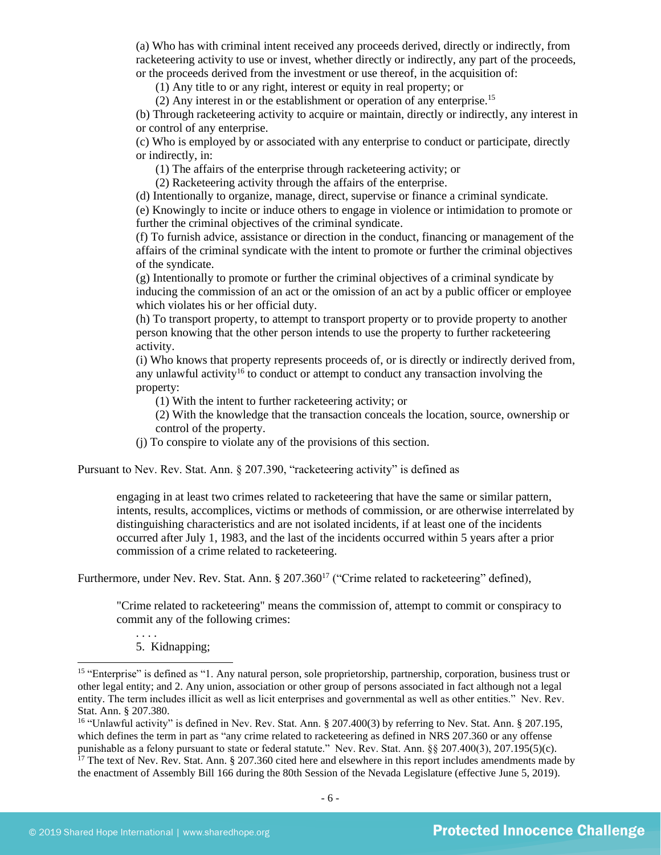(a) Who has with criminal intent received any proceeds derived, directly or indirectly, from racketeering activity to use or invest, whether directly or indirectly, any part of the proceeds, or the proceeds derived from the investment or use thereof, in the acquisition of:

(1) Any title to or any right, interest or equity in real property; or

(2) Any interest in or the establishment or operation of any enterprise.<sup>15</sup>

(b) Through racketeering activity to acquire or maintain, directly or indirectly, any interest in or control of any enterprise.

(c) Who is employed by or associated with any enterprise to conduct or participate, directly or indirectly, in:

(1) The affairs of the enterprise through racketeering activity; or

(2) Racketeering activity through the affairs of the enterprise.

(d) Intentionally to organize, manage, direct, supervise or finance a criminal syndicate.

(e) Knowingly to incite or induce others to engage in violence or intimidation to promote or further the criminal objectives of the criminal syndicate.

(f) To furnish advice, assistance or direction in the conduct, financing or management of the affairs of the criminal syndicate with the intent to promote or further the criminal objectives of the syndicate.

(g) Intentionally to promote or further the criminal objectives of a criminal syndicate by inducing the commission of an act or the omission of an act by a public officer or employee which violates his or her official duty.

(h) To transport property, to attempt to transport property or to provide property to another person knowing that the other person intends to use the property to further racketeering activity.

(i) Who knows that property represents proceeds of, or is directly or indirectly derived from, any unlawful activity<sup>16</sup> to conduct or attempt to conduct any transaction involving the property:

(1) With the intent to further racketeering activity; or

(2) With the knowledge that the transaction conceals the location, source, ownership or control of the property.

(j) To conspire to violate any of the provisions of this section.

Pursuant to Nev. Rev. Stat. Ann. § 207.390, "racketeering activity" is defined as

engaging in at least two crimes related to racketeering that have the same or similar pattern, intents, results, accomplices, victims or methods of commission, or are otherwise interrelated by distinguishing characteristics and are not isolated incidents, if at least one of the incidents occurred after July 1, 1983, and the last of the incidents occurred within 5 years after a prior commission of a crime related to racketeering.

Furthermore, under Nev. Rev. Stat. Ann. § 207.360<sup>17</sup> ("Crime related to racketeering" defined),

"Crime related to racketeering" means the commission of, attempt to commit or conspiracy to commit any of the following crimes:

5. Kidnapping;

. . . .

<sup>&</sup>lt;sup>15</sup> "Enterprise" is defined as "1. Any natural person, sole proprietorship, partnership, corporation, business trust or other legal entity; and 2. Any union, association or other group of persons associated in fact although not a legal entity. The term includes illicit as well as licit enterprises and governmental as well as other entities." Nev. Rev. Stat. Ann. § 207.380.

<sup>&</sup>lt;sup>16</sup> "Unlawful activity" is defined in Nev. Rev. Stat. Ann. § 207.400(3) by referring to Nev. Stat. Ann. § 207.195, which defines the term in part as "any crime related to racketeering as defined in NRS 207.360 or any offense punishable as a felony pursuant to state or federal statute." Nev. Rev. Stat. Ann. §§ 207.400(3), 207.195(5)(c).

 $17$  The text of Nev. Rev. Stat. Ann. § 207.360 cited here and elsewhere in this report includes amendments made by the enactment of Assembly Bill 166 during the 80th Session of the Nevada Legislature (effective June 5, 2019).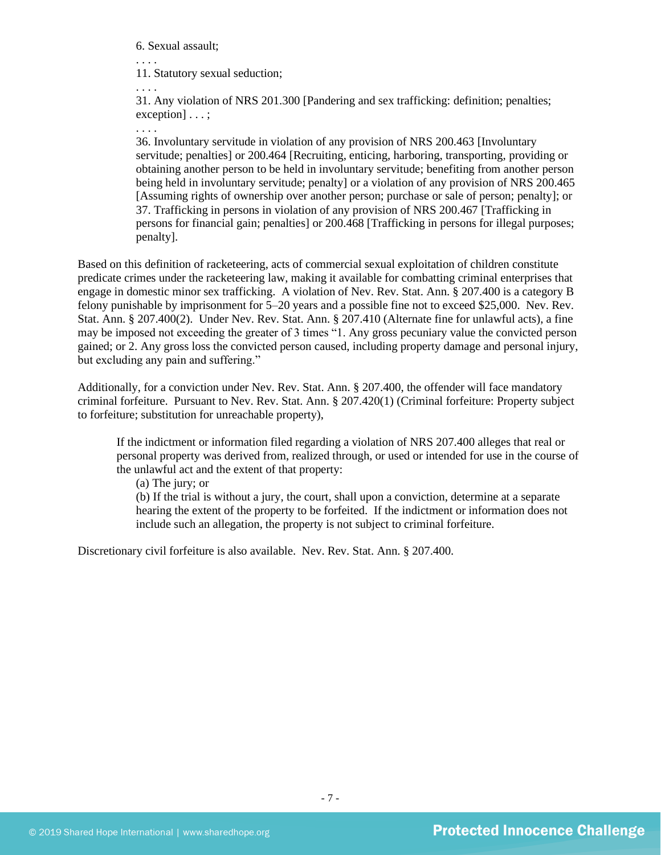6. Sexual assault;

. . . . 11. Statutory sexual seduction;

. . . .

31. Any violation of NRS 201.300 [Pandering and sex trafficking: definition; penalties; exception] . . . ;

. . . .

36. Involuntary servitude in violation of any provision of NRS 200.463 [Involuntary servitude; penalties] or 200.464 [Recruiting, enticing, harboring, transporting, providing or obtaining another person to be held in involuntary servitude; benefiting from another person being held in involuntary servitude; penalty] or a violation of any provision of NRS 200.465 [Assuming rights of ownership over another person; purchase or sale of person; penalty]; or 37. Trafficking in persons in violation of any provision of NRS 200.467 [Trafficking in persons for financial gain; penalties] or 200.468 [Trafficking in persons for illegal purposes; penalty].

Based on this definition of racketeering, acts of commercial sexual exploitation of children constitute predicate crimes under the racketeering law, making it available for combatting criminal enterprises that engage in domestic minor sex trafficking. A violation of Nev. Rev. Stat. Ann. § 207.400 is a category B felony punishable by imprisonment for 5–20 years and a possible fine not to exceed \$25,000. Nev. Rev. Stat. Ann. § 207.400(2). Under Nev. Rev. Stat. Ann. § 207.410 (Alternate fine for unlawful acts), a fine may be imposed not exceeding the greater of 3 times "1. Any gross pecuniary value the convicted person gained; or 2. Any gross loss the convicted person caused, including property damage and personal injury, but excluding any pain and suffering."

Additionally, for a conviction under Nev. Rev. Stat. Ann. § 207.400, the offender will face mandatory criminal forfeiture. Pursuant to Nev. Rev. Stat. Ann. § 207.420(1) (Criminal forfeiture: Property subject to forfeiture; substitution for unreachable property),

If the indictment or information filed regarding a violation of NRS 207.400 alleges that real or personal property was derived from, realized through, or used or intended for use in the course of the unlawful act and the extent of that property:

(a) The jury; or

(b) If the trial is without a jury, the court, shall upon a conviction, determine at a separate hearing the extent of the property to be forfeited. If the indictment or information does not include such an allegation, the property is not subject to criminal forfeiture.

Discretionary civil forfeiture is also available. Nev. Rev. Stat. Ann. § 207.400.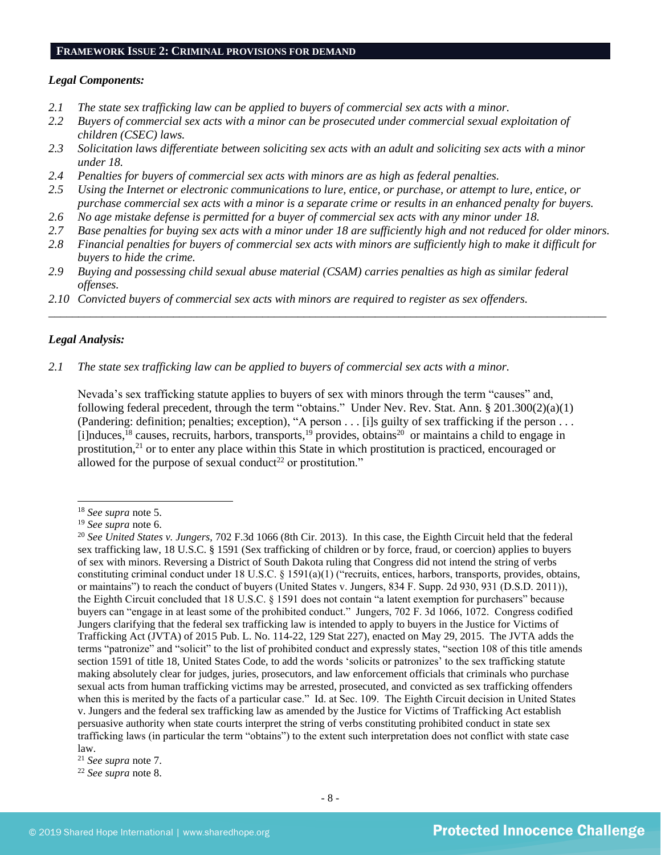#### **FRAMEWORK ISSUE 2: CRIMINAL PROVISIONS FOR DEMAND**

#### *Legal Components:*

- *2.1 The state sex trafficking law can be applied to buyers of commercial sex acts with a minor.*
- *2.2 Buyers of commercial sex acts with a minor can be prosecuted under commercial sexual exploitation of children (CSEC) laws.*
- *2.3 Solicitation laws differentiate between soliciting sex acts with an adult and soliciting sex acts with a minor under 18.*
- *2.4 Penalties for buyers of commercial sex acts with minors are as high as federal penalties.*
- *2.5 Using the Internet or electronic communications to lure, entice, or purchase, or attempt to lure, entice, or purchase commercial sex acts with a minor is a separate crime or results in an enhanced penalty for buyers.*
- *2.6 No age mistake defense is permitted for a buyer of commercial sex acts with any minor under 18.*
- *2.7 Base penalties for buying sex acts with a minor under 18 are sufficiently high and not reduced for older minors.*
- *2.8 Financial penalties for buyers of commercial sex acts with minors are sufficiently high to make it difficult for buyers to hide the crime.*

\_\_\_\_\_\_\_\_\_\_\_\_\_\_\_\_\_\_\_\_\_\_\_\_\_\_\_\_\_\_\_\_\_\_\_\_\_\_\_\_\_\_\_\_\_\_\_\_\_\_\_\_\_\_\_\_\_\_\_\_\_\_\_\_\_\_\_\_\_\_\_\_\_\_\_\_\_\_\_\_\_\_\_\_\_\_\_\_\_\_\_\_\_\_

- *2.9 Buying and possessing child sexual abuse material (CSAM) carries penalties as high as similar federal offenses.*
- *2.10 Convicted buyers of commercial sex acts with minors are required to register as sex offenders.*

#### *Legal Analysis:*

#### *2.1 The state sex trafficking law can be applied to buyers of commercial sex acts with a minor.*

Nevada's sex trafficking statute applies to buyers of sex with minors through the term "causes" and, following federal precedent, through the term "obtains." Under Nev. Rev. Stat. Ann. § 201.300(2)(a)(1) (Pandering: definition; penalties; exception), "A person . . . [i]s guilty of sex trafficking if the person . . . [i]nduces,<sup>18</sup> causes, recruits, harbors, transports,<sup>19</sup> provides, obtains<sup>20</sup> or maintains a child to engage in prostitution,<sup>21</sup> or to enter any place within this State in which prostitution is practiced, encouraged or allowed for the purpose of sexual conduct<sup>22</sup> or prostitution."

<sup>18</sup> *See supra* note [5.](#page-1-0)

<sup>19</sup> *See supra* note [6.](#page-1-1)

<sup>20</sup> *See United States v. Jungers,* 702 F.3d 1066 (8th Cir. 2013). In this case, the Eighth Circuit held that the federal sex trafficking law, 18 U.S.C. § 1591 (Sex trafficking of children or by force, fraud, or coercion) applies to buyers of sex with minors. Reversing a District of South Dakota ruling that Congress did not intend the string of verbs constituting criminal conduct under 18 U.S.C. § 1591(a)(1) ("recruits, entices, harbors, transports, provides, obtains, or maintains") to reach the conduct of buyers (United States v. Jungers, 834 F. Supp. 2d 930, 931 (D.S.D. 2011)), the Eighth Circuit concluded that 18 U.S.C. § 1591 does not contain "a latent exemption for purchasers" because buyers can "engage in at least some of the prohibited conduct." Jungers, 702 F. 3d 1066, 1072. Congress codified Jungers clarifying that the federal sex trafficking law is intended to apply to buyers in the Justice for Victims of Trafficking Act (JVTA) of 2015 Pub. L. No. 114-22, 129 Stat 227), enacted on May 29, 2015. The JVTA adds the terms "patronize" and "solicit" to the list of prohibited conduct and expressly states, "section 108 of this title amends section 1591 of title 18, United States Code, to add the words 'solicits or patronizes' to the sex trafficking statute making absolutely clear for judges, juries, prosecutors, and law enforcement officials that criminals who purchase sexual acts from human trafficking victims may be arrested, prosecuted, and convicted as sex trafficking offenders when this is merited by the facts of a particular case." Id. at Sec. 109. The Eighth Circuit decision in United States v. Jungers and the federal sex trafficking law as amended by the Justice for Victims of Trafficking Act establish persuasive authority when state courts interpret the string of verbs constituting prohibited conduct in state sex trafficking laws (in particular the term "obtains") to the extent such interpretation does not conflict with state case law.

<sup>21</sup> *See supra* note [7.](#page-1-2)

<sup>22</sup> *See supra* note [8.](#page-1-3)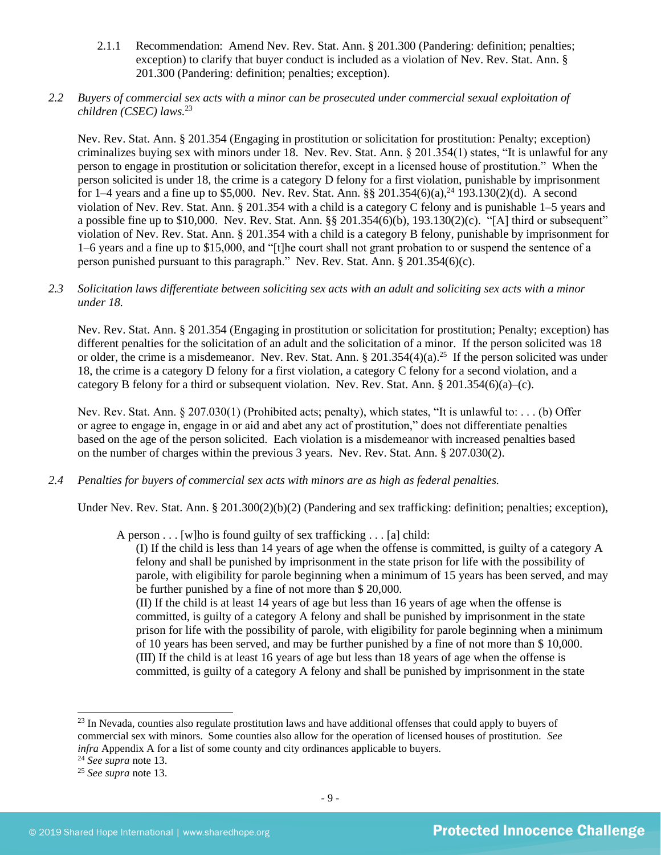- 2.1.1 Recommendation: Amend Nev. Rev. Stat. Ann. § 201.300 (Pandering: definition; penalties; exception) to clarify that buyer conduct is included as a violation of Nev. Rev. Stat. Ann. § 201.300 (Pandering: definition; penalties; exception).
- *2.2 Buyers of commercial sex acts with a minor can be prosecuted under commercial sexual exploitation of children (CSEC) laws.*<sup>23</sup>

Nev. Rev. Stat. Ann. § 201.354 (Engaging in prostitution or solicitation for prostitution: Penalty; exception) criminalizes buying sex with minors under 18. Nev. Rev. Stat. Ann. § 201.354(1) states, "It is unlawful for any person to engage in prostitution or solicitation therefor, except in a licensed house of prostitution." When the person solicited is under 18, the crime is a category D felony for a first violation, punishable by imprisonment for 1–4 years and a fine up to \$5,000. Nev. Rev. Stat. Ann. §§ 201.354(6)(a),<sup>24</sup> 193.130(2)(d). A second violation of Nev. Rev. Stat. Ann. § 201.354 with a child is a category C felony and is punishable 1–5 years and a possible fine up to \$10,000. Nev. Rev. Stat. Ann. §§ 201.354(6)(b), 193.130(2)(c). "[A] third or subsequent" violation of Nev. Rev. Stat. Ann. § 201.354 with a child is a category B felony, punishable by imprisonment for 1–6 years and a fine up to \$15,000, and "[t]he court shall not grant probation to or suspend the sentence of a person punished pursuant to this paragraph." Nev. Rev. Stat. Ann. § 201.354(6)(c).

#### *2.3 Solicitation laws differentiate between soliciting sex acts with an adult and soliciting sex acts with a minor under 18.*

Nev. Rev. Stat. Ann. § 201.354 (Engaging in prostitution or solicitation for prostitution; Penalty; exception) has different penalties for the solicitation of an adult and the solicitation of a minor. If the person solicited was 18 or older, the crime is a misdemeanor. Nev. Rev. Stat. Ann.  $\S 201.354(4)(a)$ .<sup>25</sup> If the person solicited was under 18, the crime is a category D felony for a first violation, a category C felony for a second violation, and a category B felony for a third or subsequent violation. Nev. Rev. Stat. Ann. § 201.354(6)(a)–(c).

Nev. Rev. Stat. Ann. § 207.030(1) (Prohibited acts; penalty), which states, "It is unlawful to: . . . (b) Offer or agree to engage in, engage in or aid and abet any act of prostitution," does not differentiate penalties based on the age of the person solicited. Each violation is a misdemeanor with increased penalties based on the number of charges within the previous 3 years. Nev. Rev. Stat. Ann. § 207.030(2).

*2.4 Penalties for buyers of commercial sex acts with minors are as high as federal penalties.*

Under Nev. Rev. Stat. Ann. § 201.300(2)(b)(2) (Pandering and sex trafficking: definition; penalties; exception),

A person . . . [w]ho is found guilty of sex trafficking . . . [a] child:

(I) If the child is less than 14 years of age when the offense is committed, is guilty of a category A felony and shall be punished by imprisonment in the state prison for life with the possibility of parole, with eligibility for parole beginning when a minimum of 15 years has been served, and may be further punished by a fine of not more than \$ 20,000.

(II) If the child is at least 14 years of age but less than 16 years of age when the offense is committed, is guilty of a category A felony and shall be punished by imprisonment in the state prison for life with the possibility of parole, with eligibility for parole beginning when a minimum of 10 years has been served, and may be further punished by a fine of not more than \$ 10,000. (III) If the child is at least 16 years of age but less than 18 years of age when the offense is committed, is guilty of a category A felony and shall be punished by imprisonment in the state

<sup>24</sup> *See supra* note [13.](#page-3-0)

<sup>&</sup>lt;sup>23</sup> In Nevada, counties also regulate prostitution laws and have additional offenses that could apply to buyers of commercial sex with minors. Some counties also allow for the operation of licensed houses of prostitution. *See infra* Appendix A for a list of some county and city ordinances applicable to buyers.

<sup>25</sup> *See supra* note [13.](#page-3-0)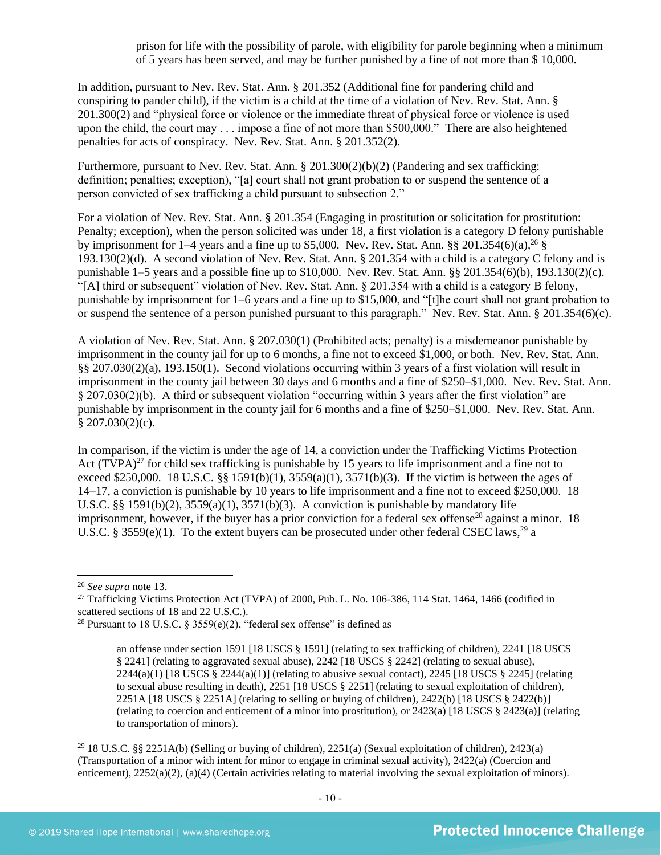prison for life with the possibility of parole, with eligibility for parole beginning when a minimum of 5 years has been served, and may be further punished by a fine of not more than \$ 10,000.

In addition, pursuant to Nev. Rev. Stat. Ann. § 201.352 (Additional fine for pandering child and conspiring to pander child), if the victim is a child at the time of a violation of Nev. Rev. Stat. Ann. § 201.300(2) and "physical force or violence or the immediate threat of physical force or violence is used upon the child, the court may . . . impose a fine of not more than \$500,000." There are also heightened penalties for acts of conspiracy. Nev. Rev. Stat. Ann. § 201.352(2).

Furthermore, pursuant to Nev. Rev. Stat. Ann. § 201.300(2)(b)(2) (Pandering and sex trafficking: definition; penalties; exception), "[a] court shall not grant probation to or suspend the sentence of a person convicted of sex trafficking a child pursuant to subsection 2."

For a violation of Nev. Rev. Stat. Ann. § 201.354 (Engaging in prostitution or solicitation for prostitution: Penalty; exception), when the person solicited was under 18, a first violation is a category D felony punishable by imprisonment for  $1-4$  years and a fine up to \$5,000. Nev. Rev. Stat. Ann. §§ 201.354(6)(a),<sup>26</sup> § 193.130(2)(d). A second violation of Nev. Rev. Stat. Ann. § 201.354 with a child is a category C felony and is punishable 1–5 years and a possible fine up to \$10,000. Nev. Rev. Stat. Ann. §§ 201.354(6)(b), 193.130(2)(c). "[A] third or subsequent" violation of Nev. Rev. Stat. Ann. § 201.354 with a child is a category B felony, punishable by imprisonment for 1–6 years and a fine up to \$15,000, and "[t]he court shall not grant probation to or suspend the sentence of a person punished pursuant to this paragraph." Nev. Rev. Stat. Ann. § 201.354(6)(c).

A violation of Nev. Rev. Stat. Ann. § 207.030(1) (Prohibited acts; penalty) is a misdemeanor punishable by imprisonment in the county jail for up to 6 months, a fine not to exceed \$1,000, or both. Nev. Rev. Stat. Ann. §§ 207.030(2)(a), 193.150(1). Second violations occurring within 3 years of a first violation will result in imprisonment in the county jail between 30 days and 6 months and a fine of \$250–\$1,000. Nev. Rev. Stat. Ann. § 207.030(2)(b). A third or subsequent violation "occurring within 3 years after the first violation" are punishable by imprisonment in the county jail for 6 months and a fine of \$250–\$1,000. Nev. Rev. Stat. Ann.  $$207.030(2)(c).$ 

<span id="page-9-0"></span>In comparison, if the victim is under the age of 14, a conviction under the Trafficking Victims Protection Act  $(TVPA)^{27}$  for child sex trafficking is punishable by 15 years to life imprisonment and a fine not to exceed \$250,000. 18 U.S.C. §§ 1591(b)(1),  $3559(a)(1)$ ,  $3571(b)(3)$ . If the victim is between the ages of 14–17, a conviction is punishable by 10 years to life imprisonment and a fine not to exceed \$250,000. 18 U.S.C. §§ 1591(b)(2),  $3559(a)(1)$ ,  $3571(b)(3)$ . A conviction is punishable by mandatory life imprisonment, however, if the buyer has a prior conviction for a federal sex offense<sup>28</sup> against a minor. 18 U.S.C. § 3559(e)(1). To the extent buyers can be prosecuted under other federal CSEC laws,<sup>29</sup> a

<sup>29</sup> 18 U.S.C. §§ 2251A(b) (Selling or buying of children), 2251(a) (Sexual exploitation of children), 2423(a) (Transportation of a minor with intent for minor to engage in criminal sexual activity), 2422(a) (Coercion and enticement), 2252(a)(2), (a)(4) (Certain activities relating to material involving the sexual exploitation of minors).

<sup>26</sup> *See supra* note [13.](#page-3-0)

<sup>&</sup>lt;sup>27</sup> Trafficking Victims Protection Act (TVPA) of 2000, Pub. L. No. 106-386, 114 Stat. 1464, 1466 (codified in scattered sections of 18 and 22 U.S.C.).

<sup>&</sup>lt;sup>28</sup> Pursuant to 18 U.S.C. § 3559(e)(2), "federal sex offense" is defined as

<span id="page-9-1"></span>an offense under section 1591 [18 USCS § 1591] (relating to sex trafficking of children), 2241 [18 USCS § 2241] (relating to aggravated sexual abuse), 2242 [18 USCS § 2242] (relating to sexual abuse),  $2244(a)(1)$  [18 USCS §  $2244(a)(1)$ ] (relating to abusive sexual contact),  $2245$  [18 USCS § 2245] (relating to sexual abuse resulting in death), 2251 [18 USCS § 2251] (relating to sexual exploitation of children), 2251A [18 USCS  $\S$  2251A] (relating to selling or buying of children), 2422(b) [18 USCS  $\S$  2422(b)] (relating to coercion and enticement of a minor into prostitution), or 2423(a) [18 USCS § 2423(a)] (relating to transportation of minors).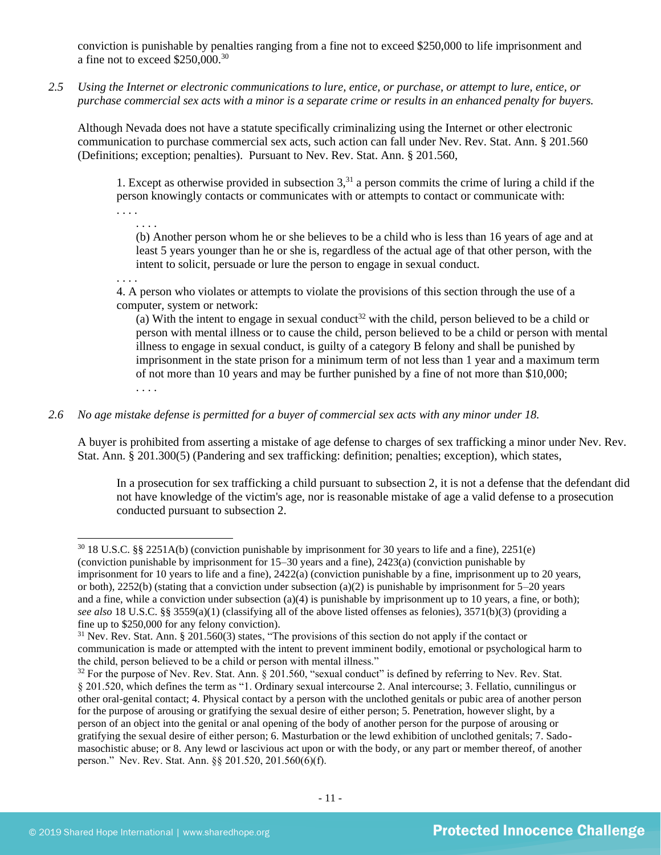conviction is punishable by penalties ranging from a fine not to exceed \$250,000 to life imprisonment and a fine not to exceed \$250,000.<sup>30</sup>

*2.5 Using the Internet or electronic communications to lure, entice, or purchase, or attempt to lure, entice, or purchase commercial sex acts with a minor is a separate crime or results in an enhanced penalty for buyers.*

Although Nevada does not have a statute specifically criminalizing using the Internet or other electronic communication to purchase commercial sex acts, such action can fall under Nev. Rev. Stat. Ann. § 201.560 (Definitions; exception; penalties). Pursuant to Nev. Rev. Stat. Ann. § 201.560,

1. Except as otherwise provided in subsection  $3<sup>31</sup>$  a person commits the crime of luring a child if the person knowingly contacts or communicates with or attempts to contact or communicate with:

<span id="page-10-0"></span>. . . .

(b) Another person whom he or she believes to be a child who is less than 16 years of age and at least 5 years younger than he or she is, regardless of the actual age of that other person, with the intent to solicit, persuade or lure the person to engage in sexual conduct.

. . . .

. . . .

4. A person who violates or attempts to violate the provisions of this section through the use of a computer, system or network:

(a) With the intent to engage in sexual conduct<sup>32</sup> with the child, person believed to be a child or person with mental illness or to cause the child, person believed to be a child or person with mental illness to engage in sexual conduct, is guilty of a category B felony and shall be punished by imprisonment in the state prison for a minimum term of not less than 1 year and a maximum term of not more than 10 years and may be further punished by a fine of not more than \$10,000; . . . .

## *2.6 No age mistake defense is permitted for a buyer of commercial sex acts with any minor under 18.*

A buyer is prohibited from asserting a mistake of age defense to charges of sex trafficking a minor under Nev. Rev. Stat. Ann. § 201.300(5) (Pandering and sex trafficking: definition; penalties; exception), which states,

In a prosecution for sex trafficking a child pursuant to subsection 2, it is not a defense that the defendant did not have knowledge of the victim's age, nor is reasonable mistake of age a valid defense to a prosecution conducted pursuant to subsection 2.

<sup>30</sup> 18 U.S.C. §§ 2251A(b) (conviction punishable by imprisonment for 30 years to life and a fine), 2251(e) (conviction punishable by imprisonment for 15–30 years and a fine), 2423(a) (conviction punishable by imprisonment for 10 years to life and a fine), 2422(a) (conviction punishable by a fine, imprisonment up to 20 years, or both), 2252(b) (stating that a conviction under subsection (a)(2) is punishable by imprisonment for  $5-20$  years and a fine, while a conviction under subsection (a)(4) is punishable by imprisonment up to 10 years, a fine, or both); *see also* 18 U.S.C. §§ 3559(a)(1) (classifying all of the above listed offenses as felonies), 3571(b)(3) (providing a fine up to \$250,000 for any felony conviction).

<sup>&</sup>lt;sup>31</sup> Nev. Rev. Stat. Ann. § 201.560(3) states, "The provisions of this section do not apply if the contact or communication is made or attempted with the intent to prevent imminent bodily, emotional or psychological harm to the child, person believed to be a child or person with mental illness."

<sup>&</sup>lt;sup>32</sup> For the purpose of Nev. Rev. Stat. Ann. § 201.560, "sexual conduct" is defined by referring to Nev. Rev. Stat. § 201.520, which defines the term as "1. Ordinary sexual intercourse 2. Anal intercourse; 3. Fellatio, cunnilingus or other oral-genital contact; 4. Physical contact by a person with the unclothed genitals or pubic area of another person for the purpose of arousing or gratifying the sexual desire of either person; 5. Penetration, however slight, by a person of an object into the genital or anal opening of the body of another person for the purpose of arousing or gratifying the sexual desire of either person; 6. Masturbation or the lewd exhibition of unclothed genitals; 7. Sadomasochistic abuse; or 8. Any lewd or lascivious act upon or with the body, or any part or member thereof, of another person." Nev. Rev. Stat. Ann. §§ 201.520, 201.560(6)(f).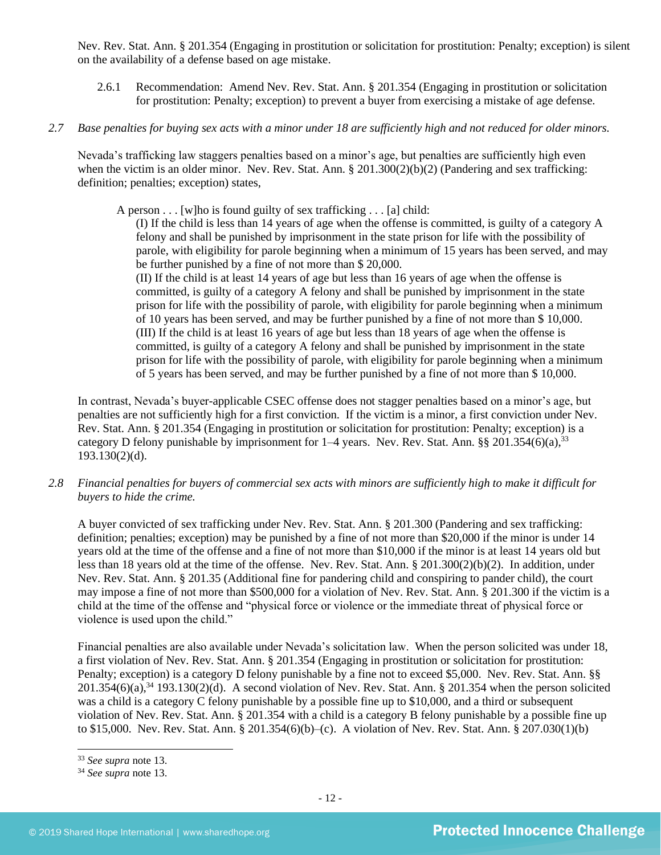Nev. Rev. Stat. Ann. § 201.354 (Engaging in prostitution or solicitation for prostitution: Penalty; exception) is silent on the availability of a defense based on age mistake.

- 2.6.1 Recommendation: Amend Nev. Rev. Stat. Ann. § 201.354 (Engaging in prostitution or solicitation for prostitution: Penalty; exception) to prevent a buyer from exercising a mistake of age defense.
- *2.7 Base penalties for buying sex acts with a minor under 18 are sufficiently high and not reduced for older minors.*

Nevada's trafficking law staggers penalties based on a minor's age, but penalties are sufficiently high even when the victim is an older minor. Nev. Rev. Stat. Ann.  $\S 201.300(2)(b)(2)$  (Pandering and sex trafficking: definition; penalties; exception) states,

A person  $\dots$  [w]ho is found guilty of sex trafficking  $\dots$  [a] child:

(I) If the child is less than 14 years of age when the offense is committed, is guilty of a category A felony and shall be punished by imprisonment in the state prison for life with the possibility of parole, with eligibility for parole beginning when a minimum of 15 years has been served, and may be further punished by a fine of not more than \$ 20,000.

(II) If the child is at least 14 years of age but less than 16 years of age when the offense is committed, is guilty of a category A felony and shall be punished by imprisonment in the state prison for life with the possibility of parole, with eligibility for parole beginning when a minimum of 10 years has been served, and may be further punished by a fine of not more than \$ 10,000. (III) If the child is at least 16 years of age but less than 18 years of age when the offense is committed, is guilty of a category A felony and shall be punished by imprisonment in the state prison for life with the possibility of parole, with eligibility for parole beginning when a minimum of 5 years has been served, and may be further punished by a fine of not more than \$ 10,000.

In contrast, Nevada's buyer-applicable CSEC offense does not stagger penalties based on a minor's age, but penalties are not sufficiently high for a first conviction. If the victim is a minor, a first conviction under Nev. Rev. Stat. Ann. § 201.354 (Engaging in prostitution or solicitation for prostitution: Penalty; exception) is a category D felony punishable by imprisonment for  $1-4$  years. Nev. Rev. Stat. Ann. §§ 201.354(6)(a),<sup>33</sup> 193.130(2)(d).

*2.8 Financial penalties for buyers of commercial sex acts with minors are sufficiently high to make it difficult for buyers to hide the crime.*

A buyer convicted of sex trafficking under Nev. Rev. Stat. Ann. § 201.300 (Pandering and sex trafficking: definition; penalties; exception) may be punished by a fine of not more than \$20,000 if the minor is under 14 years old at the time of the offense and a fine of not more than \$10,000 if the minor is at least 14 years old but less than 18 years old at the time of the offense. Nev. Rev. Stat. Ann. § 201.300(2)(b)(2). In addition, under Nev. Rev. Stat. Ann. § 201.35 (Additional fine for pandering child and conspiring to pander child), the court may impose a fine of not more than \$500,000 for a violation of Nev. Rev. Stat. Ann. § 201.300 if the victim is a child at the time of the offense and "physical force or violence or the immediate threat of physical force or violence is used upon the child."

Financial penalties are also available under Nevada's solicitation law. When the person solicited was under 18, a first violation of Nev. Rev. Stat. Ann. § 201.354 (Engaging in prostitution or solicitation for prostitution: Penalty; exception) is a category D felony punishable by a fine not to exceed \$5,000. Nev. Rev. Stat. Ann. §§  $201.354(6)(a)$ ,<sup>34</sup> 193.130(2)(d). A second violation of Nev. Rev. Stat. Ann. § 201.354 when the person solicited was a child is a category C felony punishable by a possible fine up to \$10,000, and a third or subsequent violation of Nev. Rev. Stat. Ann. § 201.354 with a child is a category B felony punishable by a possible fine up to \$15,000. Nev. Rev. Stat. Ann. § 201.354(6)(b)–(c). A violation of Nev. Rev. Stat. Ann. § 207.030(1)(b)

<sup>33</sup> *See supra* note [13.](#page-3-0)

<sup>34</sup> *See supra* note [13.](#page-3-0)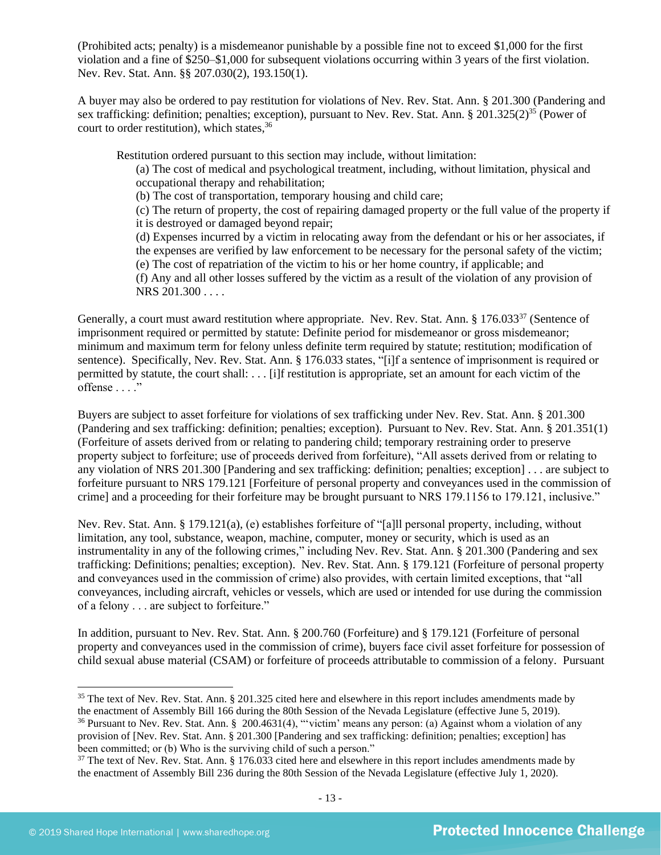(Prohibited acts; penalty) is a misdemeanor punishable by a possible fine not to exceed \$1,000 for the first violation and a fine of \$250–\$1,000 for subsequent violations occurring within 3 years of the first violation. Nev. Rev. Stat. Ann. §§ 207.030(2), 193.150(1).

A buyer may also be ordered to pay restitution for violations of Nev. Rev. Stat. Ann. § 201.300 (Pandering and sex trafficking: definition; penalties; exception), pursuant to Nev. Rev. Stat. Ann. § 201.325(2)<sup>35</sup> (Power of court to order restitution), which states,<sup>36</sup>

Restitution ordered pursuant to this section may include, without limitation:

<span id="page-12-1"></span><span id="page-12-0"></span>(a) The cost of medical and psychological treatment, including, without limitation, physical and occupational therapy and rehabilitation;

(b) The cost of transportation, temporary housing and child care;

(c) The return of property, the cost of repairing damaged property or the full value of the property if it is destroyed or damaged beyond repair;

(d) Expenses incurred by a victim in relocating away from the defendant or his or her associates, if the expenses are verified by law enforcement to be necessary for the personal safety of the victim; (e) The cost of repatriation of the victim to his or her home country, if applicable; and

<span id="page-12-2"></span>(f) Any and all other losses suffered by the victim as a result of the violation of any provision of NRS 201.300 . . . .

Generally, a court must award restitution where appropriate. Nev. Rev. Stat. Ann. § 176.033<sup>37</sup> (Sentence of imprisonment required or permitted by statute: Definite period for misdemeanor or gross misdemeanor; minimum and maximum term for felony unless definite term required by statute; restitution; modification of sentence). Specifically, Nev. Rev. Stat. Ann. § 176.033 states, "[i]f a sentence of imprisonment is required or permitted by statute, the court shall: . . . [i]f restitution is appropriate, set an amount for each victim of the offense . . . ."

Buyers are subject to asset forfeiture for violations of sex trafficking under Nev. Rev. Stat. Ann. § 201.300 (Pandering and sex trafficking: definition; penalties; exception). Pursuant to Nev. Rev. Stat. Ann. § 201.351(1) (Forfeiture of assets derived from or relating to pandering child; temporary restraining order to preserve property subject to forfeiture; use of proceeds derived from forfeiture), "All assets derived from or relating to any violation of NRS 201.300 [Pandering and sex trafficking: definition; penalties; exception] . . . are subject to forfeiture pursuant to NRS 179.121 [Forfeiture of personal property and conveyances used in the commission of crime] and a proceeding for their forfeiture may be brought pursuant to NRS 179.1156 to 179.121, inclusive."

Nev. Rev. Stat. Ann. § 179.121(a), (e) establishes forfeiture of "[a]ll personal property, including, without limitation, any tool, substance, weapon, machine, computer, money or security, which is used as an instrumentality in any of the following crimes," including Nev. Rev. Stat. Ann. § 201.300 (Pandering and sex trafficking: Definitions; penalties; exception). Nev. Rev. Stat. Ann. § 179.121 (Forfeiture of personal property and conveyances used in the commission of crime) also provides, with certain limited exceptions, that "all conveyances, including aircraft, vehicles or vessels, which are used or intended for use during the commission of a felony . . . are subject to forfeiture."

In addition, pursuant to Nev. Rev. Stat. Ann. § 200.760 (Forfeiture) and § 179.121 (Forfeiture of personal property and conveyances used in the commission of crime), buyers face civil asset forfeiture for possession of child sexual abuse material (CSAM) or forfeiture of proceeds attributable to commission of a felony. Pursuant

 $35$  The text of Nev. Rev. Stat. Ann. § 201.325 cited here and elsewhere in this report includes amendments made by the enactment of Assembly Bill 166 during the 80th Session of the Nevada Legislature (effective June 5, 2019). <sup>36</sup> Pursuant to Nev. Rev. Stat. Ann. § 200.4631(4), "victim' means any person: (a) Against whom a violation of any provision of [Nev. Rev. Stat. Ann. § 201.300 [Pandering and sex trafficking: definition; penalties; exception] has been committed; or (b) Who is the surviving child of such a person."

 $37$  The text of Nev. Rev. Stat. Ann. § 176.033 cited here and elsewhere in this report includes amendments made by the enactment of Assembly Bill 236 during the 80th Session of the Nevada Legislature (effective July 1, 2020).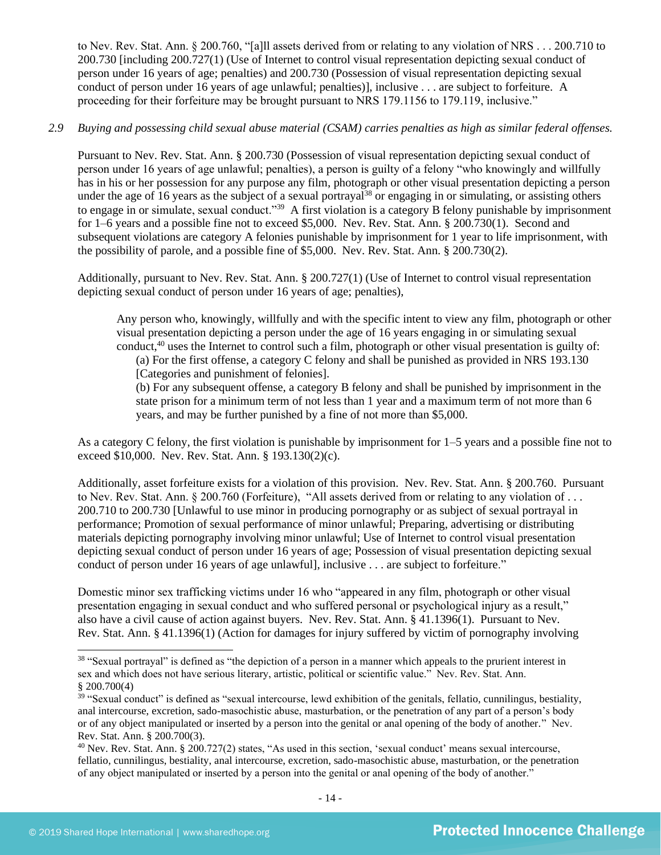to Nev. Rev. Stat. Ann. § 200.760, "[a]ll assets derived from or relating to any violation of NRS . . . 200.710 to 200.730 [including 200.727(1) (Use of Internet to control visual representation depicting sexual conduct of person under 16 years of age; penalties) and 200.730 (Possession of visual representation depicting sexual conduct of person under 16 years of age unlawful; penalties)], inclusive . . . are subject to forfeiture. A proceeding for their forfeiture may be brought pursuant to NRS 179.1156 to 179.119, inclusive."

## *2.9 Buying and possessing child sexual abuse material (CSAM) carries penalties as high as similar federal offenses.*

Pursuant to Nev. Rev. Stat. Ann. § 200.730 (Possession of visual representation depicting sexual conduct of person under 16 years of age unlawful; penalties), a person is guilty of a felony "who knowingly and willfully has in his or her possession for any purpose any film, photograph or other visual presentation depicting a person under the age of 16 years as the subject of a sexual portrayal<sup>38</sup> or engaging in or simulating, or assisting others to engage in or simulate, sexual conduct."<sup>39</sup> A first violation is a category B felony punishable by imprisonment for 1–6 years and a possible fine not to exceed \$5,000. Nev. Rev. Stat. Ann. § 200.730(1). Second and subsequent violations are category A felonies punishable by imprisonment for 1 year to life imprisonment, with the possibility of parole, and a possible fine of \$5,000. Nev. Rev. Stat. Ann. § 200.730(2).

Additionally, pursuant to Nev. Rev. Stat. Ann. § 200.727(1) (Use of Internet to control visual representation depicting sexual conduct of person under 16 years of age; penalties),

<span id="page-13-1"></span><span id="page-13-0"></span>Any person who, knowingly, willfully and with the specific intent to view any film, photograph or other visual presentation depicting a person under the age of 16 years engaging in or simulating sexual conduct,<sup>40</sup> uses the Internet to control such a film, photograph or other visual presentation is guilty of: (a) For the first offense, a category C felony and shall be punished as provided in NRS 193.130 [Categories and punishment of felonies].

(b) For any subsequent offense, a category B felony and shall be punished by imprisonment in the state prison for a minimum term of not less than 1 year and a maximum term of not more than 6 years, and may be further punished by a fine of not more than \$5,000.

As a category C felony, the first violation is punishable by imprisonment for 1–5 years and a possible fine not to exceed \$10,000. Nev. Rev. Stat. Ann. § 193.130(2)(c).

Additionally, asset forfeiture exists for a violation of this provision. Nev. Rev. Stat. Ann. § 200.760. Pursuant to Nev. Rev. Stat. Ann. § 200.760 (Forfeiture), "All assets derived from or relating to any violation of . . . 200.710 to 200.730 [Unlawful to use minor in producing pornography or as subject of sexual portrayal in performance; Promotion of sexual performance of minor unlawful; Preparing, advertising or distributing materials depicting pornography involving minor unlawful; Use of Internet to control visual presentation depicting sexual conduct of person under 16 years of age; Possession of visual presentation depicting sexual conduct of person under 16 years of age unlawful], inclusive . . . are subject to forfeiture."

Domestic minor sex trafficking victims under 16 who "appeared in any film, photograph or other visual presentation engaging in sexual conduct and who suffered personal or psychological injury as a result," also have a civil cause of action against buyers. Nev. Rev. Stat. Ann. § 41.1396(1). Pursuant to Nev. Rev. Stat. Ann. § 41.1396(1) (Action for damages for injury suffered by victim of pornography involving

 $38$  "Sexual portrayal" is defined as "the depiction of a person in a manner which appeals to the prurient interest in sex and which does not have serious literary, artistic, political or scientific value." Nev. Rev. Stat. Ann.  $$200.700(4)$ 

 $39$  "Sexual conduct" is defined as "sexual intercourse, lewd exhibition of the genitals, fellatio, cunnilingus, bestiality, anal intercourse, excretion, sado-masochistic abuse, masturbation, or the penetration of any part of a person's body or of any object manipulated or inserted by a person into the genital or anal opening of the body of another." Nev. Rev. Stat. Ann. § 200.700(3).

<sup>&</sup>lt;sup>40</sup> Nev. Rev. Stat. Ann. § 200.727(2) states, "As used in this section, 'sexual conduct' means sexual intercourse, fellatio, cunnilingus, bestiality, anal intercourse, excretion, sado-masochistic abuse, masturbation, or the penetration of any object manipulated or inserted by a person into the genital or anal opening of the body of another."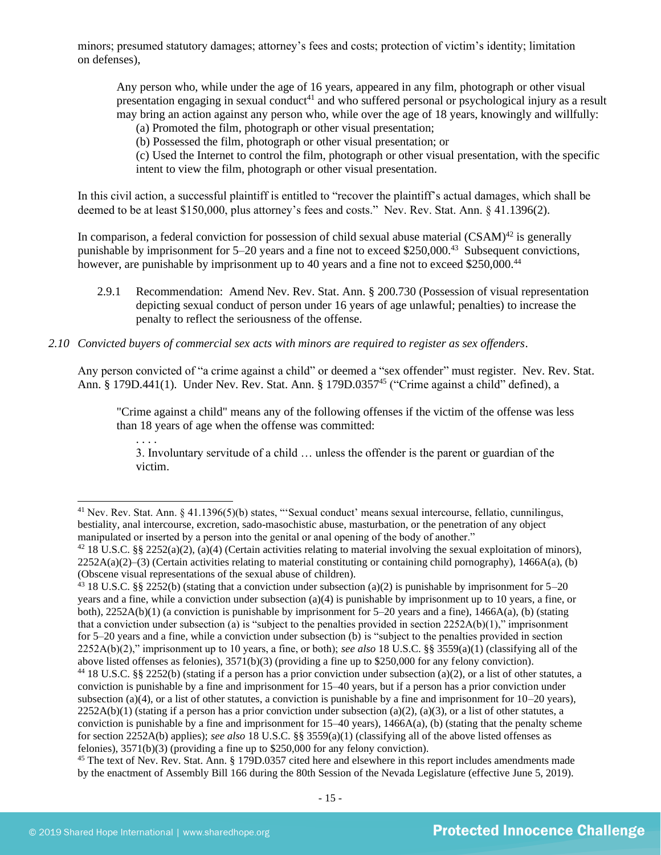minors; presumed statutory damages; attorney's fees and costs; protection of victim's identity; limitation on defenses),

Any person who, while under the age of 16 years, appeared in any film, photograph or other visual presentation engaging in sexual conduct<sup>41</sup> and who suffered personal or psychological injury as a result may bring an action against any person who, while over the age of 18 years, knowingly and willfully:

<span id="page-14-0"></span>(a) Promoted the film, photograph or other visual presentation;

(b) Possessed the film, photograph or other visual presentation; or

(c) Used the Internet to control the film, photograph or other visual presentation, with the specific intent to view the film, photograph or other visual presentation.

In this civil action, a successful plaintiff is entitled to "recover the plaintiff's actual damages, which shall be deemed to be at least \$150,000, plus attorney's fees and costs." Nev. Rev. Stat. Ann. § 41.1396(2).

In comparison, a federal conviction for possession of child sexual abuse material  $(CSAM)^{42}$  is generally punishable by imprisonment for 5–20 years and a fine not to exceed \$250,000.<sup>43</sup> Subsequent convictions, however, are punishable by imprisonment up to 40 years and a fine not to exceed \$250,000.<sup>44</sup>

2.9.1 Recommendation: Amend Nev. Rev. Stat. Ann. § 200.730 (Possession of visual representation depicting sexual conduct of person under 16 years of age unlawful; penalties) to increase the penalty to reflect the seriousness of the offense.

## *2.10 Convicted buyers of commercial sex acts with minors are required to register as sex offenders*.

Any person convicted of "a crime against a child" or deemed a "sex offender" must register. Nev. Rev. Stat. Ann. § 179D.441(1). Under Nev. Rev. Stat. Ann. § 179D.0357<sup>45</sup> ("Crime against a child" defined), a

"Crime against a child" means any of the following offenses if the victim of the offense was less than 18 years of age when the offense was committed:

3. Involuntary servitude of a child … unless the offender is the parent or guardian of the victim.

<span id="page-14-1"></span>. . . .

 $41$  Nev. Rev. Stat. Ann. § 41.1396(5)(b) states, "Sexual conduct' means sexual intercourse, fellatio, cunnilingus, bestiality, anal intercourse, excretion, sado-masochistic abuse, masturbation, or the penetration of any object manipulated or inserted by a person into the genital or anal opening of the body of another."

<sup>&</sup>lt;sup>42</sup> 18 U.S.C. §§ 2252(a)(2), (a)(4) (Certain activities relating to material involving the sexual exploitation of minors),  $2252A(a)(2)$ –(3) (Certain activities relating to material constituting or containing child pornography), 1466A(a), (b) (Obscene visual representations of the sexual abuse of children).

<sup>&</sup>lt;sup>43</sup> 18 U.S.C. §§ 2252(b) (stating that a conviction under subsection (a)(2) is punishable by imprisonment for 5–20 years and a fine, while a conviction under subsection (a)(4) is punishable by imprisonment up to 10 years, a fine, or both),  $2252A(b)(1)$  (a conviction is punishable by imprisonment for 5–20 years and a fine),  $1466A(a)$ , (b) (stating that a conviction under subsection (a) is "subject to the penalties provided in section  $2252A(b)(1)$ ," imprisonment for 5–20 years and a fine, while a conviction under subsection (b) is "subject to the penalties provided in section 2252A(b)(2)," imprisonment up to 10 years, a fine, or both); *see also* 18 U.S.C. §§ 3559(a)(1) (classifying all of the above listed offenses as felonies), 3571(b)(3) (providing a fine up to \$250,000 for any felony conviction).

<sup>&</sup>lt;sup>44</sup> 18 U.S.C. §§ 2252(b) (stating if a person has a prior conviction under subsection (a)(2), or a list of other statutes, a conviction is punishable by a fine and imprisonment for 15–40 years, but if a person has a prior conviction under subsection (a)(4), or a list of other statutes, a conviction is punishable by a fine and imprisonment for  $10-20$  years),  $2252A(b)(1)$  (stating if a person has a prior conviction under subsection (a)(2), (a)(3), or a list of other statutes, a conviction is punishable by a fine and imprisonment for  $15-40$  years),  $1466A(a)$ , (b) (stating that the penalty scheme for section 2252A(b) applies); *see also* 18 U.S.C. §§ 3559(a)(1) (classifying all of the above listed offenses as felonies), 3571(b)(3) (providing a fine up to \$250,000 for any felony conviction).

<sup>&</sup>lt;sup>45</sup> The text of Nev. Rev. Stat. Ann. § 179D.0357 cited here and elsewhere in this report includes amendments made by the enactment of Assembly Bill 166 during the 80th Session of the Nevada Legislature (effective June 5, 2019).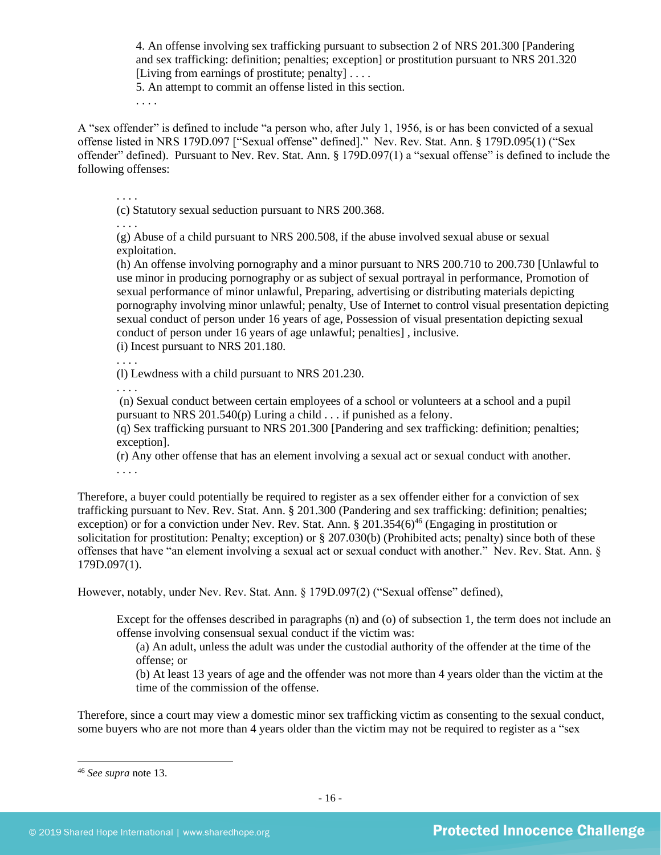4. An offense involving sex trafficking pursuant to subsection 2 of NRS 201.300 [Pandering and sex trafficking: definition; penalties; exception] or prostitution pursuant to NRS 201.320 [Living from earnings of prostitute; penalty]  $\dots$ 

5. An attempt to commit an offense listed in this section.

. . . .

A "sex offender" is defined to include "a person who, after July 1, 1956, is or has been convicted of a sexual offense listed in NRS 179D.097 ["Sexual offense" defined]." Nev. Rev. Stat. Ann. § 179D.095(1) ("Sex offender" defined). Pursuant to Nev. Rev. Stat. Ann. § 179D.097(1) a "sexual offense" is defined to include the following offenses:

. . . .

(c) Statutory sexual seduction pursuant to NRS 200.368.

. . . .

(g) Abuse of a child pursuant to NRS 200.508, if the abuse involved sexual abuse or sexual exploitation.

(h) An offense involving pornography and a minor pursuant to NRS 200.710 to 200.730 [Unlawful to use minor in producing pornography or as subject of sexual portrayal in performance, Promotion of sexual performance of minor unlawful, Preparing, advertising or distributing materials depicting pornography involving minor unlawful; penalty, Use of Internet to control visual presentation depicting sexual conduct of person under 16 years of age, Possession of visual presentation depicting sexual conduct of person under 16 years of age unlawful; penalties] , inclusive.

(i) Incest pursuant to NRS 201.180.

. . . .

(l) Lewdness with a child pursuant to NRS 201.230.

. . . .

(n) Sexual conduct between certain employees of a school or volunteers at a school and a pupil pursuant to NRS 201.540(p) Luring a child . . . if punished as a felony.

(q) Sex trafficking pursuant to NRS 201.300 [Pandering and sex trafficking: definition; penalties; exception].

(r) Any other offense that has an element involving a sexual act or sexual conduct with another. . . . .

Therefore, a buyer could potentially be required to register as a sex offender either for a conviction of sex trafficking pursuant to Nev. Rev. Stat. Ann. § 201.300 (Pandering and sex trafficking: definition; penalties; exception) or for a conviction under Nev. Rev. Stat. Ann. § 201.354(6)<sup>46</sup> (Engaging in prostitution or solicitation for prostitution: Penalty; exception) or § 207.030(b) (Prohibited acts; penalty) since both of these offenses that have "an element involving a sexual act or sexual conduct with another." Nev. Rev. Stat. Ann. § 179D.097(1).

However, notably, under Nev. Rev. Stat. Ann. § 179D.097(2) ("Sexual offense" defined),

Except for the offenses described in paragraphs (n) and (o) of subsection 1, the term does not include an offense involving consensual sexual conduct if the victim was:

(a) An adult, unless the adult was under the custodial authority of the offender at the time of the offense; or

(b) At least 13 years of age and the offender was not more than 4 years older than the victim at the time of the commission of the offense.

Therefore, since a court may view a domestic minor sex trafficking victim as consenting to the sexual conduct, some buyers who are not more than 4 years older than the victim may not be required to register as a "sex

<sup>46</sup> *See supra* note [13.](#page-3-0)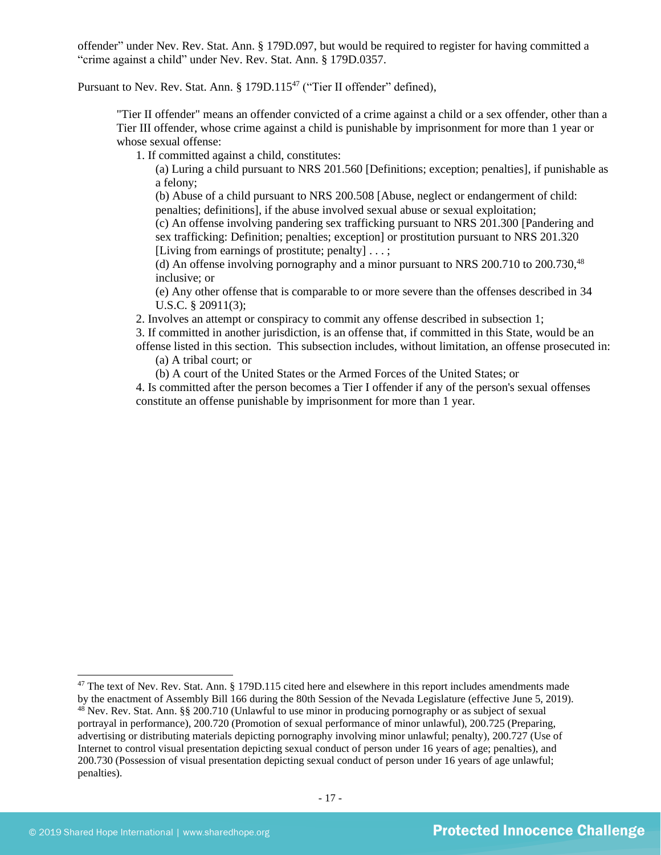offender" under Nev. Rev. Stat. Ann. § 179D.097, but would be required to register for having committed a "crime against a child" under Nev. Rev. Stat. Ann. § 179D.0357.

Pursuant to Nev. Rev. Stat. Ann. § 179D.115<sup>47</sup> ("Tier II offender" defined),

"Tier II offender" means an offender convicted of a crime against a child or a sex offender, other than a Tier III offender, whose crime against a child is punishable by imprisonment for more than 1 year or whose sexual offense:

1. If committed against a child, constitutes:

(a) Luring a child pursuant to NRS 201.560 [Definitions; exception; penalties], if punishable as a felony;

(b) Abuse of a child pursuant to NRS 200.508 [Abuse, neglect or endangerment of child: penalties; definitions], if the abuse involved sexual abuse or sexual exploitation;

(c) An offense involving pandering sex trafficking pursuant to NRS 201.300 [Pandering and sex trafficking: Definition; penalties; exception] or prostitution pursuant to NRS 201.320 [Living from earnings of prostitute; penalty]  $\dots$ ;

(d) An offense involving pornography and a minor pursuant to NRS 200.710 to 200.730,<sup>48</sup> inclusive; or

(e) Any other offense that is comparable to or more severe than the offenses described in 34 U.S.C. § 20911(3);

2. Involves an attempt or conspiracy to commit any offense described in subsection 1;

3. If committed in another jurisdiction, is an offense that, if committed in this State, would be an offense listed in this section. This subsection includes, without limitation, an offense prosecuted in:

(a) A tribal court; or

(b) A court of the United States or the Armed Forces of the United States; or

4. Is committed after the person becomes a Tier I offender if any of the person's sexual offenses constitute an offense punishable by imprisonment for more than 1 year.

<sup>&</sup>lt;sup>47</sup> The text of Nev. Rev. Stat. Ann. § 179D.115 cited here and elsewhere in this report includes amendments made by the enactment of Assembly Bill 166 during the 80th Session of the Nevada Legislature (effective June 5, 2019).  $^{48}$  Nev. Rev. Stat. Ann. §§ 200.710 (Unlawful to use minor in producing pornography or as subject of sexual portrayal in performance), 200.720 (Promotion of sexual performance of minor unlawful), 200.725 (Preparing, advertising or distributing materials depicting pornography involving minor unlawful; penalty), 200.727 (Use of Internet to control visual presentation depicting sexual conduct of person under 16 years of age; penalties), and 200.730 (Possession of visual presentation depicting sexual conduct of person under 16 years of age unlawful; penalties).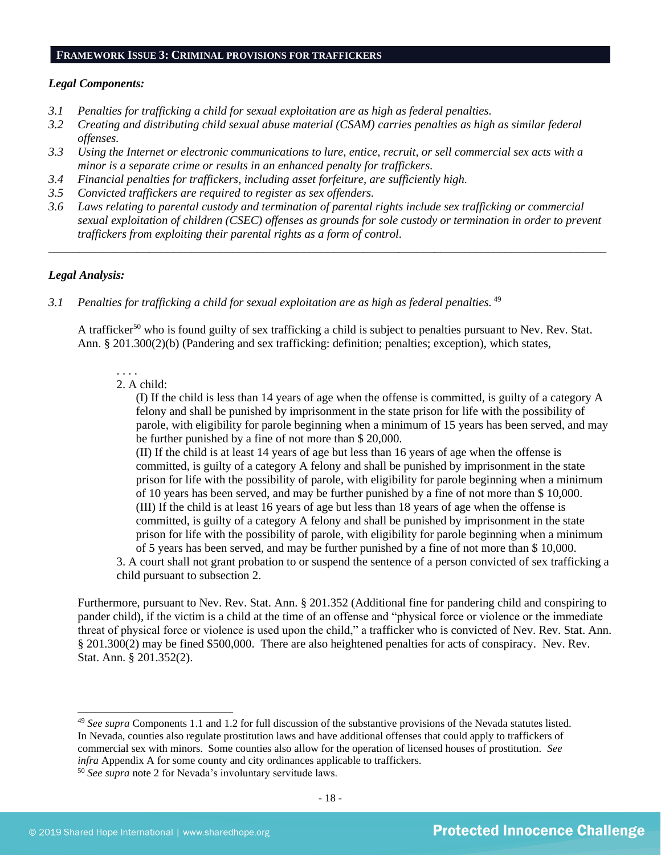#### **FRAMEWORK ISSUE 3: CRIMINAL PROVISIONS FOR TRAFFICKERS**

#### *Legal Components:*

- *3.1 Penalties for trafficking a child for sexual exploitation are as high as federal penalties.*
- *3.2 Creating and distributing child sexual abuse material (CSAM) carries penalties as high as similar federal offenses.*
- *3.3 Using the Internet or electronic communications to lure, entice, recruit, or sell commercial sex acts with a minor is a separate crime or results in an enhanced penalty for traffickers.*
- *3.4 Financial penalties for traffickers, including asset forfeiture, are sufficiently high.*
- *3.5 Convicted traffickers are required to register as sex offenders.*
- *3.6 Laws relating to parental custody and termination of parental rights include sex trafficking or commercial sexual exploitation of children (CSEC) offenses as grounds for sole custody or termination in order to prevent traffickers from exploiting their parental rights as a form of control.*

*\_\_\_\_\_\_\_\_\_\_\_\_\_\_\_\_\_\_\_\_\_\_\_\_\_\_\_\_\_\_\_\_\_\_\_\_\_\_\_\_\_\_\_\_\_\_\_\_\_\_\_\_\_\_\_\_\_\_\_\_\_\_\_\_\_\_\_\_\_\_\_\_\_\_\_\_\_\_\_\_\_\_\_\_\_\_\_\_\_\_\_\_\_\_*

#### *Legal Analysis:*

*3.1 Penalties for trafficking a child for sexual exploitation are as high as federal penalties.* <sup>49</sup> 

A trafficker<sup>50</sup> who is found guilty of sex trafficking a child is subject to penalties pursuant to Nev. Rev. Stat. Ann. § 201.300(2)(b) (Pandering and sex trafficking: definition; penalties; exception), which states,

#### 2. A child:

. . . .

(I) If the child is less than 14 years of age when the offense is committed, is guilty of a category A felony and shall be punished by imprisonment in the state prison for life with the possibility of parole, with eligibility for parole beginning when a minimum of 15 years has been served, and may be further punished by a fine of not more than \$ 20,000.

(II) If the child is at least 14 years of age but less than 16 years of age when the offense is committed, is guilty of a category A felony and shall be punished by imprisonment in the state prison for life with the possibility of parole, with eligibility for parole beginning when a minimum of 10 years has been served, and may be further punished by a fine of not more than \$ 10,000. (III) If the child is at least 16 years of age but less than 18 years of age when the offense is committed, is guilty of a category A felony and shall be punished by imprisonment in the state prison for life with the possibility of parole, with eligibility for parole beginning when a minimum of 5 years has been served, and may be further punished by a fine of not more than \$ 10,000.

3. A court shall not grant probation to or suspend the sentence of a person convicted of sex trafficking a child pursuant to subsection 2.

Furthermore, pursuant to Nev. Rev. Stat. Ann. § 201.352 (Additional fine for pandering child and conspiring to pander child), if the victim is a child at the time of an offense and "physical force or violence or the immediate threat of physical force or violence is used upon the child," a trafficker who is convicted of Nev. Rev. Stat. Ann. § 201.300(2) may be fined \$500,000. There are also heightened penalties for acts of conspiracy. Nev. Rev. Stat. Ann. § 201.352(2).

<sup>49</sup> *See supra* Components 1.1 and 1.2 for full discussion of the substantive provisions of the Nevada statutes listed. In Nevada, counties also regulate prostitution laws and have additional offenses that could apply to traffickers of commercial sex with minors. Some counties also allow for the operation of licensed houses of prostitution. *See infra* Appendix A for some county and city ordinances applicable to traffickers.

<sup>50</sup> *See supra* note [2](#page-0-0) for Nevada's involuntary servitude laws.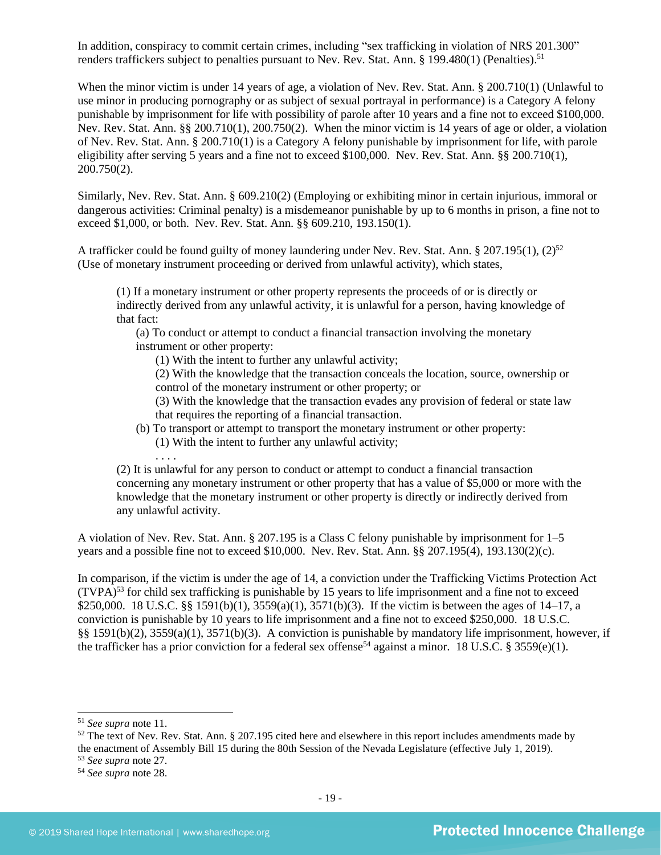In addition, conspiracy to commit certain crimes, including "sex trafficking in violation of NRS 201.300" renders traffickers subject to penalties pursuant to Nev. Rev. Stat. Ann. § 199.480(1) (Penalties).<sup>51</sup>

When the minor victim is under 14 years of age, a violation of Nev. Rev. Stat. Ann. § 200.710(1) (Unlawful to use minor in producing pornography or as subject of sexual portrayal in performance) is a Category A felony punishable by imprisonment for life with possibility of parole after 10 years and a fine not to exceed \$100,000. Nev. Rev. Stat. Ann. §§ 200.710(1), 200.750(2). When the minor victim is 14 years of age or older, a violation of Nev. Rev. Stat. Ann. § 200.710(1) is a Category A felony punishable by imprisonment for life, with parole eligibility after serving 5 years and a fine not to exceed \$100,000. Nev. Rev. Stat. Ann. §§ 200.710(1), 200.750(2).

Similarly, Nev. Rev. Stat. Ann. § 609.210(2) (Employing or exhibiting minor in certain injurious, immoral or dangerous activities: Criminal penalty) is a misdemeanor punishable by up to 6 months in prison, a fine not to exceed \$1,000, or both. Nev. Rev. Stat. Ann. §§ 609.210, 193.150(1).

A trafficker could be found guilty of money laundering under Nev. Rev. Stat. Ann. § 207.195(1), (2)<sup>52</sup> (Use of monetary instrument proceeding or derived from unlawful activity), which states,

(1) If a monetary instrument or other property represents the proceeds of or is directly or indirectly derived from any unlawful activity, it is unlawful for a person, having knowledge of that fact:

(a) To conduct or attempt to conduct a financial transaction involving the monetary instrument or other property:

<span id="page-18-0"></span>(1) With the intent to further any unlawful activity;

(2) With the knowledge that the transaction conceals the location, source, ownership or control of the monetary instrument or other property; or

(3) With the knowledge that the transaction evades any provision of federal or state law that requires the reporting of a financial transaction.

(b) To transport or attempt to transport the monetary instrument or other property: (1) With the intent to further any unlawful activity;

. . . .

(2) It is unlawful for any person to conduct or attempt to conduct a financial transaction concerning any monetary instrument or other property that has a value of \$5,000 or more with the knowledge that the monetary instrument or other property is directly or indirectly derived from any unlawful activity.

A violation of Nev. Rev. Stat. Ann. § 207.195 is a Class C felony punishable by imprisonment for 1–5 years and a possible fine not to exceed \$10,000. Nev. Rev. Stat. Ann. §§ 207.195(4), 193.130(2)(c).

In comparison, if the victim is under the age of 14, a conviction under the Trafficking Victims Protection Act  $(TVPA)^{53}$  for child sex trafficking is punishable by 15 years to life imprisonment and a fine not to exceed \$250,000. 18 U.S.C. §§ 1591(b)(1), 3559(a)(1), 3571(b)(3). If the victim is between the ages of 14–17, a conviction is punishable by 10 years to life imprisonment and a fine not to exceed \$250,000. 18 U.S.C. §§ 1591(b)(2), 3559(a)(1), 3571(b)(3). A conviction is punishable by mandatory life imprisonment, however, if the trafficker has a prior conviction for a federal sex offense<sup>54</sup> against a minor. 18 U.S.C. § 3559(e)(1).

<sup>53</sup> *See supra* note [27.](#page-9-0)

<sup>51</sup> *See supra* note [11.](#page-2-0)

 $52$  The text of Nev. Rev. Stat. Ann. § 207.195 cited here and elsewhere in this report includes amendments made by the enactment of Assembly Bill 15 during the 80th Session of the Nevada Legislature (effective July 1, 2019).

<sup>54</sup> *See supra* note [28.](#page-9-1)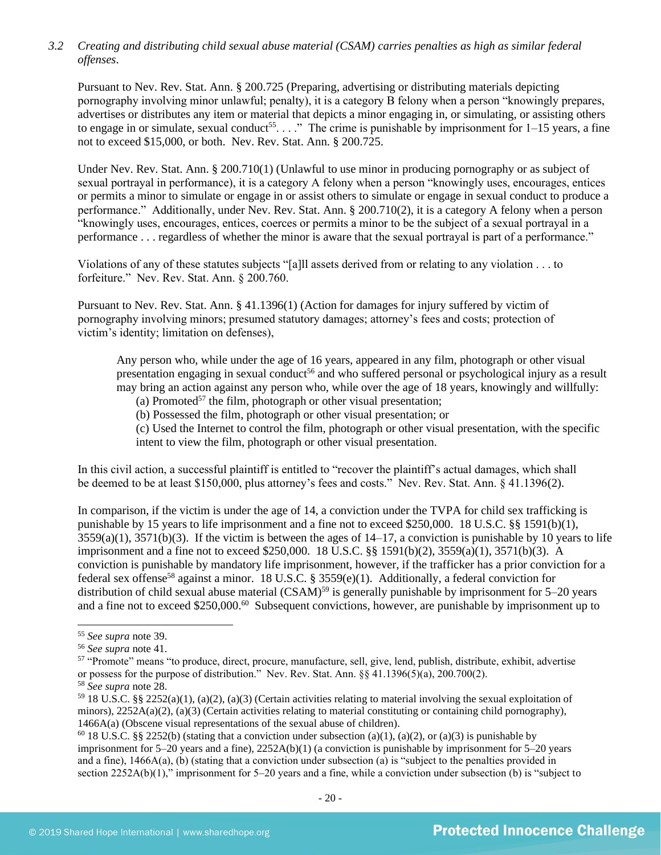## *3.2 Creating and distributing child sexual abuse material (CSAM) carries penalties as high as similar federal offenses*.

Pursuant to Nev. Rev. Stat. Ann. § 200.725 (Preparing, advertising or distributing materials depicting pornography involving minor unlawful; penalty), it is a category B felony when a person "knowingly prepares, advertises or distributes any item or material that depicts a minor engaging in, or simulating, or assisting others to engage in or simulate, sexual conduct<sup>55</sup>...." The crime is punishable by imprisonment for  $1-15$  years, a fine not to exceed \$15,000, or both. Nev. Rev. Stat. Ann. § 200.725.

Under Nev. Rev. Stat. Ann. § 200.710(1) (Unlawful to use minor in producing pornography or as subject of sexual portrayal in performance), it is a category A felony when a person "knowingly uses, encourages, entices or permits a minor to simulate or engage in or assist others to simulate or engage in sexual conduct to produce a performance." Additionally, under Nev. Rev. Stat. Ann. § 200.710(2), it is a category A felony when a person "knowingly uses, encourages, entices, coerces or permits a minor to be the subject of a sexual portrayal in a performance . . . regardless of whether the minor is aware that the sexual portrayal is part of a performance."

Violations of any of these statutes subjects "[a]ll assets derived from or relating to any violation . . . to forfeiture." Nev. Rev. Stat. Ann. § 200.760.

Pursuant to Nev. Rev. Stat. Ann. § 41.1396(1) (Action for damages for injury suffered by victim of pornography involving minors; presumed statutory damages; attorney's fees and costs; protection of victim's identity; limitation on defenses),

Any person who, while under the age of 16 years, appeared in any film, photograph or other visual presentation engaging in sexual conduct<sup>56</sup> and who suffered personal or psychological injury as a result may bring an action against any person who, while over the age of 18 years, knowingly and willfully:

<span id="page-19-0"></span>(a) Promoted<sup>57</sup> the film, photograph or other visual presentation;

(b) Possessed the film, photograph or other visual presentation; or

(c) Used the Internet to control the film, photograph or other visual presentation, with the specific intent to view the film, photograph or other visual presentation.

In this civil action, a successful plaintiff is entitled to "recover the plaintiff's actual damages, which shall be deemed to be at least \$150,000, plus attorney's fees and costs." Nev. Rev. Stat. Ann. § 41.1396(2).

In comparison, if the victim is under the age of 14, a conviction under the TVPA for child sex trafficking is punishable by 15 years to life imprisonment and a fine not to exceed \$250,000. 18 U.S.C. §§ 1591(b)(1),  $3559(a)(1)$ ,  $3571(b)(3)$ . If the victim is between the ages of  $14-17$ , a conviction is punishable by 10 years to life imprisonment and a fine not to exceed \$250,000. 18 U.S.C. §§ 1591(b)(2), 3559(a)(1), 3571(b)(3). A conviction is punishable by mandatory life imprisonment, however, if the trafficker has a prior conviction for a federal sex offense<sup>58</sup> against a minor. 18 U.S.C. § 3559(e)(1). Additionally, a federal conviction for distribution of child sexual abuse material  $(CSAM)^{59}$  is generally punishable by imprisonment for 5–20 years and a fine not to exceed \$250,000.<sup>60</sup> Subsequent convictions, however, are punishable by imprisonment up to

<sup>60</sup> 18 U.S.C. §§ 2252(b) (stating that a conviction under subsection (a)(1), (a)(2), or (a)(3) is punishable by imprisonment for 5–20 years and a fine), 2252A(b)(1) (a conviction is punishable by imprisonment for 5–20 years and a fine), 1466A(a), (b) (stating that a conviction under subsection (a) is "subject to the penalties provided in section 2252A(b)(1)," imprisonment for 5–20 years and a fine, while a conviction under subsection (b) is "subject to

<sup>55</sup> *See supra* note [39.](#page-13-0)

<sup>56</sup> *See supra* note [41.](#page-14-0)

<sup>57</sup> "Promote" means "to produce, direct, procure, manufacture, sell, give, lend, publish, distribute, exhibit, advertise or possess for the purpose of distribution." Nev. Rev. Stat. Ann. §§ 41.1396(5)(a), 200.700(2).

<sup>58</sup> *See supra* note [28.](#page-9-1)

 $59$  18 U.S.C. §§ 2252(a)(1), (a)(2), (a)(3) (Certain activities relating to material involving the sexual exploitation of minors),  $2252A(a)(2)$ , (a)(3) (Certain activities relating to material constituting or containing child pornography), 1466A(a) (Obscene visual representations of the sexual abuse of children).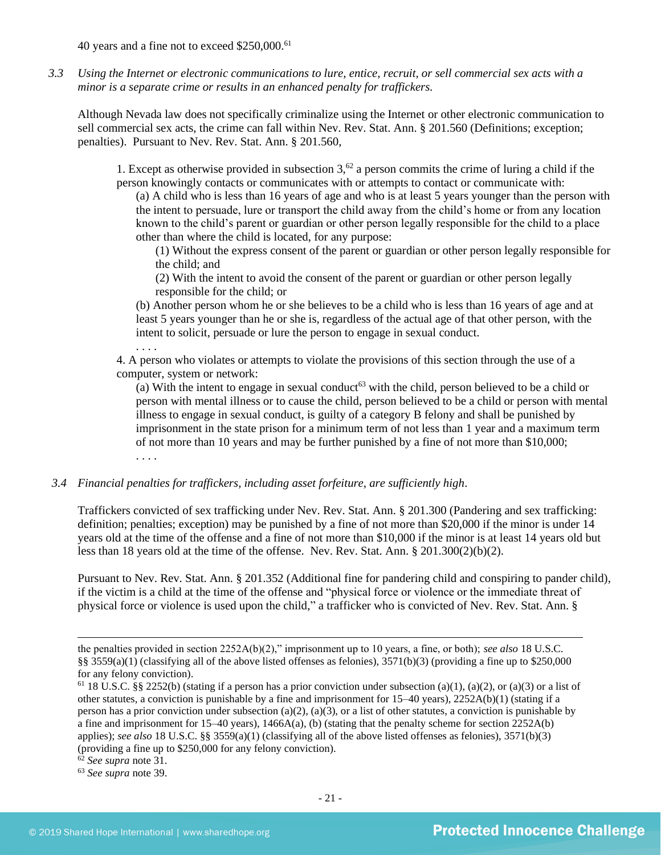40 years and a fine not to exceed \$250,000.<sup>61</sup>

*3.3 Using the Internet or electronic communications to lure, entice, recruit, or sell commercial sex acts with a minor is a separate crime or results in an enhanced penalty for traffickers.*

Although Nevada law does not specifically criminalize using the Internet or other electronic communication to sell commercial sex acts, the crime can fall within Nev. Rev. Stat. Ann. § 201.560 (Definitions; exception; penalties). Pursuant to Nev. Rev. Stat. Ann. § 201.560,

1. Except as otherwise provided in subsection  $3^{62}$  a person commits the crime of luring a child if the person knowingly contacts or communicates with or attempts to contact or communicate with:

(a) A child who is less than 16 years of age and who is at least 5 years younger than the person with the intent to persuade, lure or transport the child away from the child's home or from any location known to the child's parent or guardian or other person legally responsible for the child to a place other than where the child is located, for any purpose:

(1) Without the express consent of the parent or guardian or other person legally responsible for the child; and

(2) With the intent to avoid the consent of the parent or guardian or other person legally responsible for the child; or

(b) Another person whom he or she believes to be a child who is less than 16 years of age and at least 5 years younger than he or she is, regardless of the actual age of that other person, with the intent to solicit, persuade or lure the person to engage in sexual conduct.

. . . .

4. A person who violates or attempts to violate the provisions of this section through the use of a computer, system or network:

(a) With the intent to engage in sexual conduct<sup>63</sup> with the child, person believed to be a child or person with mental illness or to cause the child, person believed to be a child or person with mental illness to engage in sexual conduct, is guilty of a category B felony and shall be punished by imprisonment in the state prison for a minimum term of not less than 1 year and a maximum term of not more than 10 years and may be further punished by a fine of not more than \$10,000; . . . .

*3.4 Financial penalties for traffickers, including asset forfeiture, are sufficiently high*.

Traffickers convicted of sex trafficking under Nev. Rev. Stat. Ann. § 201.300 (Pandering and sex trafficking: definition; penalties; exception) may be punished by a fine of not more than \$20,000 if the minor is under 14 years old at the time of the offense and a fine of not more than \$10,000 if the minor is at least 14 years old but less than 18 years old at the time of the offense. Nev. Rev. Stat. Ann. § 201.300(2)(b)(2).

Pursuant to Nev. Rev. Stat. Ann. § 201.352 (Additional fine for pandering child and conspiring to pander child), if the victim is a child at the time of the offense and "physical force or violence or the immediate threat of physical force or violence is used upon the child," a trafficker who is convicted of Nev. Rev. Stat. Ann. §

the penalties provided in section 2252A(b)(2)," imprisonment up to 10 years, a fine, or both); *see also* 18 U.S.C. §§ 3559(a)(1) (classifying all of the above listed offenses as felonies),  $3571(b)(3)$  (providing a fine up to \$250,000 for any felony conviction).

<sup>&</sup>lt;sup>61</sup> 18 U.S.C. §§ 2252(b) (stating if a person has a prior conviction under subsection (a)(1), (a)(2), or (a)(3) or a list of other statutes, a conviction is punishable by a fine and imprisonment for  $15-40$  years),  $2252A(b)(1)$  (stating if a person has a prior conviction under subsection (a)(2), (a)(3), or a list of other statutes, a conviction is punishable by a fine and imprisonment for  $15-40$  years),  $1466A(a)$ , (b) (stating that the penalty scheme for section  $2252A(b)$ applies); *see also* 18 U.S.C. §§ 3559(a)(1) (classifying all of the above listed offenses as felonies), 3571(b)(3) (providing a fine up to \$250,000 for any felony conviction).

<sup>62</sup> *See supra* note [31.](#page-10-0)

<sup>63</sup> *See supra* note [39.](#page-13-0)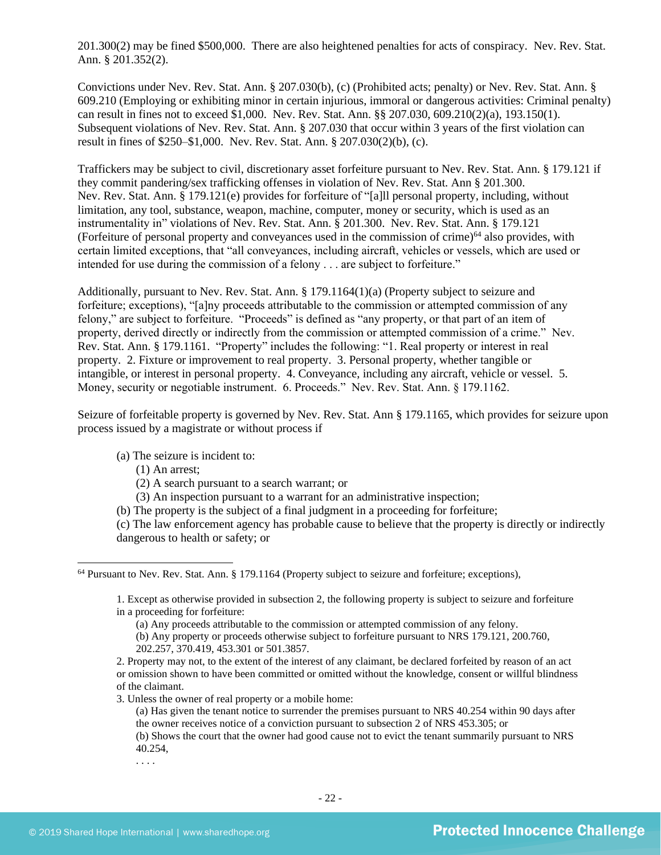201.300(2) may be fined \$500,000. There are also heightened penalties for acts of conspiracy. Nev. Rev. Stat. Ann. § 201.352(2).

Convictions under Nev. Rev. Stat. Ann. § 207.030(b), (c) (Prohibited acts; penalty) or Nev. Rev. Stat. Ann. § 609.210 (Employing or exhibiting minor in certain injurious, immoral or dangerous activities: Criminal penalty) can result in fines not to exceed \$1,000. Nev. Rev. Stat. Ann. §§ 207.030, 609.210(2)(a), 193.150(1). Subsequent violations of Nev. Rev. Stat. Ann. § 207.030 that occur within 3 years of the first violation can result in fines of \$250–\$1,000. Nev. Rev. Stat. Ann. § 207.030(2)(b), (c).

Traffickers may be subject to civil, discretionary asset forfeiture pursuant to Nev. Rev. Stat. Ann. § 179.121 if they commit pandering/sex trafficking offenses in violation of Nev. Rev. Stat. Ann § 201.300. Nev. Rev. Stat. Ann. § 179.121(e) provides for forfeiture of "[a]ll personal property, including, without limitation, any tool, substance, weapon, machine, computer, money or security, which is used as an instrumentality in" violations of Nev. Rev. Stat. Ann. § 201.300.Nev. Rev. Stat. Ann. § 179.121 (Forfeiture of personal property and conveyances used in the commission of crime) $^{64}$  also provides, with certain limited exceptions, that "all conveyances, including aircraft, vehicles or vessels, which are used or intended for use during the commission of a felony . . . are subject to forfeiture."

Additionally, pursuant to Nev. Rev. Stat. Ann. § 179.1164(1)(a) (Property subject to seizure and forfeiture; exceptions), "[a]ny proceeds attributable to the commission or attempted commission of any felony," are subject to forfeiture. "Proceeds" is defined as "any property, or that part of an item of property, derived directly or indirectly from the commission or attempted commission of a crime." Nev. Rev. Stat. Ann. § 179.1161. "Property" includes the following: "1. Real property or interest in real property. 2. Fixture or improvement to real property. 3. Personal property, whether tangible or intangible, or interest in personal property. 4. Conveyance, including any aircraft, vehicle or vessel. 5. Money, security or negotiable instrument. 6. Proceeds." Nev. Rev. Stat. Ann. § 179.1162.

Seizure of forfeitable property is governed by Nev. Rev. Stat. Ann § 179.1165, which provides for seizure upon process issued by a magistrate or without process if

(a) The seizure is incident to:

(1) An arrest;

(2) A search pursuant to a search warrant; or

(3) An inspection pursuant to a warrant for an administrative inspection;

(b) The property is the subject of a final judgment in a proceeding for forfeiture;

(c) The law enforcement agency has probable cause to believe that the property is directly or indirectly dangerous to health or safety; or

(b) Any property or proceeds otherwise subject to forfeiture pursuant to NRS 179.121, 200.760, 202.257, 370.419, 453.301 or 501.3857.

3. Unless the owner of real property or a mobile home:

. . . .

<sup>64</sup> Pursuant to Nev. Rev. Stat. Ann. § 179.1164 (Property subject to seizure and forfeiture; exceptions),

<sup>1.</sup> Except as otherwise provided in subsection 2, the following property is subject to seizure and forfeiture in a proceeding for forfeiture:

<sup>(</sup>a) Any proceeds attributable to the commission or attempted commission of any felony.

<sup>2.</sup> Property may not, to the extent of the interest of any claimant, be declared forfeited by reason of an act or omission shown to have been committed or omitted without the knowledge, consent or willful blindness of the claimant.

<sup>(</sup>a) Has given the tenant notice to surrender the premises pursuant to NRS 40.254 within 90 days after the owner receives notice of a conviction pursuant to subsection 2 of NRS 453.305; or

<sup>(</sup>b) Shows the court that the owner had good cause not to evict the tenant summarily pursuant to NRS 40.254,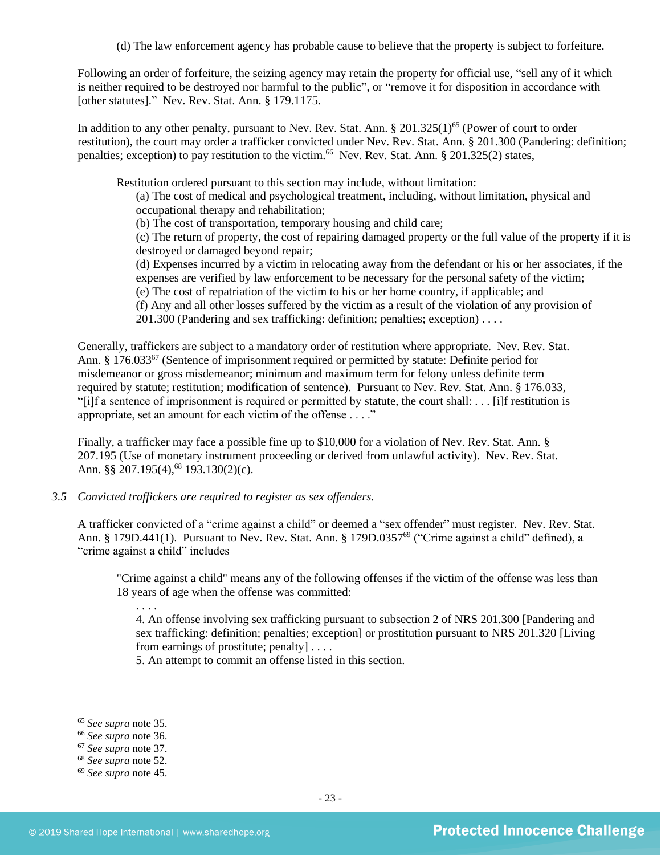Following an order of forfeiture, the seizing agency may retain the property for official use, "sell any of it which is neither required to be destroyed nor harmful to the public", or "remove it for disposition in accordance with [other statutes]." Nev. Rev. Stat. Ann. § 179.1175.

In addition to any other penalty, pursuant to Nev. Rev. Stat. Ann.  $\S 201.325(1)^{65}$  (Power of court to order restitution), the court may order a trafficker convicted under Nev. Rev. Stat. Ann. § 201.300 (Pandering: definition; penalties; exception) to pay restitution to the victim.<sup>66</sup> Nev. Rev. Stat. Ann. § 201.325(2) states,

Restitution ordered pursuant to this section may include, without limitation:

(a) The cost of medical and psychological treatment, including, without limitation, physical and occupational therapy and rehabilitation;

(b) The cost of transportation, temporary housing and child care;

(c) The return of property, the cost of repairing damaged property or the full value of the property if it is destroyed or damaged beyond repair;

(d) Expenses incurred by a victim in relocating away from the defendant or his or her associates, if the expenses are verified by law enforcement to be necessary for the personal safety of the victim;

(e) The cost of repatriation of the victim to his or her home country, if applicable; and

(f) Any and all other losses suffered by the victim as a result of the violation of any provision of

201.300 (Pandering and sex trafficking: definition; penalties; exception) . . . .

Generally, traffickers are subject to a mandatory order of restitution where appropriate. Nev. Rev. Stat. Ann. § 176.033<sup>67</sup> (Sentence of imprisonment required or permitted by statute: Definite period for misdemeanor or gross misdemeanor; minimum and maximum term for felony unless definite term required by statute; restitution; modification of sentence). Pursuant to Nev. Rev. Stat. Ann. § 176.033, "[i]f a sentence of imprisonment is required or permitted by statute, the court shall: . . . [i]f restitution is appropriate, set an amount for each victim of the offense . . . ."

Finally, a trafficker may face a possible fine up to \$10,000 for a violation of Nev. Rev. Stat. Ann. § 207.195 (Use of monetary instrument proceeding or derived from unlawful activity). Nev. Rev. Stat. Ann. §§ 207.195(4),<sup>68</sup> 193.130(2)(c).

*3.5 Convicted traffickers are required to register as sex offenders.*

A trafficker convicted of a "crime against a child" or deemed a "sex offender" must register. Nev. Rev. Stat. Ann. § 179D.441(1). Pursuant to Nev. Rev. Stat. Ann. § 179D.0357<sup>69</sup> ("Crime against a child" defined), a "crime against a child" includes

"Crime against a child" means any of the following offenses if the victim of the offense was less than 18 years of age when the offense was committed:

. . . .

4. An offense involving sex trafficking pursuant to subsection 2 of NRS 201.300 [Pandering and sex trafficking: definition; penalties; exception] or prostitution pursuant to NRS 201.320 [Living from earnings of prostitute; penalty] . . . .

5. An attempt to commit an offense listed in this section.

<sup>65</sup> *See supra* note [35.](#page-12-0)

<sup>66</sup> *See supra* note [36.](#page-12-1)

<sup>67</sup> *See supra* note [37.](#page-12-2)

<sup>68</sup> *See supra* note [52.](#page-18-0)

<sup>69</sup> *See supra* note [45.](#page-14-1)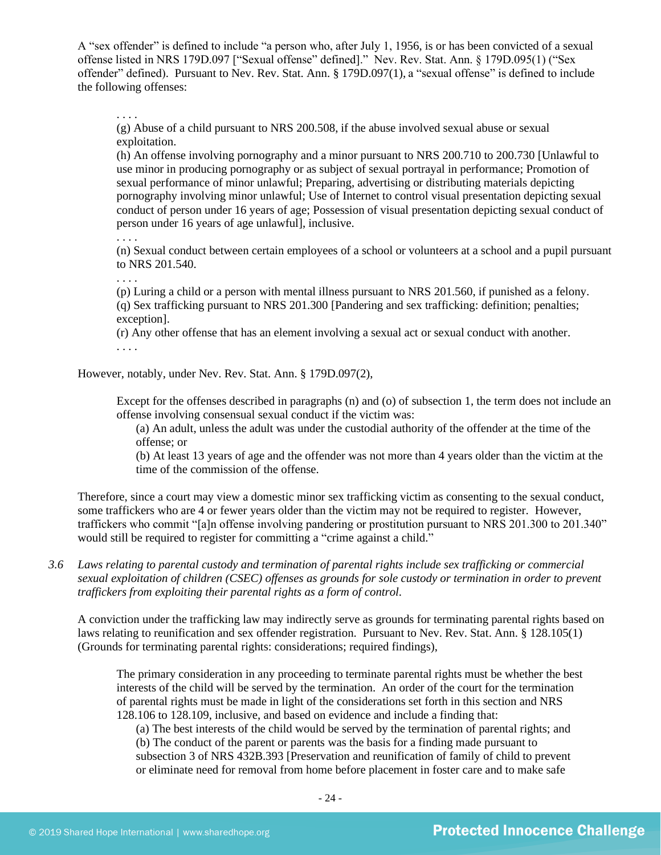A "sex offender" is defined to include "a person who, after July 1, 1956, is or has been convicted of a sexual offense listed in NRS 179D.097 ["Sexual offense" defined]." Nev. Rev. Stat. Ann. § 179D.095(1) ("Sex offender" defined). Pursuant to Nev. Rev. Stat. Ann. § 179D.097(1), a "sexual offense" is defined to include the following offenses:

. . . .

(g) Abuse of a child pursuant to NRS 200.508, if the abuse involved sexual abuse or sexual exploitation.

(h) An offense involving pornography and a minor pursuant to NRS 200.710 to 200.730 [Unlawful to use minor in producing pornography or as subject of sexual portrayal in performance; Promotion of sexual performance of minor unlawful; Preparing, advertising or distributing materials depicting pornography involving minor unlawful; Use of Internet to control visual presentation depicting sexual conduct of person under 16 years of age; Possession of visual presentation depicting sexual conduct of person under 16 years of age unlawful], inclusive.

. . . .

(n) Sexual conduct between certain employees of a school or volunteers at a school and a pupil pursuant to NRS [201.540.](http://www.leg.state.nv.us/NRS/NRS-201.html#NRS201Sec540)

. . . .

(p) Luring a child or a person with mental illness pursuant to NRS 201.560, if punished as a felony. (q) Sex trafficking pursuant to NRS 201.300 [Pandering and sex trafficking: definition; penalties; exception].

(r) Any other offense that has an element involving a sexual act or sexual conduct with another. . . . .

However, notably, under Nev. Rev. Stat. Ann. § 179D.097(2),

Except for the offenses described in paragraphs (n) and (o) of subsection 1, the term does not include an offense involving consensual sexual conduct if the victim was:

(a) An adult, unless the adult was under the custodial authority of the offender at the time of the offense; or

(b) At least 13 years of age and the offender was not more than 4 years older than the victim at the time of the commission of the offense.

Therefore, since a court may view a domestic minor sex trafficking victim as consenting to the sexual conduct, some traffickers who are 4 or fewer years older than the victim may not be required to register. However, traffickers who commit "[a]n offense involving pandering or prostitution pursuant to NRS 201.300 to 201.340" would still be required to register for committing a "crime against a child."

*3.6 Laws relating to parental custody and termination of parental rights include sex trafficking or commercial sexual exploitation of children (CSEC) offenses as grounds for sole custody or termination in order to prevent traffickers from exploiting their parental rights as a form of control.* 

A conviction under the trafficking law may indirectly serve as grounds for terminating parental rights based on laws relating to reunification and sex offender registration. Pursuant to Nev. Rev. Stat. Ann. § 128.105(1) (Grounds for terminating parental rights: considerations; required findings),

The primary consideration in any proceeding to terminate parental rights must be whether the best interests of the child will be served by the termination. An order of the court for the termination of parental rights must be made in light of the considerations set forth in this section and NRS 128.106 to 128.109, inclusive, and based on evidence and include a finding that:

(a) The best interests of the child would be served by the termination of parental rights; and

(b) The conduct of the parent or parents was the basis for a finding made pursuant to subsection 3 of NRS 432B.393 [Preservation and reunification of family of child to prevent or eliminate need for removal from home before placement in foster care and to make safe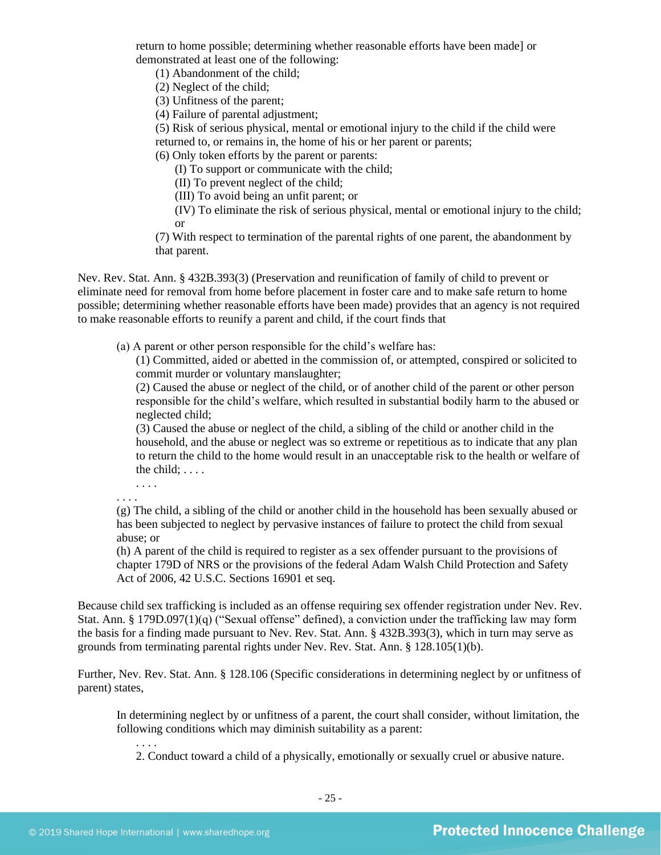return to home possible; determining whether reasonable efforts have been made] or demonstrated at least one of the following:

(1) Abandonment of the child;

(2) Neglect of the child;

(3) Unfitness of the parent;

(4) Failure of parental adjustment;

(5) Risk of serious physical, mental or emotional injury to the child if the child were

returned to, or remains in, the home of his or her parent or parents;

(6) Only token efforts by the parent or parents:

(I) To support or communicate with the child;

(II) To prevent neglect of the child;

(III) To avoid being an unfit parent; or

(IV) To eliminate the risk of serious physical, mental or emotional injury to the child; or

(7) With respect to termination of the parental rights of one parent, the abandonment by that parent.

Nev. Rev. Stat. Ann. § 432B.393(3) (Preservation and reunification of family of child to prevent or eliminate need for removal from home before placement in foster care and to make safe return to home possible; determining whether reasonable efforts have been made) provides that an agency is not required to make reasonable efforts to reunify a parent and child, if the court finds that

(a) A parent or other person responsible for the child's welfare has:

(1) Committed, aided or abetted in the commission of, or attempted, conspired or solicited to commit murder or voluntary manslaughter;

(2) Caused the abuse or neglect of the child, or of another child of the parent or other person responsible for the child's welfare, which resulted in substantial bodily harm to the abused or neglected child;

(3) Caused the abuse or neglect of the child, a sibling of the child or another child in the household, and the abuse or neglect was so extreme or repetitious as to indicate that any plan to return the child to the home would result in an unacceptable risk to the health or welfare of the child;  $\dots$ 

. . . . . . . .

(g) The child, a sibling of the child or another child in the household has been sexually abused or has been subjected to neglect by pervasive instances of failure to protect the child from sexual abuse; or

(h) A parent of the child is required to register as a sex offender pursuant to the provisions of chapter 179D of NRS or the provisions of the federal Adam Walsh Child Protection and Safety Act of 2006, 42 U.S.C. Sections 16901 et seq.

Because child sex trafficking is included as an offense requiring sex offender registration under Nev. Rev. Stat. Ann. § 179D.097(1)(q) ("Sexual offense" defined), a conviction under the trafficking law may form the basis for a finding made pursuant to Nev. Rev. Stat. Ann. § 432B.393(3), which in turn may serve as grounds from terminating parental rights under Nev. Rev. Stat. Ann. § 128.105(1)(b).

Further, Nev. Rev. Stat. Ann. § 128.106 (Specific considerations in determining neglect by or unfitness of parent) states,

In determining neglect by or unfitness of a parent, the court shall consider, without limitation, the following conditions which may diminish suitability as a parent:

2. Conduct toward a child of a physically, emotionally or sexually cruel or abusive nature.

. . . .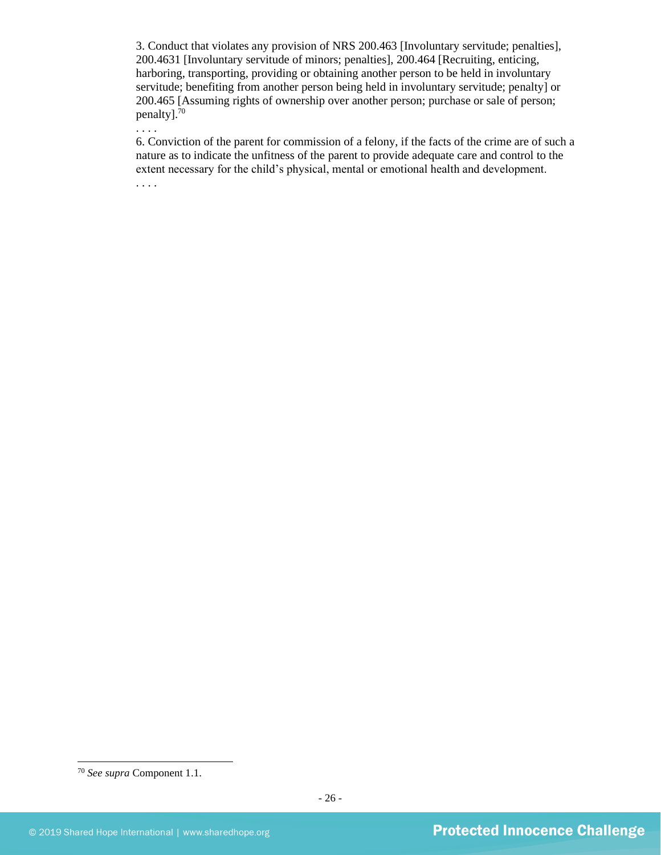3. Conduct that violates any provision of NRS 200.463 [Involuntary servitude; penalties], 200.4631 [Involuntary servitude of minors; penalties], 200.464 [Recruiting, enticing, harboring, transporting, providing or obtaining another person to be held in involuntary servitude; benefiting from another person being held in involuntary servitude; penalty] or 200.465 [Assuming rights of ownership over another person; purchase or sale of person; penalty].<sup>70</sup>

6. Conviction of the parent for commission of a felony, if the facts of the crime are of such a nature as to indicate the unfitness of the parent to provide adequate care and control to the extent necessary for the child's physical, mental or emotional health and development. . . . .

. . . .

<sup>70</sup> *See supra* Component 1.1.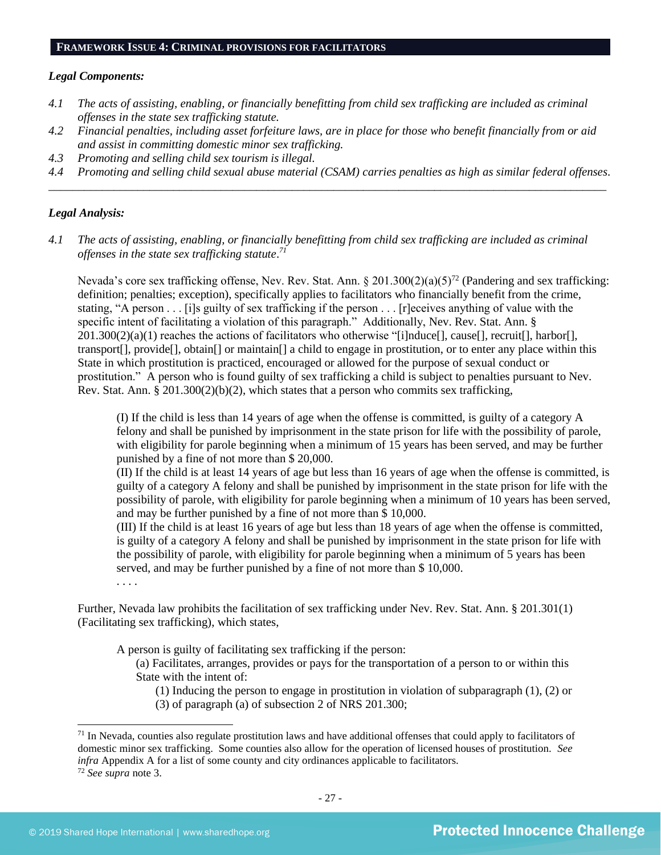#### **FRAMEWORK ISSUE 4: CRIMINAL PROVISIONS FOR FACILITATORS**

#### *Legal Components:*

- *4.1 The acts of assisting, enabling, or financially benefitting from child sex trafficking are included as criminal offenses in the state sex trafficking statute.*
- *4.2 Financial penalties, including asset forfeiture laws, are in place for those who benefit financially from or aid and assist in committing domestic minor sex trafficking.*
- *4.3 Promoting and selling child sex tourism is illegal.*
- *4.4 Promoting and selling child sexual abuse material (CSAM) carries penalties as high as similar federal offenses. \_\_\_\_\_\_\_\_\_\_\_\_\_\_\_\_\_\_\_\_\_\_\_\_\_\_\_\_\_\_\_\_\_\_\_\_\_\_\_\_\_\_\_\_\_\_\_\_\_\_\_\_\_\_\_\_\_\_\_\_\_\_\_\_\_\_\_\_\_\_\_\_\_\_\_\_\_\_\_\_\_\_\_\_\_\_\_\_\_\_\_\_\_\_*

#### *Legal Analysis:*

*4.1 The acts of assisting, enabling, or financially benefitting from child sex trafficking are included as criminal offenses in the state sex trafficking statute*. *71*

Nevada's core sex trafficking offense, Nev. Rev. Stat. Ann. § 201.300(2)(a)(5)<sup>72</sup> (Pandering and sex trafficking: definition; penalties; exception), specifically applies to facilitators who financially benefit from the crime, stating, "A person . . . [i]s guilty of sex trafficking if the person . . . [r]eceives anything of value with the specific intent of facilitating a violation of this paragraph." Additionally, Nev. Rev. Stat. Ann. §  $201.300(2)(a)(1)$  reaches the actions of facilitators who otherwise "[i]nduce[], cause[], recruit[], harbor[], transport[], provide[], obtain[] or maintain[] a child to engage in prostitution, or to enter any place within this State in which prostitution is practiced, encouraged or allowed for the purpose of sexual conduct or prostitution." A person who is found guilty of sex trafficking a child is subject to penalties pursuant to Nev. Rev. Stat. Ann. § 201.300(2)(b)(2), which states that a person who commits sex trafficking,

(I) If the child is less than 14 years of age when the offense is committed, is guilty of a category A felony and shall be punished by imprisonment in the state prison for life with the possibility of parole, with eligibility for parole beginning when a minimum of 15 years has been served, and may be further punished by a fine of not more than \$ 20,000.

(II) If the child is at least 14 years of age but less than 16 years of age when the offense is committed, is guilty of a category A felony and shall be punished by imprisonment in the state prison for life with the possibility of parole, with eligibility for parole beginning when a minimum of 10 years has been served, and may be further punished by a fine of not more than \$ 10,000.

(III) If the child is at least 16 years of age but less than 18 years of age when the offense is committed, is guilty of a category A felony and shall be punished by imprisonment in the state prison for life with the possibility of parole, with eligibility for parole beginning when a minimum of 5 years has been served, and may be further punished by a fine of not more than \$ 10,000.

. . . .

Further, Nevada law prohibits the facilitation of sex trafficking under Nev. Rev. Stat. Ann. § 201.301(1) (Facilitating sex trafficking), which states,

A person is guilty of facilitating sex trafficking if the person:

(a) Facilitates, arranges, provides or pays for the transportation of a person to or within this State with the intent of:

(1) Inducing the person to engage in prostitution in violation of subparagraph (1), (2) or

(3) of paragraph (a) of subsection 2 of NRS 201.300;

 $71$  In Nevada, counties also regulate prostitution laws and have additional offenses that could apply to facilitators of domestic minor sex trafficking. Some counties also allow for the operation of licensed houses of prostitution. *See infra* Appendix A for a list of some county and city ordinances applicable to facilitators.

<sup>72</sup> *See supra* note [3.](#page-0-1)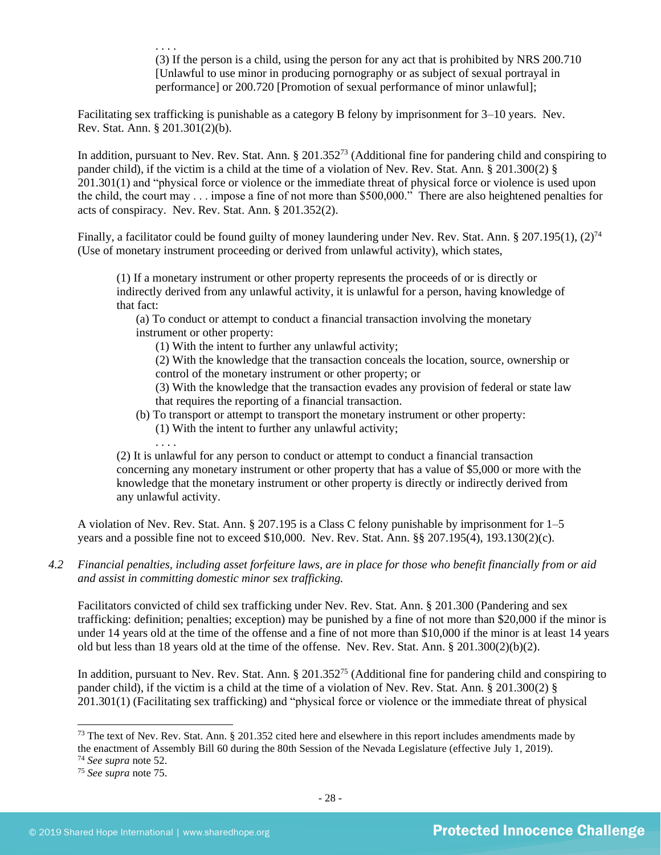. . . . (3) If the person is a child, using the person for any act that is prohibited by NRS 200.710 [Unlawful to use minor in producing pornography or as subject of sexual portrayal in performance] or 200.720 [Promotion of sexual performance of minor unlawful];

Facilitating sex trafficking is punishable as a category B felony by imprisonment for 3–10 years. Nev. Rev. Stat. Ann. § 201.301(2)(b).

In addition, pursuant to Nev. Rev. Stat. Ann. § 201.352<sup>73</sup> (Additional fine for pandering child and conspiring to pander child), if the victim is a child at the time of a violation of Nev. Rev. Stat. Ann. § 201.300(2) § 201.301(1) and "physical force or violence or the immediate threat of physical force or violence is used upon the child, the court may . . . impose a fine of not more than \$500,000." There are also heightened penalties for acts of conspiracy. Nev. Rev. Stat. Ann. § 201.352(2).

Finally, a facilitator could be found guilty of money laundering under Nev. Rev. Stat. Ann. § 207.195(1),  $(2)^{74}$ (Use of monetary instrument proceeding or derived from unlawful activity), which states,

(1) If a monetary instrument or other property represents the proceeds of or is directly or indirectly derived from any unlawful activity, it is unlawful for a person, having knowledge of that fact:

(a) To conduct or attempt to conduct a financial transaction involving the monetary instrument or other property:

(1) With the intent to further any unlawful activity;

(2) With the knowledge that the transaction conceals the location, source, ownership or control of the monetary instrument or other property; or

(3) With the knowledge that the transaction evades any provision of federal or state law that requires the reporting of a financial transaction.

- (b) To transport or attempt to transport the monetary instrument or other property:
	- (1) With the intent to further any unlawful activity;

(2) It is unlawful for any person to conduct or attempt to conduct a financial transaction concerning any monetary instrument or other property that has a value of \$5,000 or more with the knowledge that the monetary instrument or other property is directly or indirectly derived from any unlawful activity.

A violation of Nev. Rev. Stat. Ann. § 207.195 is a Class C felony punishable by imprisonment for 1–5 years and a possible fine not to exceed \$10,000. Nev. Rev. Stat. Ann. §§ 207.195(4), 193.130(2)(c).

*4.2 Financial penalties, including asset forfeiture laws, are in place for those who benefit financially from or aid and assist in committing domestic minor sex trafficking.*

Facilitators convicted of child sex trafficking under Nev. Rev. Stat. Ann. § 201.300 (Pandering and sex trafficking: definition; penalties; exception) may be punished by a fine of not more than \$20,000 if the minor is under 14 years old at the time of the offense and a fine of not more than \$10,000 if the minor is at least 14 years old but less than 18 years old at the time of the offense. Nev. Rev. Stat. Ann. § 201.300(2)(b)(2).

In addition, pursuant to Nev. Rev. Stat. Ann. § 201.352<sup>75</sup> (Additional fine for pandering child and conspiring to pander child), if the victim is a child at the time of a violation of Nev. Rev. Stat. Ann. § 201.300(2) § 201.301(1) (Facilitating sex trafficking) and "physical force or violence or the immediate threat of physical

. . . .

 $^{73}$  The text of Nev. Rev. Stat. Ann. § 201.352 cited here and elsewhere in this report includes amendments made by the enactment of Assembly Bill 60 during the 80th Session of the Nevada Legislature (effective July 1, 2019).

<sup>74</sup> *See supra* note [52.](#page-18-0)

<sup>75</sup> *See supra* note 75.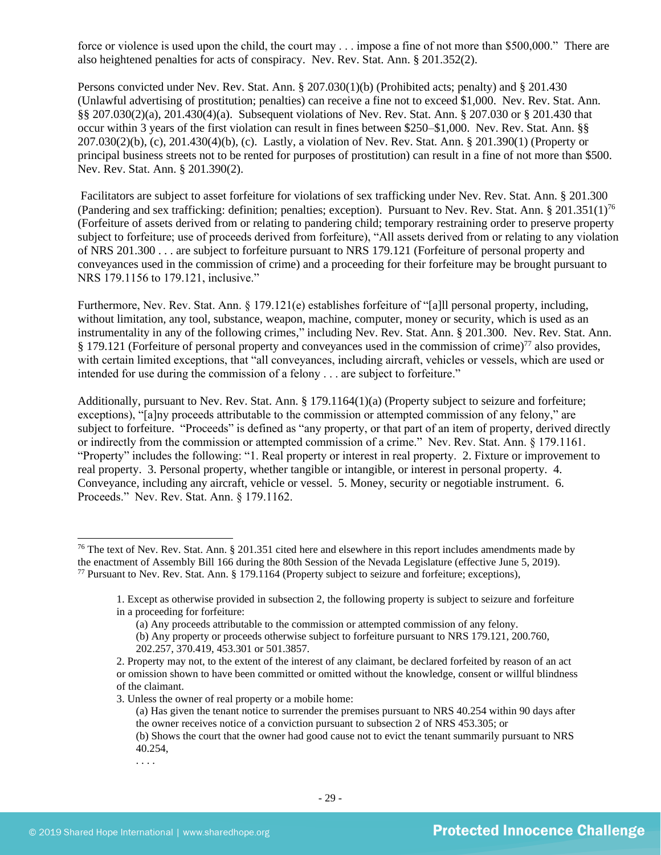force or violence is used upon the child, the court may . . . impose a fine of not more than \$500,000." There are also heightened penalties for acts of conspiracy. Nev. Rev. Stat. Ann. § 201.352(2).

Persons convicted under Nev. Rev. Stat. Ann. § 207.030(1)(b) (Prohibited acts; penalty) and § 201.430 (Unlawful advertising of prostitution; penalties) can receive a fine not to exceed \$1,000. Nev. Rev. Stat. Ann. §§ 207.030(2)(a), 201.430(4)(a). Subsequent violations of Nev. Rev. Stat. Ann. § 207.030 or § 201.430 that occur within 3 years of the first violation can result in fines between \$250–\$1,000. Nev. Rev. Stat. Ann. §§ 207.030(2)(b), (c), 201.430(4)(b), (c). Lastly, a violation of Nev. Rev. Stat. Ann. § 201.390(1) (Property or principal business streets not to be rented for purposes of prostitution) can result in a fine of not more than \$500. Nev. Rev. Stat. Ann. § 201.390(2).

Facilitators are subject to asset forfeiture for violations of sex trafficking under Nev. Rev. Stat. Ann. § 201.300 (Pandering and sex trafficking: definition; penalties; exception). Pursuant to Nev. Rev. Stat. Ann. § 201.351(1)<sup>76</sup> (Forfeiture of assets derived from or relating to pandering child; temporary restraining order to preserve property subject to forfeiture; use of proceeds derived from forfeiture), "All assets derived from or relating to any violation of NRS 201.300 . . . are subject to forfeiture pursuant to NRS 179.121 (Forfeiture of personal property and conveyances used in the commission of crime) and a proceeding for their forfeiture may be brought pursuant to NRS 179.1156 to 179.121, inclusive."

Furthermore, Nev. Rev. Stat. Ann. § 179.121(e) establishes forfeiture of "[a]ll personal property, including, without limitation, any tool, substance, weapon, machine, computer, money or security, which is used as an instrumentality in any of the following crimes," including Nev. Rev. Stat. Ann. § 201.300.Nev. Rev. Stat. Ann. § 179.121 (Forfeiture of personal property and conveyances used in the commission of crime)<sup>77</sup> also provides, with certain limited exceptions, that "all conveyances, including aircraft, vehicles or vessels, which are used or intended for use during the commission of a felony . . . are subject to forfeiture."

Additionally, pursuant to Nev. Rev. Stat. Ann. § 179.1164(1)(a) (Property subject to seizure and forfeiture; exceptions), "[a]ny proceeds attributable to the commission or attempted commission of any felony," are subject to forfeiture. "Proceeds" is defined as "any property, or that part of an item of property, derived directly or indirectly from the commission or attempted commission of a crime." Nev. Rev. Stat. Ann. § 179.1161. "Property" includes the following: "1. Real property or interest in real property. 2. Fixture or improvement to real property. 3. Personal property, whether tangible or intangible, or interest in personal property. 4. Conveyance, including any aircraft, vehicle or vessel. 5. Money, security or negotiable instrument. 6. Proceeds." Nev. Rev. Stat. Ann. § 179.1162.

3. Unless the owner of real property or a mobile home:

. . . .

<sup>&</sup>lt;sup>76</sup> The text of Nev. Rev. Stat. Ann. § 201.351 cited here and elsewhere in this report includes amendments made by the enactment of Assembly Bill 166 during the 80th Session of the Nevada Legislature (effective June 5, 2019). <sup>77</sup> Pursuant to Nev. Rev. Stat. Ann. § 179.1164 (Property subject to seizure and forfeiture; exceptions),

<sup>1.</sup> Except as otherwise provided in subsection 2, the following property is subject to seizure and forfeiture in a proceeding for forfeiture:

<sup>(</sup>a) Any proceeds attributable to the commission or attempted commission of any felony.

<sup>(</sup>b) Any property or proceeds otherwise subject to forfeiture pursuant to NRS 179.121, 200.760, 202.257, 370.419, 453.301 or 501.3857.

<sup>2.</sup> Property may not, to the extent of the interest of any claimant, be declared forfeited by reason of an act or omission shown to have been committed or omitted without the knowledge, consent or willful blindness of the claimant.

<sup>(</sup>a) Has given the tenant notice to surrender the premises pursuant to NRS 40.254 within 90 days after the owner receives notice of a conviction pursuant to subsection 2 of NRS 453.305; or

<sup>(</sup>b) Shows the court that the owner had good cause not to evict the tenant summarily pursuant to NRS 40.254,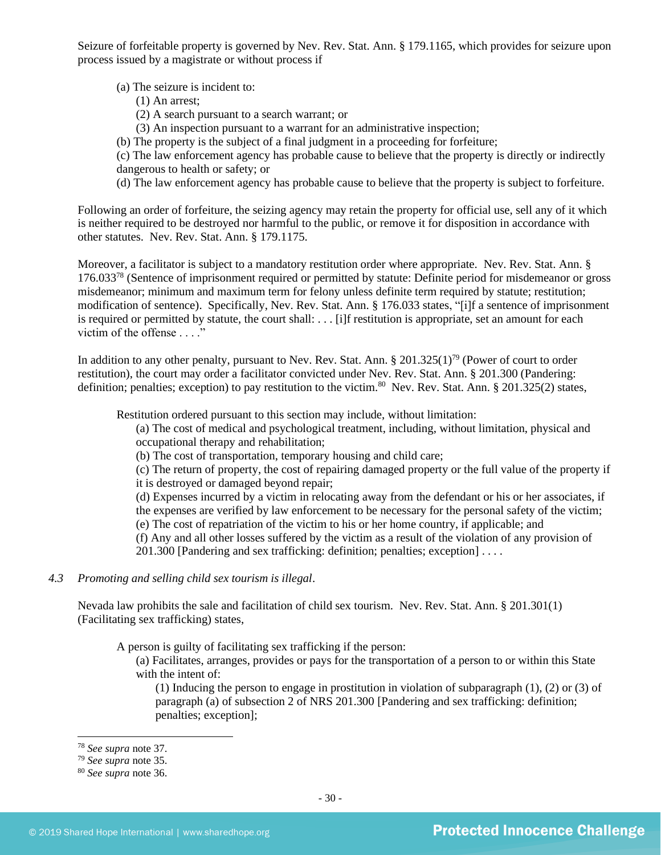Seizure of forfeitable property is governed by Nev. Rev. Stat. Ann. § 179.1165, which provides for seizure upon process issued by a magistrate or without process if

(a) The seizure is incident to:

- (1) An arrest;
- (2) A search pursuant to a search warrant; or
- (3) An inspection pursuant to a warrant for an administrative inspection;
- (b) The property is the subject of a final judgment in a proceeding for forfeiture;

(c) The law enforcement agency has probable cause to believe that the property is directly or indirectly dangerous to health or safety; or

(d) The law enforcement agency has probable cause to believe that the property is subject to forfeiture.

Following an order of forfeiture, the seizing agency may retain the property for official use, sell any of it which is neither required to be destroyed nor harmful to the public, or remove it for disposition in accordance with other statutes. Nev. Rev. Stat. Ann. § 179.1175.

Moreover, a facilitator is subject to a mandatory restitution order where appropriate. Nev. Rev. Stat. Ann. § 176.033<sup>78</sup> (Sentence of imprisonment required or permitted by statute: Definite period for misdemeanor or gross misdemeanor; minimum and maximum term for felony unless definite term required by statute; restitution; modification of sentence). Specifically, Nev. Rev. Stat. Ann. § 176.033 states, "[i]f a sentence of imprisonment is required or permitted by statute, the court shall: . . . [i]f restitution is appropriate, set an amount for each victim of the offense . . . ."

In addition to any other penalty, pursuant to Nev. Rev. Stat. Ann. § 201.325(1)<sup>79</sup> (Power of court to order restitution), the court may order a facilitator convicted under Nev. Rev. Stat. Ann. § 201.300 (Pandering: definition; penalties; exception) to pay restitution to the victim.<sup>80</sup> Nev. Rev. Stat. Ann. § 201.325(2) states,

Restitution ordered pursuant to this section may include, without limitation:

(a) The cost of medical and psychological treatment, including, without limitation, physical and occupational therapy and rehabilitation;

(b) The cost of transportation, temporary housing and child care;

(c) The return of property, the cost of repairing damaged property or the full value of the property if it is destroyed or damaged beyond repair;

(d) Expenses incurred by a victim in relocating away from the defendant or his or her associates, if the expenses are verified by law enforcement to be necessary for the personal safety of the victim;

(e) The cost of repatriation of the victim to his or her home country, if applicable; and

(f) Any and all other losses suffered by the victim as a result of the violation of any provision of 201.300 [Pandering and sex trafficking: definition; penalties; exception] . . . .

#### *4.3 Promoting and selling child sex tourism is illegal*.

Nevada law prohibits the sale and facilitation of child sex tourism. Nev. Rev. Stat. Ann. § 201.301(1) (Facilitating sex trafficking) states,

A person is guilty of facilitating sex trafficking if the person:

(a) Facilitates, arranges, provides or pays for the transportation of a person to or within this State with the intent of:

(1) Inducing the person to engage in prostitution in violation of subparagraph (1), (2) or (3) of paragraph (a) of subsection 2 of NRS 201.300 [Pandering and sex trafficking: definition; penalties; exception];

<sup>78</sup> *See supra* note [37.](#page-12-2)

<sup>79</sup> *See supra* note [35.](#page-12-0)

<sup>80</sup> *See supra* note [36.](#page-12-1)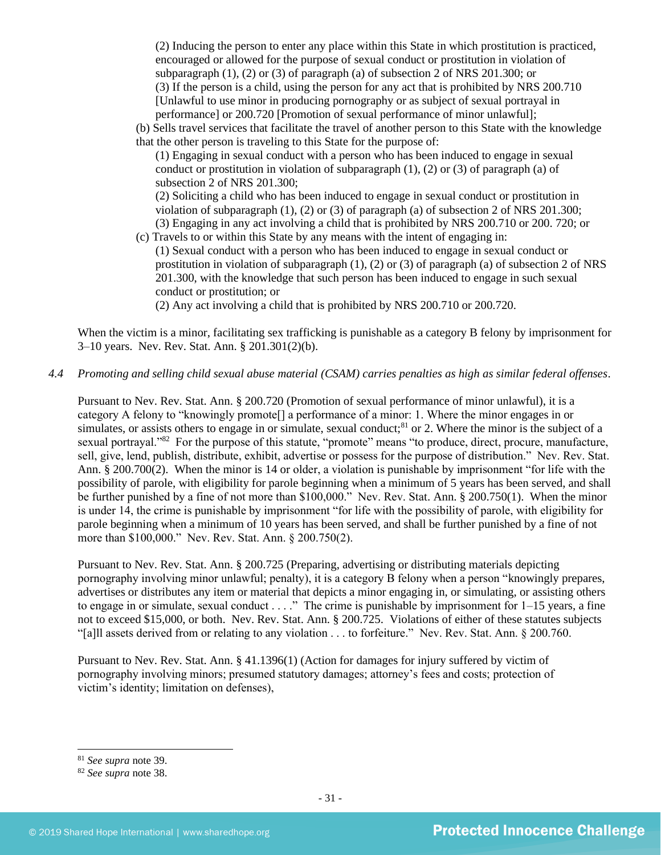(2) Inducing the person to enter any place within this State in which prostitution is practiced, encouraged or allowed for the purpose of sexual conduct or prostitution in violation of subparagraph (1), (2) or (3) of paragraph (a) of subsection 2 of NRS 201.300; or (3) If the person is a child, using the person for any act that is prohibited by NRS 200.710 [Unlawful to use minor in producing pornography or as subject of sexual portrayal in performance] or 200.720 [Promotion of sexual performance of minor unlawful];

(b) Sells travel services that facilitate the travel of another person to this State with the knowledge that the other person is traveling to this State for the purpose of:

(1) Engaging in sexual conduct with a person who has been induced to engage in sexual conduct or prostitution in violation of subparagraph  $(1)$ ,  $(2)$  or  $(3)$  of paragraph  $(a)$  of subsection 2 of NRS 201.300;

(2) Soliciting a child who has been induced to engage in sexual conduct or prostitution in violation of subparagraph (1), (2) or (3) of paragraph (a) of subsection 2 of NRS 201.300; (3) Engaging in any act involving a child that is prohibited by NRS 200.710 or 200. 720; or

(c) Travels to or within this State by any means with the intent of engaging in:

(1) Sexual conduct with a person who has been induced to engage in sexual conduct or prostitution in violation of subparagraph (1), (2) or (3) of paragraph (a) of subsection 2 of NRS 201.300, with the knowledge that such person has been induced to engage in such sexual conduct or prostitution; or

(2) Any act involving a child that is prohibited by NRS 200.710 or 200.720.

When the victim is a minor, facilitating sex trafficking is punishable as a category B felony by imprisonment for 3–10 years. Nev. Rev. Stat. Ann. § 201.301(2)(b).

*4.4 Promoting and selling child sexual abuse material (CSAM) carries penalties as high as similar federal offenses*.

Pursuant to Nev. Rev. Stat. Ann. § 200.720 (Promotion of sexual performance of minor unlawful), it is a category A felony to "knowingly promote[] a performance of a minor: 1. Where the minor engages in or simulates, or assists others to engage in or simulate, sexual conduct;<sup>81</sup> or 2. Where the minor is the subject of a sexual portrayal."<sup>82</sup> For the purpose of this statute, "promote" means "to produce, direct, procure, manufacture, sell, give, lend, publish, distribute, exhibit, advertise or possess for the purpose of distribution." Nev. Rev. Stat. Ann. § 200.700(2). When the minor is 14 or older, a violation is punishable by imprisonment "for life with the possibility of parole, with eligibility for parole beginning when a minimum of 5 years has been served, and shall be further punished by a fine of not more than \$100,000." Nev. Rev. Stat. Ann. § 200.750(1). When the minor is under 14, the crime is punishable by imprisonment "for life with the possibility of parole, with eligibility for parole beginning when a minimum of 10 years has been served, and shall be further punished by a fine of not more than \$100,000." Nev. Rev. Stat. Ann. § 200.750(2).

Pursuant to Nev. Rev. Stat. Ann. § 200.725 (Preparing, advertising or distributing materials depicting pornography involving minor unlawful; penalty), it is a category B felony when a person "knowingly prepares, advertises or distributes any item or material that depicts a minor engaging in, or simulating, or assisting others to engage in or simulate, sexual conduct . . . ." The crime is punishable by imprisonment for 1–15 years, a fine not to exceed \$15,000, or both. Nev. Rev. Stat. Ann. § 200.725. Violations of either of these statutes subjects "[a]ll assets derived from or relating to any violation . . . to forfeiture." Nev. Rev. Stat. Ann. § 200.760.

Pursuant to Nev. Rev. Stat. Ann. § 41.1396(1) (Action for damages for injury suffered by victim of pornography involving minors; presumed statutory damages; attorney's fees and costs; protection of victim's identity; limitation on defenses),

<sup>81</sup> *See supra* note [39.](#page-13-0)

<sup>82</sup> *See supra* note [38.](#page-13-1)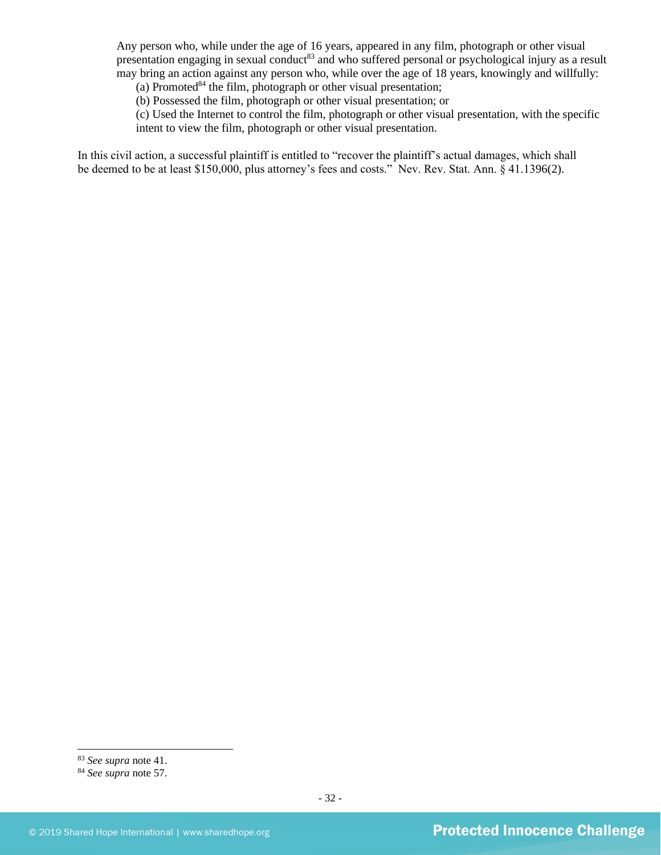Any person who, while under the age of 16 years, appeared in any film, photograph or other visual presentation engaging in sexual conduct<sup>83</sup> and who suffered personal or psychological injury as a result may bring an action against any person who, while over the age of 18 years, knowingly and willfully:

(a) Promoted $84$  the film, photograph or other visual presentation;

(b) Possessed the film, photograph or other visual presentation; or

(c) Used the Internet to control the film, photograph or other visual presentation, with the specific intent to view the film, photograph or other visual presentation.

In this civil action, a successful plaintiff is entitled to "recover the plaintiff's actual damages, which shall be deemed to be at least \$150,000, plus attorney's fees and costs." Nev. Rev. Stat. Ann. § 41.1396(2).

<sup>83</sup> *See supra* note [41.](#page-14-0)

<sup>84</sup> *See supra* note [57.](#page-19-0)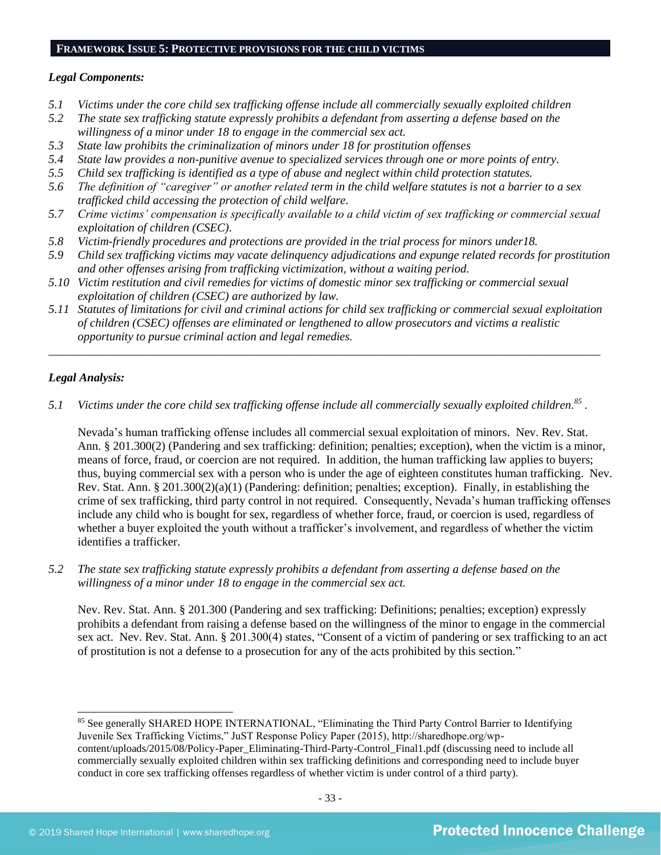#### **FRAMEWORK ISSUE 5: PROTECTIVE PROVISIONS FOR THE CHILD VICTIMS**

#### *Legal Components:*

- *5.1 Victims under the core child sex trafficking offense include all commercially sexually exploited children*
- *5.2 The state sex trafficking statute expressly prohibits a defendant from asserting a defense based on the willingness of a minor under 18 to engage in the commercial sex act.*
- *5.3 State law prohibits the criminalization of minors under 18 for prostitution offenses*
- *5.4 State law provides a non-punitive avenue to specialized services through one or more points of entry.*
- *5.5 Child sex trafficking is identified as a type of abuse and neglect within child protection statutes.*
- *5.6 The definition of "caregiver" or another related term in the child welfare statutes is not a barrier to a sex trafficked child accessing the protection of child welfare.*
- *5.7 Crime victims' compensation is specifically available to a child victim of sex trafficking or commercial sexual exploitation of children (CSEC).*
- *5.8 Victim-friendly procedures and protections are provided in the trial process for minors under18.*
- *5.9 Child sex trafficking victims may vacate delinquency adjudications and expunge related records for prostitution and other offenses arising from trafficking victimization, without a waiting period.*
- *5.10 Victim restitution and civil remedies for victims of domestic minor sex trafficking or commercial sexual exploitation of children (CSEC) are authorized by law.*
- *5.11 Statutes of limitations for civil and criminal actions for child sex trafficking or commercial sexual exploitation of children (CSEC) offenses are eliminated or lengthened to allow prosecutors and victims a realistic opportunity to pursue criminal action and legal remedies.*

*\_\_\_\_\_\_\_\_\_\_\_\_\_\_\_\_\_\_\_\_\_\_\_\_\_\_\_\_\_\_\_\_\_\_\_\_\_\_\_\_\_\_\_\_\_\_\_\_\_\_\_\_\_\_\_\_\_\_\_\_\_\_\_\_\_\_\_\_\_\_\_\_\_\_\_\_\_\_\_\_\_\_\_\_\_\_\_\_\_\_\_\_\_*

## *Legal Analysis:*

*5.1 Victims under the core child sex trafficking offense include all commercially sexually exploited children. 85 .*

Nevada's human trafficking offense includes all commercial sexual exploitation of minors. Nev. Rev. Stat. Ann. § 201.300(2) (Pandering and sex trafficking: definition; penalties; exception), when the victim is a minor, means of force, fraud, or coercion are not required. In addition, the human trafficking law applies to buyers; thus, buying commercial sex with a person who is under the age of eighteen constitutes human trafficking. Nev. Rev. Stat. Ann. § 201.300(2)(a)(1) (Pandering: definition; penalties; exception). Finally, in establishing the crime of sex trafficking, third party control in not required. Consequently, Nevada's human trafficking offenses include any child who is bought for sex, regardless of whether force, fraud, or coercion is used, regardless of whether a buyer exploited the youth without a trafficker's involvement, and regardless of whether the victim identifies a trafficker.

*5.2 The state sex trafficking statute expressly prohibits a defendant from asserting a defense based on the willingness of a minor under 18 to engage in the commercial sex act.*

Nev. Rev. Stat. Ann. § 201.300 (Pandering and sex trafficking: Definitions; penalties; exception) expressly prohibits a defendant from raising a defense based on the willingness of the minor to engage in the commercial sex act. Nev. Rev. Stat. Ann. § 201.300(4) states, "Consent of a victim of pandering or sex trafficking to an act of prostitution is not a defense to a prosecution for any of the acts prohibited by this section."

85 See generally SHARED HOPE INTERNATIONAL, "Eliminating the Third Party Control Barrier to Identifying Juvenile Sex Trafficking Victims," JuST Response Policy Paper (2015), http://sharedhope.org/wpcontent/uploads/2015/08/Policy-Paper\_Eliminating-Third-Party-Control\_Final1.pdf (discussing need to include all commercially sexually exploited children within sex trafficking definitions and corresponding need to include buyer conduct in core sex trafficking offenses regardless of whether victim is under control of a third party).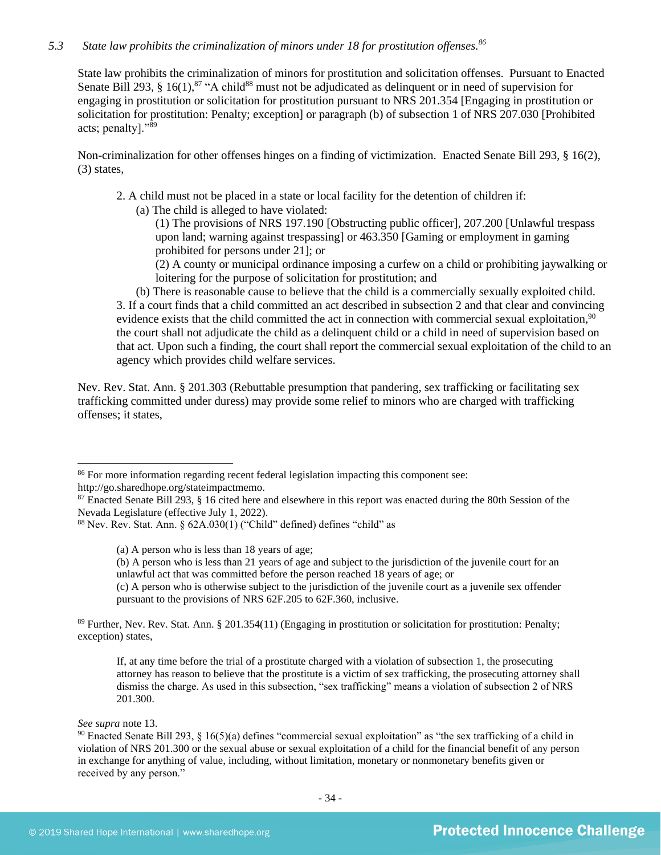## *5.3 State law prohibits the criminalization of minors under 18 for prostitution offenses. 86*

<span id="page-33-0"></span>State law prohibits the criminalization of minors for prostitution and solicitation offenses. Pursuant to Enacted Senate Bill 293, § 16(1), $87 \text{``A child}$ <sup>88</sup> must not be adjudicated as delinquent or in need of supervision for engaging in prostitution or solicitation for prostitution pursuant to NRS 201.354 [Engaging in prostitution or solicitation for prostitution: Penalty; exception] or paragraph (b) of subsection 1 of NRS 207.030 [Prohibited acts; penalty]."<sup>89</sup>

Non-criminalization for other offenses hinges on a finding of victimization. Enacted Senate Bill 293, § 16(2), (3) states,

2. A child must not be placed in a state or local facility for the detention of children if:

(a) The child is alleged to have violated:

(1) The provisions of NRS 197.190 [Obstructing public officer], 207.200 [Unlawful trespass upon land; warning against trespassing] or 463.350 [Gaming or employment in gaming prohibited for persons under 21]; or

(2) A county or municipal ordinance imposing a curfew on a child or prohibiting jaywalking or loitering for the purpose of solicitation for prostitution; and

(b) There is reasonable cause to believe that the child is a commercially sexually exploited child. 3. If a court finds that a child committed an act described in subsection 2 and that clear and convincing evidence exists that the child committed the act in connection with commercial sexual exploitation, $90$ the court shall not adjudicate the child as a delinquent child or a child in need of supervision based on that act. Upon such a finding, the court shall report the commercial sexual exploitation of the child to an agency which provides child welfare services.

Nev. Rev. Stat. Ann. § 201.303 (Rebuttable presumption that pandering, sex trafficking or facilitating sex trafficking committed under duress) may provide some relief to minors who are charged with trafficking offenses; it states,

(c) A person who is otherwise subject to the jurisdiction of the juvenile court as a juvenile sex offender pursuant to the provisions of NRS 62F.205 to 62F.360, inclusive.

<sup>89</sup> Further, Nev. Rev. Stat. Ann. § 201.354(11) (Engaging in prostitution or solicitation for prostitution: Penalty; exception) states,

If, at any time before the trial of a prostitute charged with a violation of subsection 1, the prosecuting attorney has reason to believe that the prostitute is a victim of sex trafficking, the prosecuting attorney shall dismiss the charge. As used in this subsection, "sex trafficking" means a violation of subsection 2 of NRS 201.300.

*See supra* not[e 13.](#page-3-0)

<sup>&</sup>lt;sup>86</sup> For more information regarding recent federal legislation impacting this component see: http://go.sharedhope.org/stateimpactmemo.

<sup>87</sup> Enacted Senate Bill 293, § 16 cited here and elsewhere in this report was enacted during the 80th Session of the

Nevada Legislature (effective July 1, 2022).

<sup>88</sup> Nev. Rev. Stat. Ann. § 62A.030(1) ("Child" defined) defines "child" as

<sup>(</sup>a) A person who is less than 18 years of age;

<sup>(</sup>b) A person who is less than 21 years of age and subject to the jurisdiction of the juvenile court for an unlawful act that was committed before the person reached 18 years of age; or

 $90$  Enacted Senate Bill 293, § 16(5)(a) defines "commercial sexual exploitation" as "the sex trafficking of a child in violation of NRS 201.300 or the sexual abuse or sexual exploitation of a child for the financial benefit of any person in exchange for anything of value, including, without limitation, monetary or nonmonetary benefits given or received by any person."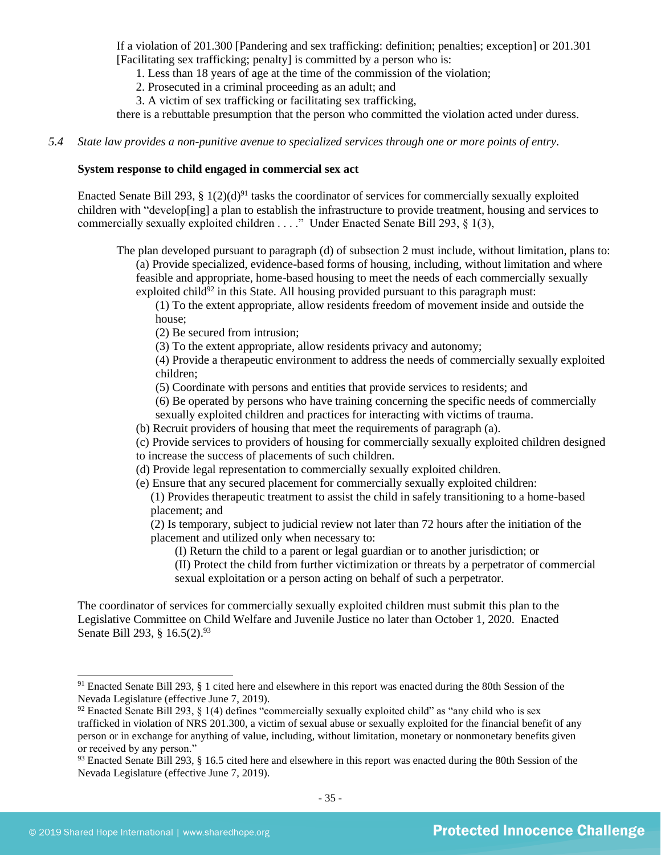If a violation of 201.300 [Pandering and sex trafficking: definition; penalties; exception] or 201.301 [Facilitating sex trafficking; penalty] is committed by a person who is:

1. Less than 18 years of age at the time of the commission of the violation;

2. Prosecuted in a criminal proceeding as an adult; and

3. A victim of sex trafficking or facilitating sex trafficking,

there is a rebuttable presumption that the person who committed the violation acted under duress.

#### *5.4 State law provides a non-punitive avenue to specialized services through one or more points of entry.*

#### **System response to child engaged in commercial sex act**

Enacted Senate Bill 293, § 1(2)(d)<sup>91</sup> tasks the coordinator of services for commercially sexually exploited children with "develop[ing] a plan to establish the infrastructure to provide treatment, housing and services to commercially sexually exploited children . . . ." Under Enacted Senate Bill 293, § 1(3),

The plan developed pursuant to paragraph (d) of subsection 2 must include, without limitation, plans to: (a) Provide specialized, evidence-based forms of housing, including, without limitation and where feasible and appropriate, home-based housing to meet the needs of each commercially sexually exploited child $92$  in this State. All housing provided pursuant to this paragraph must:

(1) To the extent appropriate, allow residents freedom of movement inside and outside the house;

(2) Be secured from intrusion;

(3) To the extent appropriate, allow residents privacy and autonomy;

(4) Provide a therapeutic environment to address the needs of commercially sexually exploited children;

(5) Coordinate with persons and entities that provide services to residents; and

(6) Be operated by persons who have training concerning the specific needs of commercially sexually exploited children and practices for interacting with victims of trauma.

(b) Recruit providers of housing that meet the requirements of paragraph (a).

(c) Provide services to providers of housing for commercially sexually exploited children designed to increase the success of placements of such children.

(d) Provide legal representation to commercially sexually exploited children.

(e) Ensure that any secured placement for commercially sexually exploited children:

(1) Provides therapeutic treatment to assist the child in safely transitioning to a home-based placement; and

(2) Is temporary, subject to judicial review not later than 72 hours after the initiation of the placement and utilized only when necessary to:

(I) Return the child to a parent or legal guardian or to another jurisdiction; or

(II) Protect the child from further victimization or threats by a perpetrator of commercial sexual exploitation or a person acting on behalf of such a perpetrator.

The coordinator of services for commercially sexually exploited children must submit this plan to the Legislative Committee on Child Welfare and Juvenile Justice no later than October 1, 2020. Enacted Senate Bill 293, § 16.5(2).<sup>93</sup>

<sup>91</sup> Enacted Senate Bill 293, § 1 cited here and elsewhere in this report was enacted during the 80th Session of the Nevada Legislature (effective June 7, 2019).

 $92$  Enacted Senate Bill 293, § 1(4) defines "commercially sexually exploited child" as "any child who is sex trafficked in violation of NRS 201.300, a victim of sexual abuse or sexually exploited for the financial benefit of any person or in exchange for anything of value, including, without limitation, monetary or nonmonetary benefits given or received by any person."

<sup>&</sup>lt;sup>93</sup> Enacted Senate Bill 293, § 16.5 cited here and elsewhere in this report was enacted during the 80th Session of the Nevada Legislature (effective June 7, 2019).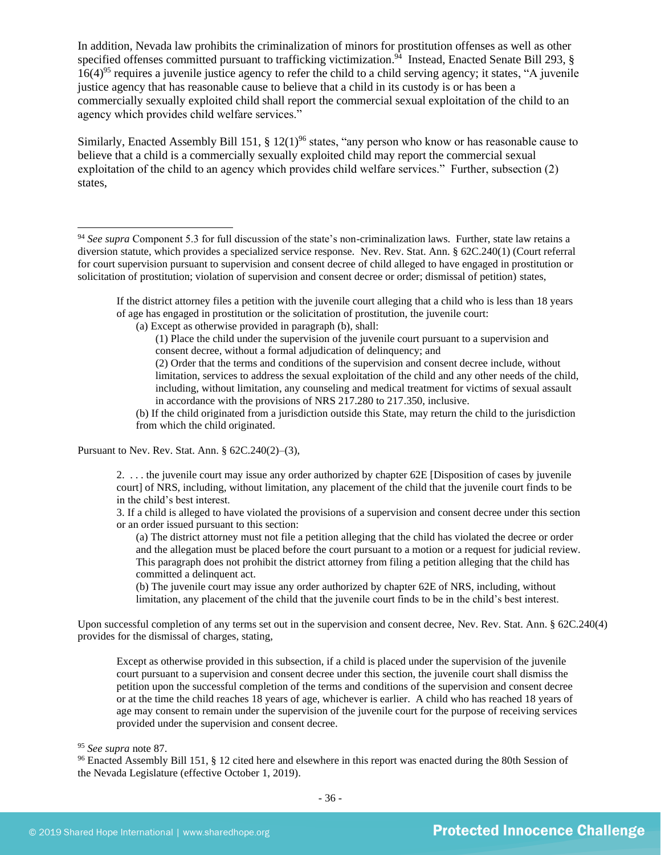In addition, Nevada law prohibits the criminalization of minors for prostitution offenses as well as other specified offenses committed pursuant to trafficking victimization.<sup>94</sup> Instead, Enacted Senate Bill 293, §  $16(4)^{95}$  requires a juvenile justice agency to refer the child to a child serving agency; it states, "A juvenile" justice agency that has reasonable cause to believe that a child in its custody is or has been a commercially sexually exploited child shall report the commercial sexual exploitation of the child to an agency which provides child welfare services."

Similarly, Enacted Assembly Bill 151, § 12(1)<sup>96</sup> states, "any person who know or has reasonable cause to believe that a child is a commercially sexually exploited child may report the commercial sexual exploitation of the child to an agency which provides child welfare services." Further, subsection (2) states,

If the district attorney files a petition with the juvenile court alleging that a child who is less than 18 years of age has engaged in prostitution or the solicitation of prostitution, the juvenile court:

(1) Place the child under the supervision of the juvenile court pursuant to a supervision and consent decree, without a formal adjudication of delinquency; and

(2) Order that the terms and conditions of the supervision and consent decree include, without limitation, services to address the sexual exploitation of the child and any other needs of the child, including, without limitation, any counseling and medical treatment for victims of sexual assault in accordance with the provisions of NRS 217.280 to 217.350, inclusive.

(b) If the child originated from a jurisdiction outside this State, may return the child to the jurisdiction from which the child originated.

Pursuant to Nev. Rev. Stat. Ann. § 62C.240(2)–(3),

2. . . . the juvenile court may issue any order authorized by chapter 62E [Disposition of cases by juvenile court] of NRS, including, without limitation, any placement of the child that the juvenile court finds to be in the child's best interest.

3. If a child is alleged to have violated the provisions of a supervision and consent decree under this section or an order issued pursuant to this section:

(a) The district attorney must not file a petition alleging that the child has violated the decree or order and the allegation must be placed before the court pursuant to a motion or a request for judicial review. This paragraph does not prohibit the district attorney from filing a petition alleging that the child has committed a delinquent act.

(b) The juvenile court may issue any order authorized by chapter 62E of NRS, including, without limitation, any placement of the child that the juvenile court finds to be in the child's best interest.

Upon successful completion of any terms set out in the supervision and consent decree, Nev. Rev. Stat. Ann. § 62C.240(4) provides for the dismissal of charges, stating,

Except as otherwise provided in this subsection, if a child is placed under the supervision of the juvenile court pursuant to a supervision and consent decree under this section, the juvenile court shall dismiss the petition upon the successful completion of the terms and conditions of the supervision and consent decree or at the time the child reaches 18 years of age, whichever is earlier. A child who has reached 18 years of age may consent to remain under the supervision of the juvenile court for the purpose of receiving services provided under the supervision and consent decree.

<sup>96</sup> Enacted Assembly Bill 151, § 12 cited here and elsewhere in this report was enacted during the 80th Session of the Nevada Legislature (effective October 1, 2019).

<sup>94</sup> *See supra* Component 5.3 for full discussion of the state's non-criminalization laws. Further, state law retains a diversion statute, which provides a specialized service response. Nev. Rev. Stat. Ann. § 62C.240(1) (Court referral for court supervision pursuant to supervision and consent decree of child alleged to have engaged in prostitution or solicitation of prostitution; violation of supervision and consent decree or order; dismissal of petition) states,

<sup>(</sup>a) Except as otherwise provided in paragraph (b), shall:

<sup>95</sup> *See supra* note [87.](#page-33-0)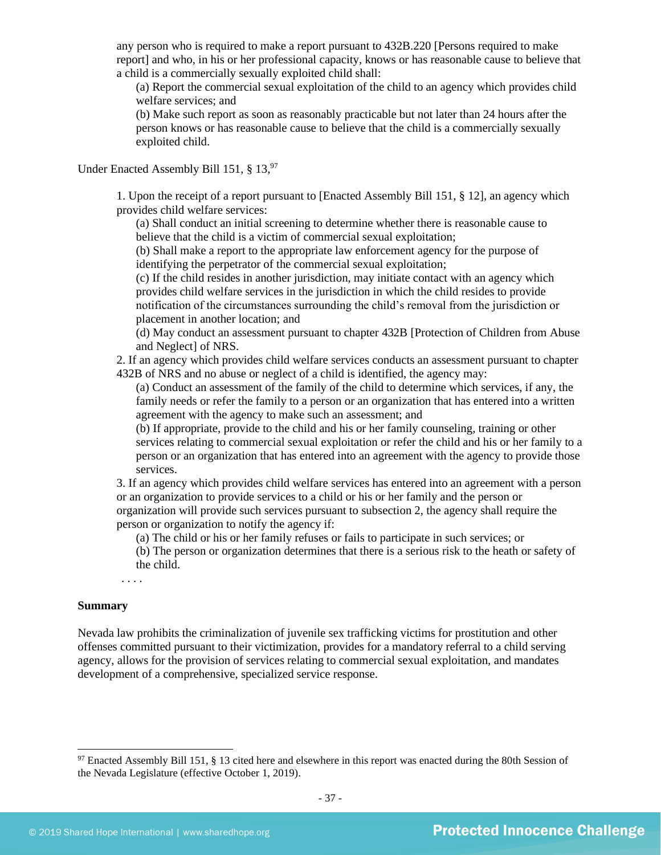any person who is required to make a report pursuant to 432B.220 [Persons required to make report] and who, in his or her professional capacity, knows or has reasonable cause to believe that a child is a commercially sexually exploited child shall:

(a) Report the commercial sexual exploitation of the child to an agency which provides child welfare services; and

(b) Make such report as soon as reasonably practicable but not later than 24 hours after the person knows or has reasonable cause to believe that the child is a commercially sexually exploited child.

Under Enacted Assembly Bill 151, § 13.97

1. Upon the receipt of a report pursuant to [Enacted Assembly Bill 151, § 12], an agency which provides child welfare services:

(a) Shall conduct an initial screening to determine whether there is reasonable cause to believe that the child is a victim of commercial sexual exploitation;

(b) Shall make a report to the appropriate law enforcement agency for the purpose of identifying the perpetrator of the commercial sexual exploitation;

(c) If the child resides in another jurisdiction, may initiate contact with an agency which provides child welfare services in the jurisdiction in which the child resides to provide notification of the circumstances surrounding the child's removal from the jurisdiction or placement in another location; and

(d) May conduct an assessment pursuant to chapter 432B [Protection of Children from Abuse and Neglect] of NRS.

2. If an agency which provides child welfare services conducts an assessment pursuant to chapter 432B of NRS and no abuse or neglect of a child is identified, the agency may:

(a) Conduct an assessment of the family of the child to determine which services, if any, the family needs or refer the family to a person or an organization that has entered into a written agreement with the agency to make such an assessment; and

(b) If appropriate, provide to the child and his or her family counseling, training or other services relating to commercial sexual exploitation or refer the child and his or her family to a person or an organization that has entered into an agreement with the agency to provide those services.

3. If an agency which provides child welfare services has entered into an agreement with a person or an organization to provide services to a child or his or her family and the person or organization will provide such services pursuant to subsection 2, the agency shall require the person or organization to notify the agency if:

(a) The child or his or her family refuses or fails to participate in such services; or

(b) The person or organization determines that there is a serious risk to the heath or safety of the child.

. . . .

#### **Summary**

Nevada law prohibits the criminalization of juvenile sex trafficking victims for prostitution and other offenses committed pursuant to their victimization, provides for a mandatory referral to a child serving agency, allows for the provision of services relating to commercial sexual exploitation, and mandates development of a comprehensive, specialized service response.

<sup>&</sup>lt;sup>97</sup> Enacted Assembly Bill 151, § 13 cited here and elsewhere in this report was enacted during the 80th Session of the Nevada Legislature (effective October 1, 2019).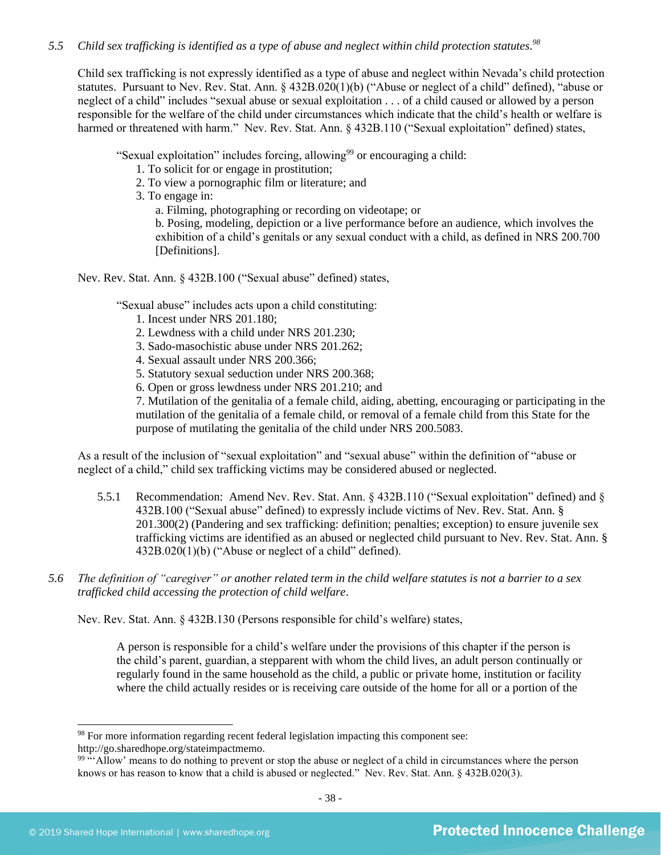## *5.5 Child sex trafficking is identified as a type of abuse and neglect within child protection statutes. 98*

Child sex trafficking is not expressly identified as a type of abuse and neglect within Nevada's child protection statutes. Pursuant to Nev. Rev. Stat. Ann. § 432B.020(1)(b) ("Abuse or neglect of a child" defined), "abuse or neglect of a child" includes "sexual abuse or sexual exploitation . . . of a child caused or allowed by a person responsible for the welfare of the child under circumstances which indicate that the child's health or welfare is harmed or threatened with harm." Nev. Rev. Stat. Ann. § 432B.110 ("Sexual exploitation" defined) states,

"Sexual exploitation" includes forcing, allowing<sup>99</sup> or encouraging a child:

1. To solicit for or engage in prostitution;

2. To view a pornographic film or literature; and

3. To engage in:

a. Filming, photographing or recording on videotape; or

b. Posing, modeling, depiction or a live performance before an audience, which involves the exhibition of a child's genitals or any sexual conduct with a child, as defined in NRS 200.700 [Definitions].

Nev. Rev. Stat. Ann. § 432B.100 ("Sexual abuse" defined) states,

"Sexual abuse" includes acts upon a child constituting:

- 1. Incest under [NRS 201.180;](https://www.lexis.com/research/buttonTFLink?_m=fe0e253fef8054e6df958287d1c2023f&_xfercite=%3ccite%20cc%3d%22USA%22%3e%3c%21%5bCDATA%5bNev.%20Rev.%20Stat.%20Ann.%20%a7%20432B.100%5d%5d%3e%3c%2fcite%3e&_butType=4&_butStat=0&_butNum=7&_butInline=1&_butinfo=NVCODE%20201.180&_fmtstr=FULL&docnum=1&_startdoc=1&wchp=dGLbVzk-zSkAl&_md5=521de425ee50a2f38dc31926d7407ef4)
- 2. Lewdness with a child under [NRS 201.230;](https://www.lexis.com/research/buttonTFLink?_m=fe0e253fef8054e6df958287d1c2023f&_xfercite=%3ccite%20cc%3d%22USA%22%3e%3c%21%5bCDATA%5bNev.%20Rev.%20Stat.%20Ann.%20%a7%20432B.100%5d%5d%3e%3c%2fcite%3e&_butType=4&_butStat=0&_butNum=8&_butInline=1&_butinfo=NVCODE%20201.230&_fmtstr=FULL&docnum=1&_startdoc=1&wchp=dGLbVzk-zSkAl&_md5=b8e636b13f6ac9e4dfce2c0a4046c5db)
- 3. Sado-masochistic abuse under [NRS 201.262;](https://www.lexis.com/research/buttonTFLink?_m=fe0e253fef8054e6df958287d1c2023f&_xfercite=%3ccite%20cc%3d%22USA%22%3e%3c%21%5bCDATA%5bNev.%20Rev.%20Stat.%20Ann.%20%a7%20432B.100%5d%5d%3e%3c%2fcite%3e&_butType=4&_butStat=0&_butNum=9&_butInline=1&_butinfo=NVCODE%20201.262&_fmtstr=FULL&docnum=1&_startdoc=1&wchp=dGLbVzk-zSkAl&_md5=9bae698f6a96442b570787a5a23920e1)
- 4. Sexual assault under [NRS 200.366;](https://www.lexis.com/research/buttonTFLink?_m=fe0e253fef8054e6df958287d1c2023f&_xfercite=%3ccite%20cc%3d%22USA%22%3e%3c%21%5bCDATA%5bNev.%20Rev.%20Stat.%20Ann.%20%a7%20432B.100%5d%5d%3e%3c%2fcite%3e&_butType=4&_butStat=0&_butNum=10&_butInline=1&_butinfo=NVCODE%20200.366&_fmtstr=FULL&docnum=1&_startdoc=1&wchp=dGLbVzk-zSkAl&_md5=87e677fd2e973e9d2743de8b37355866)
- 5. Statutory sexual seduction under [NRS 200.368;](https://www.lexis.com/research/buttonTFLink?_m=fe0e253fef8054e6df958287d1c2023f&_xfercite=%3ccite%20cc%3d%22USA%22%3e%3c%21%5bCDATA%5bNev.%20Rev.%20Stat.%20Ann.%20%a7%20432B.100%5d%5d%3e%3c%2fcite%3e&_butType=4&_butStat=0&_butNum=11&_butInline=1&_butinfo=NVCODE%20200.368&_fmtstr=FULL&docnum=1&_startdoc=1&wchp=dGLbVzk-zSkAl&_md5=166fc503e7368f40e596cfbe8906bbd9)
- 6. Open or gross lewdness under [NRS 201.210;](https://www.lexis.com/research/buttonTFLink?_m=fe0e253fef8054e6df958287d1c2023f&_xfercite=%3ccite%20cc%3d%22USA%22%3e%3c%21%5bCDATA%5bNev.%20Rev.%20Stat.%20Ann.%20%a7%20432B.100%5d%5d%3e%3c%2fcite%3e&_butType=4&_butStat=0&_butNum=12&_butInline=1&_butinfo=NVCODE%20201.210&_fmtstr=FULL&docnum=1&_startdoc=1&wchp=dGLbVzk-zSkAl&_md5=f731e1cbdaa2feb2d0bfeba63eb0368b) and

7. Mutilation of the genitalia of a female child, aiding, abetting, encouraging or participating in the mutilation of the genitalia of a female child, or removal of a female child from this State for the purpose of mutilating the genitalia of the child under [NRS 200.5083.](https://www.lexis.com/research/buttonTFLink?_m=fe0e253fef8054e6df958287d1c2023f&_xfercite=%3ccite%20cc%3d%22USA%22%3e%3c%21%5bCDATA%5bNev.%20Rev.%20Stat.%20Ann.%20%a7%20432B.100%5d%5d%3e%3c%2fcite%3e&_butType=4&_butStat=0&_butNum=13&_butInline=1&_butinfo=NVCODE%20200.5083&_fmtstr=FULL&docnum=1&_startdoc=1&wchp=dGLbVzk-zSkAl&_md5=04f6301ef5e56530c30064465c75f84d)

As a result of the inclusion of "sexual exploitation" and "sexual abuse" within the definition of "abuse or neglect of a child," child sex trafficking victims may be considered abused or neglected.

- 5.5.1 Recommendation: Amend Nev. Rev. Stat. Ann. § 432B.110 ("Sexual exploitation" defined) and § 432B.100 ("Sexual abuse" defined) to expressly include victims of Nev. Rev. Stat. Ann. § 201.300(2) (Pandering and sex trafficking: definition; penalties; exception) to ensure juvenile sex trafficking victims are identified as an abused or neglected child pursuant to Nev. Rev. Stat. Ann. § 432B.020(1)(b) ("Abuse or neglect of a child" defined).
- *5.6 The definition of "caregiver" or another related term in the child welfare statutes is not a barrier to a sex trafficked child accessing the protection of child welfare*.

Nev. Rev. Stat. Ann. § 432B.130 (Persons responsible for child's welfare) states,

A person is responsible for a child's welfare under the provisions of this chapter if the person is the child's parent, guardian, a stepparent with whom the child lives, an adult person continually or regularly found in the same household as the child, a public or private home, institution or facility where the child actually resides or is receiving care outside of the home for all or a portion of the

<sup>&</sup>lt;sup>98</sup> For more information regarding recent federal legislation impacting this component see:

http://go.sharedhope.org/stateimpactmemo.

<sup>&</sup>lt;sup>99 "</sup>Allow' means to do nothing to prevent or stop the abuse or neglect of a child in circumstances where the person knows or has reason to know that a child is abused or neglected." Nev. Rev. Stat. Ann. § 432B.020(3).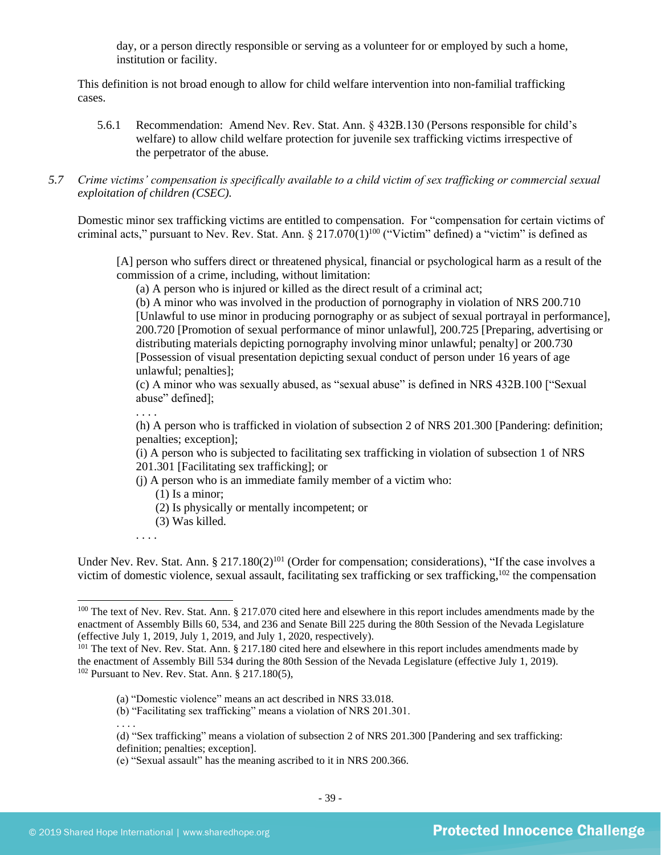day, or a person directly responsible or serving as a volunteer for or employed by such a home, institution or facility.

This definition is not broad enough to allow for child welfare intervention into non-familial trafficking cases.

- 5.6.1 Recommendation: Amend Nev. Rev. Stat. Ann. § 432B.130 (Persons responsible for child's welfare) to allow child welfare protection for juvenile sex trafficking victims irrespective of the perpetrator of the abuse.
- *5.7 Crime victims' compensation is specifically available to a child victim of sex trafficking or commercial sexual exploitation of children (CSEC).*

Domestic minor sex trafficking victims are entitled to compensation. For "compensation for certain victims of criminal acts," pursuant to Nev. Rev. Stat. Ann.  $\S 217.070(1)^{100}$  ("Victim" defined) a "victim" is defined as

[A] person who suffers direct or threatened physical, financial or psychological harm as a result of the commission of a crime, including, without limitation:

(a) A person who is injured or killed as the direct result of a criminal act;

(b) A minor who was involved in the production of pornography in violation of [NRS 200.710](https://www.lexis.com/research/buttonTFLink?_m=f5902906e94dddf97b4cb3a70ffa9d86&_xfercite=%3ccite%20cc%3d%22USA%22%3e%3c%21%5bCDATA%5bNev.%20Rev.%20Stat.%20Ann.%20%a7%20217.070%5d%5d%3e%3c%2fcite%3e&_butType=4&_butStat=0&_butNum=2&_butInline=1&_butinfo=NVCODE%20200.710&_fmtstr=FULL&docnum=1&_startdoc=1&wchp=dGLbVzz-zSkAz&_md5=047fa86c7eef0d1ca5baed8357cd932c) [Unlawful to use minor in producing pornography or as subject of sexual portrayal in performance], 200.720 [Promotion of sexual performance of minor unlawful], 200.725 [Preparing, advertising or distributing materials depicting pornography involving minor unlawful; penalty] or 200.730 [Possession of visual presentation depicting sexual conduct of person under 16 years of age unlawful; penalties];

(c) A minor who was sexually abused, as "sexual abuse" is defined in NRS 432B.100 ["Sexual abuse" defined];

. . . .

(h) A person who is trafficked in violation of subsection 2 of NRS 201.300 [Pandering: definition; penalties; exception];

(i) A person who is subjected to facilitating sex trafficking in violation of subsection 1 of NRS 201.301 [Facilitating sex trafficking]; or

- (j) A person who is an immediate family member of a victim who:
	- (1) Is a minor;
	- (2) Is physically or mentally incompetent; or
	- (3) Was killed.
- . . . .

Under Nev. Rev. Stat. Ann. § 217.180 $(2)^{101}$  (Order for compensation; considerations), "If the case involves a victim of domestic violence, sexual assault, facilitating sex trafficking or sex trafficking, $102$  the compensation

<sup>&</sup>lt;sup>100</sup> The text of Nev. Rev. Stat. Ann. § 217.070 cited here and elsewhere in this report includes amendments made by the enactment of Assembly Bills 60, 534, and 236 and Senate Bill 225 during the 80th Session of the Nevada Legislature (effective July 1, 2019, July 1, 2019, and July 1, 2020, respectively).

<sup>&</sup>lt;sup>101</sup> The text of Nev. Rev. Stat. Ann. § 217.180 cited here and elsewhere in this report includes amendments made by the enactment of Assembly Bill 534 during the 80th Session of the Nevada Legislature (effective July 1, 2019).  $102$  Pursuant to Nev. Rev. Stat. Ann. § 217.180(5),

<sup>(</sup>a) "Domestic violence" means an act described in NRS 33.018.

<sup>(</sup>b) "Facilitating sex trafficking" means a violation of NRS 201.301.

<sup>. . . .</sup>

<sup>(</sup>d) "Sex trafficking" means a violation of subsection 2 of NRS 201.300 [Pandering and sex trafficking: definition; penalties; exception].

<sup>(</sup>e) "Sexual assault" has the meaning ascribed to it in NRS 200.366.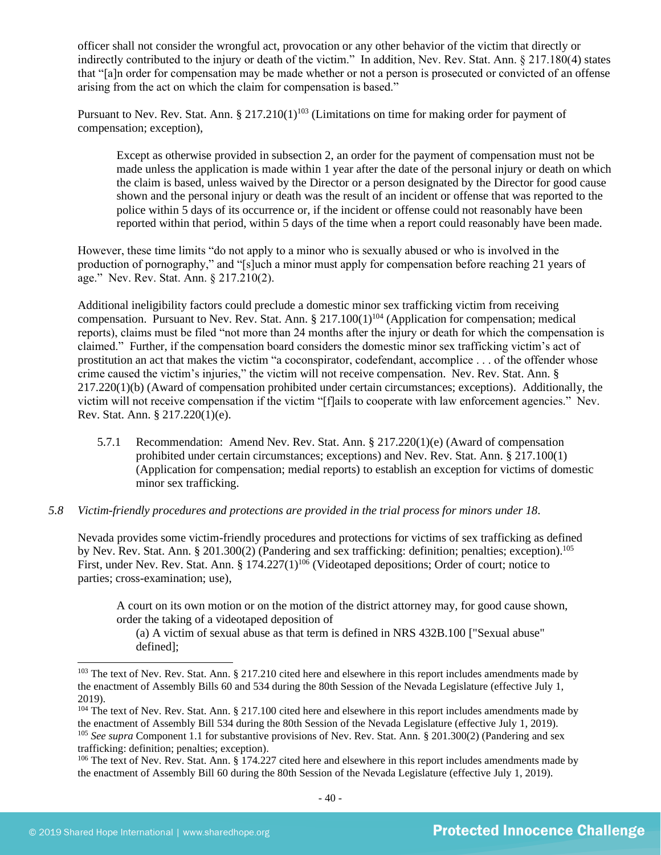officer shall not consider the wrongful act, provocation or any other behavior of the victim that directly or indirectly contributed to the injury or death of the victim." In addition, Nev. Rev. Stat. Ann. § 217.180(4) states that "[a]n order for compensation may be made whether or not a person is prosecuted or convicted of an offense arising from the act on which the claim for compensation is based."

Pursuant to Nev. Rev. Stat. Ann.  $\S 217.210(1)^{103}$  (Limitations on time for making order for payment of compensation; exception),

Except as otherwise provided in subsection 2, an order for the payment of compensation must not be made unless the application is made within 1 year after the date of the personal injury or death on which the claim is based, unless waived by the Director or a person designated by the Director for good cause shown and the personal injury or death was the result of an incident or offense that was reported to the police within 5 days of its occurrence or, if the incident or offense could not reasonably have been reported within that period, within 5 days of the time when a report could reasonably have been made.

However, these time limits "do not apply to a minor who is sexually abused or who is involved in the production of pornography," and "[s]uch a minor must apply for compensation before reaching 21 years of age." Nev. Rev. Stat. Ann. § 217.210(2).

Additional ineligibility factors could preclude a domestic minor sex trafficking victim from receiving compensation. Pursuant to Nev. Rev. Stat. Ann.  $\S 217.100(1)^{104}$  (Application for compensation; medical reports), claims must be filed "not more than 24 months after the injury or death for which the compensation is claimed." Further, if the compensation board considers the domestic minor sex trafficking victim's act of prostitution an act that makes the victim "a coconspirator, codefendant, accomplice . . . of the offender whose crime caused the victim's injuries," the victim will not receive compensation. Nev. Rev. Stat. Ann. § 217.220(1)(b) (Award of compensation prohibited under certain circumstances; exceptions). Additionally, the victim will not receive compensation if the victim "[f]ails to cooperate with law enforcement agencies." Nev. Rev. Stat. Ann. § 217.220(1)(e).

5.7.1 Recommendation: Amend Nev. Rev. Stat. Ann. § 217.220(1)(e) (Award of compensation prohibited under certain circumstances; exceptions) and Nev. Rev. Stat. Ann. § 217.100(1) (Application for compensation; medial reports) to establish an exception for victims of domestic minor sex trafficking.

#### *5.8 Victim-friendly procedures and protections are provided in the trial process for minors under 18.*

Nevada provides some victim-friendly procedures and protections for victims of sex trafficking as defined by Nev. Rev. Stat. Ann. § 201.300(2) (Pandering and sex trafficking: definition; penalties; exception).<sup>105</sup> First, under Nev. Rev. Stat. Ann. § 174.227(1)<sup>106</sup> (Videotaped depositions; Order of court; notice to parties; cross-examination; use),

A court on its own motion or on the motion of the district attorney may, for good cause shown, order the taking of a videotaped deposition of

(a) A victim of sexual abuse as that term is defined in NRS 432B.100 ["Sexual abuse" defined];

<sup>&</sup>lt;sup>103</sup> The text of Nev. Rev. Stat. Ann. § 217.210 cited here and elsewhere in this report includes amendments made by the enactment of Assembly Bills 60 and 534 during the 80th Session of the Nevada Legislature (effective July 1, 2019).

<sup>&</sup>lt;sup>104</sup> The text of Nev. Rev. Stat. Ann. § 217.100 cited here and elsewhere in this report includes amendments made by the enactment of Assembly Bill 534 during the 80th Session of the Nevada Legislature (effective July 1, 2019). <sup>105</sup> *See supra* Component 1.1 for substantive provisions of Nev. Rev. Stat. Ann. § 201.300(2) (Pandering and sex trafficking: definition; penalties; exception).

<sup>&</sup>lt;sup>106</sup> The text of Nev. Rev. Stat. Ann.  $\S$  174.227 cited here and elsewhere in this report includes amendments made by the enactment of Assembly Bill 60 during the 80th Session of the Nevada Legislature (effective July 1, 2019).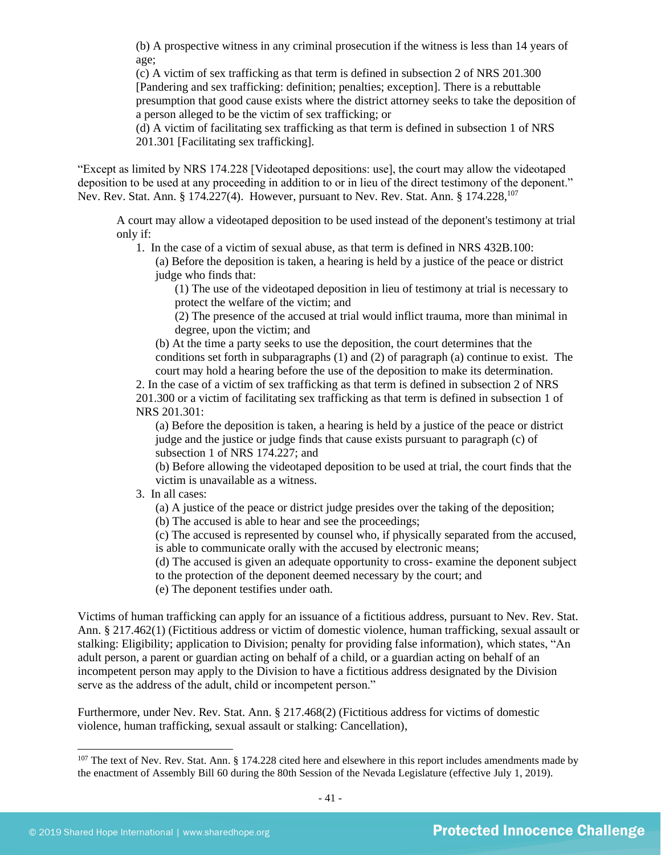(b) A prospective witness in any criminal prosecution if the witness is less than 14 years of age;

(c) A victim of sex trafficking as that term is defined in subsection 2 of NRS 201.300 [Pandering and sex trafficking: definition; penalties; exception]. There is a rebuttable presumption that good cause exists where the district attorney seeks to take the deposition of a person alleged to be the victim of sex trafficking; or

(d) A victim of facilitating sex trafficking as that term is defined in subsection 1 of NRS 201.301 [Facilitating sex trafficking].

"Except as limited by NRS 174.228 [Videotaped depositions: use], the court may allow the videotaped deposition to be used at any proceeding in addition to or in lieu of the direct testimony of the deponent." Nev. Rev. Stat. Ann. § 174.227(4). However, pursuant to Nev. Rev. Stat. Ann. § 174.228,<sup>107</sup>

A court may allow a videotaped deposition to be used instead of the deponent's testimony at trial only if:

1. In the case of a victim of sexual abuse, as that term is defined in NRS 432B.100:

(a) Before the deposition is taken, a hearing is held by a justice of the peace or district judge who finds that:

(1) The use of the videotaped deposition in lieu of testimony at trial is necessary to protect the welfare of the victim; and

(2) The presence of the accused at trial would inflict trauma, more than minimal in degree, upon the victim; and

(b) At the time a party seeks to use the deposition, the court determines that the conditions set forth in subparagraphs (1) and (2) of paragraph (a) continue to exist. The court may hold a hearing before the use of the deposition to make its determination.

2. In the case of a victim of sex trafficking as that term is defined in subsection 2 of NRS 201.300 or a victim of facilitating sex trafficking as that term is defined in subsection 1 of NRS 201.301:

(a) Before the deposition is taken, a hearing is held by a justice of the peace or district judge and the justice or judge finds that cause exists pursuant to paragraph (c) of subsection 1 of NRS 174.227; and

(b) Before allowing the videotaped deposition to be used at trial, the court finds that the victim is unavailable as a witness.

## 3. In all cases:

(a) A justice of the peace or district judge presides over the taking of the deposition;

(b) The accused is able to hear and see the proceedings;

(c) The accused is represented by counsel who, if physically separated from the accused, is able to communicate orally with the accused by electronic means;

(d) The accused is given an adequate opportunity to cross- examine the deponent subject to the protection of the deponent deemed necessary by the court; and

(e) The deponent testifies under oath.

Victims of human trafficking can apply for an issuance of a fictitious address, pursuant to Nev. Rev. Stat. Ann. § 217.462(1) (Fictitious address or victim of domestic violence, human trafficking, sexual assault or stalking: Eligibility; application to Division; penalty for providing false information), which states, "An adult person, a parent or guardian acting on behalf of a child, or a guardian acting on behalf of an incompetent person may apply to the Division to have a fictitious address designated by the Division serve as the address of the adult, child or incompetent person."

Furthermore, under Nev. Rev. Stat. Ann. § 217.468(2) (Fictitious address for victims of domestic violence, human trafficking, sexual assault or stalking: Cancellation),

 $107$  The text of Nev. Rev. Stat. Ann. § 174.228 cited here and elsewhere in this report includes amendments made by the enactment of Assembly Bill 60 during the 80th Session of the Nevada Legislature (effective July 1, 2019).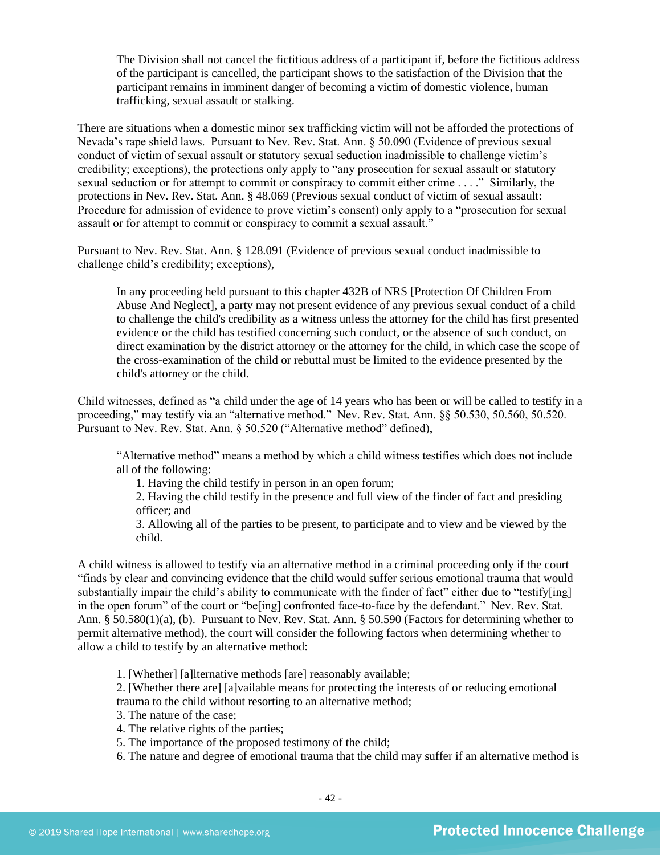The Division shall not cancel the fictitious address of a participant if, before the fictitious address of the participant is cancelled, the participant shows to the satisfaction of the Division that the participant remains in imminent danger of becoming a victim of domestic violence, human trafficking, sexual assault or stalking.

There are situations when a domestic minor sex trafficking victim will not be afforded the protections of Nevada's rape shield laws. Pursuant to Nev. Rev. Stat. Ann. § 50.090 (Evidence of previous sexual conduct of victim of sexual assault or statutory sexual seduction inadmissible to challenge victim's credibility; exceptions), the protections only apply to "any prosecution for sexual assault or statutory sexual seduction or for attempt to commit or conspiracy to commit either crime . . . ." Similarly, the protections in Nev. Rev. Stat. Ann. § 48.069 (Previous sexual conduct of victim of sexual assault: Procedure for admission of evidence to prove victim's consent) only apply to a "prosecution for sexual assault or for attempt to commit or conspiracy to commit a sexual assault."

Pursuant to Nev. Rev. Stat. Ann. § 128.091 (Evidence of previous sexual conduct inadmissible to challenge child's credibility; exceptions),

In any proceeding held pursuant to this chapter 432B of NRS [Protection Of Children From Abuse And Neglect], a party may not present evidence of any previous sexual conduct of a child to challenge the child's credibility as a witness unless the attorney for the child has first presented evidence or the child has testified concerning such conduct, or the absence of such conduct, on direct examination by the district attorney or the attorney for the child, in which case the scope of the cross-examination of the child or rebuttal must be limited to the evidence presented by the child's attorney or the child.

Child witnesses, defined as "a child under the age of 14 years who has been or will be called to testify in a proceeding," may testify via an "alternative method." Nev. Rev. Stat. Ann. §§ 50.530, 50.560, 50.520. Pursuant to Nev. Rev. Stat. Ann. § 50.520 ("Alternative method" defined),

"Alternative method" means a method by which a child witness testifies which does not include all of the following:

1. Having the child testify in person in an open forum;

2. Having the child testify in the presence and full view of the finder of fact and presiding officer; and

3. Allowing all of the parties to be present, to participate and to view and be viewed by the child.

A child witness is allowed to testify via an alternative method in a criminal proceeding only if the court "finds by clear and convincing evidence that the child would suffer serious emotional trauma that would substantially impair the child's ability to communicate with the finder of fact" either due to "testify[ing] in the open forum" of the court or "be[ing] confronted face-to-face by the defendant." Nev. Rev. Stat. Ann. § 50.580(1)(a), (b). Pursuant to Nev. Rev. Stat. Ann. § 50.590 (Factors for determining whether to permit alternative method), the court will consider the following factors when determining whether to allow a child to testify by an alternative method:

1. [Whether] [a]lternative methods [are] reasonably available;

2. [Whether there are] [a]vailable means for protecting the interests of or reducing emotional trauma to the child without resorting to an alternative method;

3. The nature of the case;

4. The relative rights of the parties;

5. The importance of the proposed testimony of the child;

6. The nature and degree of emotional trauma that the child may suffer if an alternative method is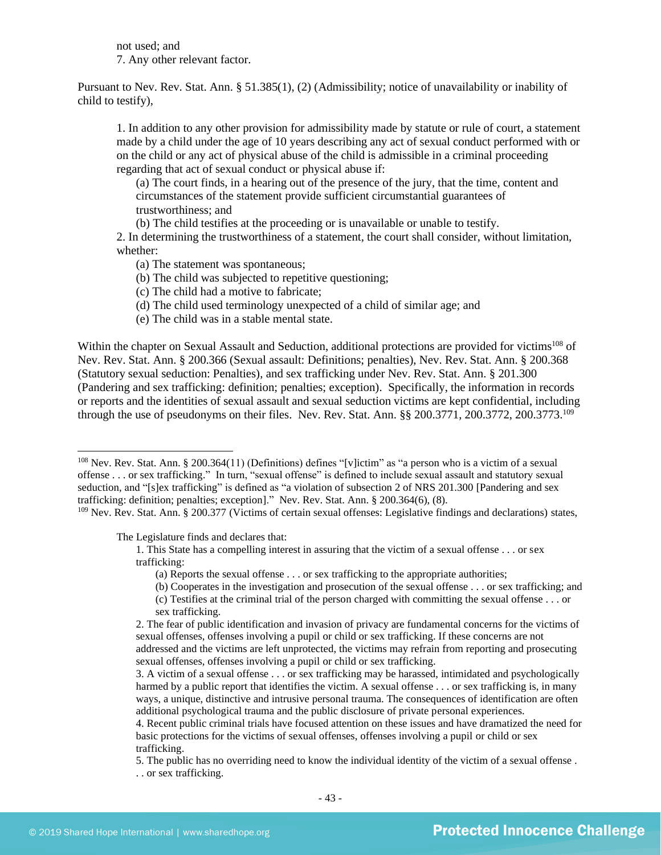not used; and 7. Any other relevant factor.

Pursuant to Nev. Rev. Stat. Ann. § 51.385(1), (2) (Admissibility; notice of unavailability or inability of child to testify),

1. In addition to any other provision for admissibility made by statute or rule of court, a statement made by a child under the age of 10 years describing any act of sexual conduct performed with or on the child or any act of physical abuse of the child is admissible in a criminal proceeding regarding that act of sexual conduct or physical abuse if:

(a) The court finds, in a hearing out of the presence of the jury, that the time, content and circumstances of the statement provide sufficient circumstantial guarantees of trustworthiness; and

(b) The child testifies at the proceeding or is unavailable or unable to testify.

2. In determining the trustworthiness of a statement, the court shall consider, without limitation, whether:

(a) The statement was spontaneous;

(b) The child was subjected to repetitive questioning;

(c) The child had a motive to fabricate;

(d) The child used terminology unexpected of a child of similar age; and

(e) The child was in a stable mental state.

Within the chapter on Sexual Assault and Seduction, additional protections are provided for victims<sup>108</sup> of Nev. Rev. Stat. Ann. § 200.366 (Sexual assault: Definitions; penalties), Nev. Rev. Stat. Ann. § 200.368 (Statutory sexual seduction: Penalties), and sex trafficking under Nev. Rev. Stat. Ann. § 201.300 (Pandering and sex trafficking: definition; penalties; exception). Specifically, the information in records or reports and the identities of sexual assault and sexual seduction victims are kept confidential, including through the use of pseudonyms on their files. Nev. Rev. Stat. Ann. §§ 200.3771, 200.3772, 200.3773.<sup>109</sup>

The Legislature finds and declares that:

(b) Cooperates in the investigation and prosecution of the sexual offense . . . or sex trafficking; and

<sup>&</sup>lt;sup>108</sup> Nev. Rev. Stat. Ann. § 200.364(11) (Definitions) defines "[v]ictim" as "a person who is a victim of a sexual offense . . . or sex trafficking." In turn, "sexual offense" is defined to include sexual assault and statutory sexual seduction, and "[s]ex trafficking" is defined as "a violation of subsection 2 of NRS 201.300 [Pandering and sex trafficking: definition; penalties; exception]." Nev. Rev. Stat. Ann. § 200.364(6), (8).

<sup>&</sup>lt;sup>109</sup> Nev. Rev. Stat. Ann. § 200.377 (Victims of certain sexual offenses: Legislative findings and declarations) states,

<sup>1.</sup> This State has a compelling interest in assuring that the victim of a sexual offense . . . or sex trafficking:

<sup>(</sup>a) Reports the sexual offense . . . or sex trafficking to the appropriate authorities;

<sup>(</sup>c) Testifies at the criminal trial of the person charged with committing the sexual offense . . . or sex trafficking.

<sup>2.</sup> The fear of public identification and invasion of privacy are fundamental concerns for the victims of sexual offenses, offenses involving a pupil or child or sex trafficking. If these concerns are not addressed and the victims are left unprotected, the victims may refrain from reporting and prosecuting sexual offenses, offenses involving a pupil or child or sex trafficking.

<sup>3.</sup> A victim of a sexual offense . . . or sex trafficking may be harassed, intimidated and psychologically harmed by a public report that identifies the victim. A sexual offense . . . or sex trafficking is, in many ways, a unique, distinctive and intrusive personal trauma. The consequences of identification are often additional psychological trauma and the public disclosure of private personal experiences.

<sup>4.</sup> Recent public criminal trials have focused attention on these issues and have dramatized the need for basic protections for the victims of sexual offenses, offenses involving a pupil or child or sex trafficking.

<sup>5.</sup> The public has no overriding need to know the individual identity of the victim of a sexual offense . . . or sex trafficking.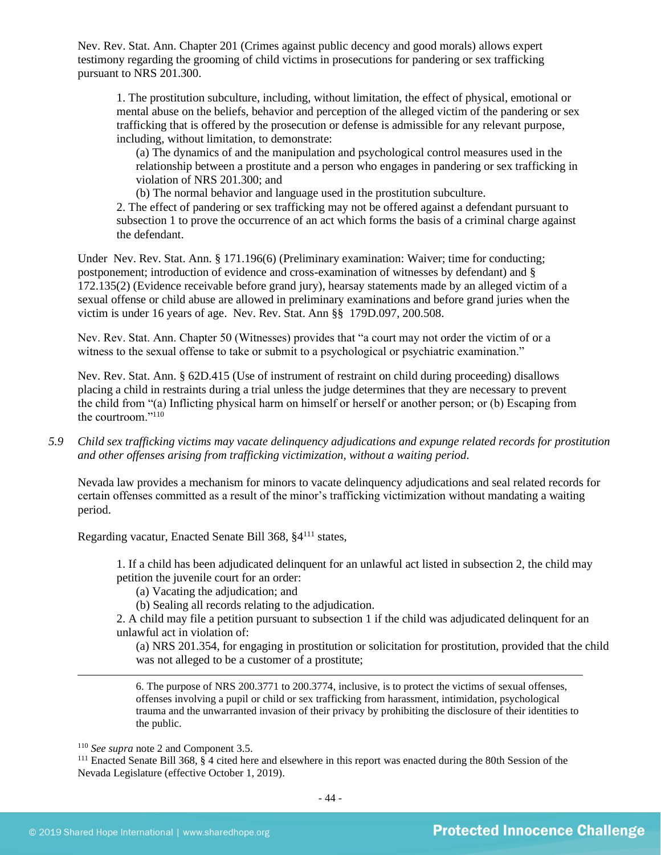Nev. Rev. Stat. Ann. Chapter 201 (Crimes against public decency and good morals) allows expert testimony regarding the grooming of child victims in prosecutions for pandering or sex trafficking pursuant to NRS 201.300.

1. The prostitution subculture, including, without limitation, the effect of physical, emotional or mental abuse on the beliefs, behavior and perception of the alleged victim of the pandering or sex trafficking that is offered by the prosecution or defense is admissible for any relevant purpose, including, without limitation, to demonstrate:

(a) The dynamics of and the manipulation and psychological control measures used in the relationship between a prostitute and a person who engages in pandering or sex trafficking in violation of NRS 201.300; and

(b) The normal behavior and language used in the prostitution subculture.

2. The effect of pandering or sex trafficking may not be offered against a defendant pursuant to subsection 1 to prove the occurrence of an act which forms the basis of a criminal charge against the defendant.

Under Nev. Rev. Stat. Ann. § [171.196\(](http://www.leg.state.nv.us/NRS/NRS-171.html#NRS171Sec196)6) (Preliminary examination: Waiver; time for conducting; postponement; introduction of evidence and cross-examination of witnesses by defendant) and § 172.135(2) (Evidence receivable before grand jury), hearsay statements made by an alleged victim of a sexual offense or child abuse are allowed in preliminary examinations and before grand juries when the victim is under 16 years of age. Nev. Rev. Stat. Ann §§ 179D.097, 200.508.

Nev. Rev. Stat. Ann. Chapter 50 (Witnesses) provides that "a court may not order the victim of or a witness to the sexual offense to take or submit to a psychological or psychiatric examination."

Nev. Rev. Stat. Ann. § 62D.415 (Use of instrument of restraint on child during proceeding) disallows placing a child in restraints during a trial unless the judge determines that they are necessary to prevent the child from "(a) Inflicting physical harm on himself or herself or another person; or (b) Escaping from the courtroom."<sup>110</sup>

*5.9 Child sex trafficking victims may vacate delinquency adjudications and expunge related records for prostitution and other offenses arising from trafficking victimization, without a waiting period.*

Nevada law provides a mechanism for minors to vacate delinquency adjudications and seal related records for certain offenses committed as a result of the minor's trafficking victimization without mandating a waiting period.

Regarding vacatur, Enacted Senate Bill 368, §4<sup>111</sup> states,

1. If a child has been adjudicated delinquent for an unlawful act listed in subsection 2, the child may petition the juvenile court for an order:

(a) Vacating the adjudication; and

(b) Sealing all records relating to the adjudication.

2. A child may file a petition pursuant to subsection 1 if the child was adjudicated delinquent for an unlawful act in violation of:

(a) NRS 201.354, for engaging in prostitution or solicitation for prostitution, provided that the child was not alleged to be a customer of a prostitute;

6. The purpose of NRS 200.3771 to 200.3774, inclusive, is to protect the victims of sexual offenses, offenses involving a pupil or child or sex trafficking from harassment, intimidation, psychological trauma and the unwarranted invasion of their privacy by prohibiting the disclosure of their identities to the public.

<sup>110</sup> *See supra* not[e 2](#page-0-0) and Component 3.5.

<sup>111</sup> Enacted Senate Bill 368, § 4 cited here and elsewhere in this report was enacted during the 80th Session of the Nevada Legislature (effective October 1, 2019).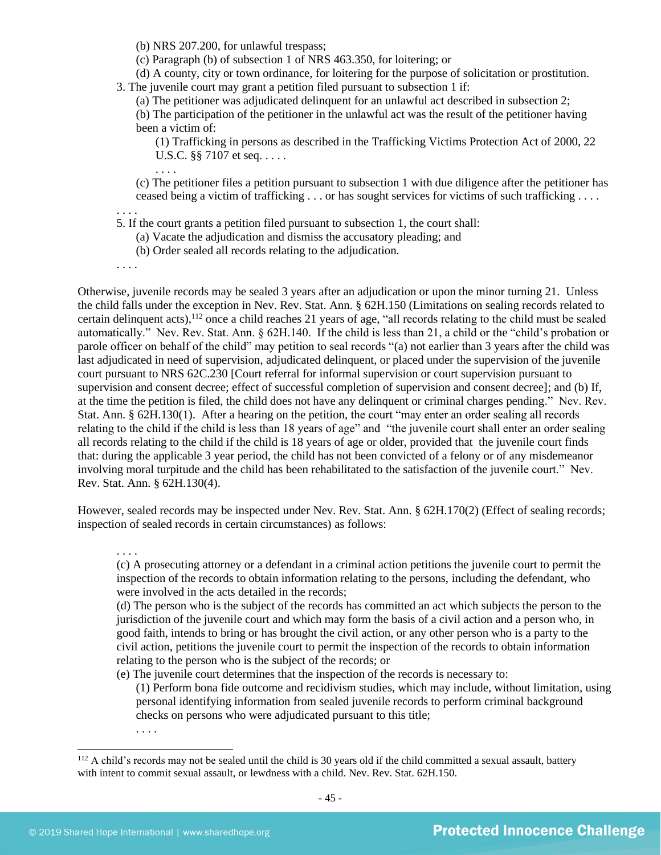(b) NRS 207.200, for unlawful trespass;

(c) Paragraph (b) of subsection 1 of NRS 463.350, for loitering; or

(d) A county, city or town ordinance, for loitering for the purpose of solicitation or prostitution. 3. The juvenile court may grant a petition filed pursuant to subsection 1 if:

(a) The petitioner was adjudicated delinquent for an unlawful act described in subsection 2;

(b) The participation of the petitioner in the unlawful act was the result of the petitioner having been a victim of:

(1) Trafficking in persons as described in the Trafficking Victims Protection Act of 2000, 22 U.S.C. §§ 7107 et seq. . . . . .

(c) The petitioner files a petition pursuant to subsection 1 with due diligence after the petitioner has ceased being a victim of trafficking . . . or has sought services for victims of such trafficking . . . .

5. If the court grants a petition filed pursuant to subsection 1, the court shall:

(a) Vacate the adjudication and dismiss the accusatory pleading; and

(b) Order sealed all records relating to the adjudication.

. . . .

. . . .

. . . .

Otherwise, juvenile records may be sealed 3 years after an adjudication or upon the minor turning 21. Unless the child falls under the exception in Nev. Rev. Stat. Ann. § 62H.150 (Limitations on sealing records related to certain delinquent acts),<sup>112</sup> once a child reaches 21 years of age, "all records relating to the child must be sealed automatically." Nev. Rev. Stat. Ann. § 62H.140. If the child is less than 21, a child or the "child's probation or parole officer on behalf of the child" may petition to seal records "(a) not earlier than 3 years after the child was last adjudicated in need of supervision, adjudicated delinquent, or placed under the supervision of the juvenile court pursuant to NRS 62C.230 [Court referral for informal supervision or court supervision pursuant to supervision and consent decree; effect of successful completion of supervision and consent decree]; and (b) If, at the time the petition is filed, the child does not have any delinquent or criminal charges pending." Nev. Rev. Stat. Ann. § 62H.130(1). After a hearing on the petition, the court "may enter an order sealing all records relating to the child if the child is less than 18 years of age" and "the juvenile court shall enter an order sealing all records relating to the child if the child is 18 years of age or older, provided that the juvenile court finds that: during the applicable 3 year period, the child has not been convicted of a felony or of any misdemeanor involving moral turpitude and the child has been rehabilitated to the satisfaction of the juvenile court." Nev. Rev. Stat. Ann. § 62H.130(4).

However, sealed records may be inspected under Nev. Rev. Stat. Ann. § 62H.170(2) (Effect of sealing records; inspection of sealed records in certain circumstances) as follows:

. . . .

(c) A prosecuting attorney or a defendant in a criminal action petitions the juvenile court to permit the inspection of the records to obtain information relating to the persons, including the defendant, who were involved in the acts detailed in the records;

(d) The person who is the subject of the records has committed an act which subjects the person to the jurisdiction of the juvenile court and which may form the basis of a civil action and a person who, in good faith, intends to bring or has brought the civil action, or any other person who is a party to the civil action, petitions the juvenile court to permit the inspection of the records to obtain information relating to the person who is the subject of the records; or

(e) The juvenile court determines that the inspection of the records is necessary to:

(1) Perform bona fide outcome and recidivism studies, which may include, without limitation, using personal identifying information from sealed juvenile records to perform criminal background checks on persons who were adjudicated pursuant to this title;

. . . .

 $112$  A child's records may not be sealed until the child is 30 years old if the child committed a sexual assault, battery with intent to commit sexual assault, or lewdness with a child. Nev. Rev. Stat. 62H.150.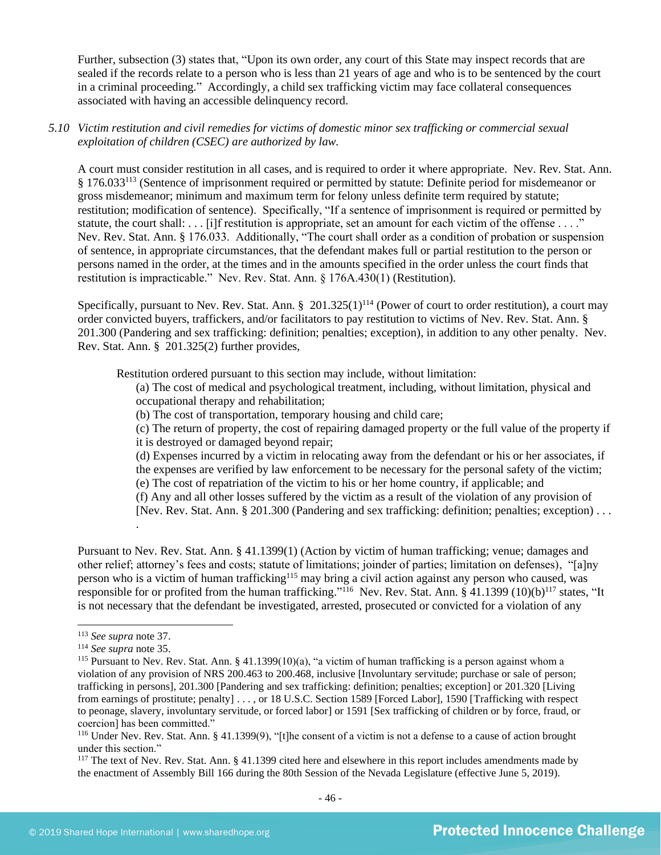Further, subsection (3) states that, "Upon its own order, any court of this State may inspect records that are sealed if the records relate to a person who is less than 21 years of age and who is to be sentenced by the court in a criminal proceeding." Accordingly, a child sex trafficking victim may face collateral consequences associated with having an accessible delinquency record.

*5.10 Victim restitution and civil remedies for victims of domestic minor sex trafficking or commercial sexual exploitation of children (CSEC) are authorized by law.* 

A court must consider restitution in all cases, and is required to order it where appropriate. Nev. Rev. Stat. Ann. § 176.033<sup>113</sup> (Sentence of imprisonment required or permitted by statute: Definite period for misdemeanor or gross misdemeanor; minimum and maximum term for felony unless definite term required by statute; restitution; modification of sentence). Specifically, "If a sentence of imprisonment is required or permitted by statute, the court shall: . . . [i]f restitution is appropriate, set an amount for each victim of the offense . . . ." Nev. Rev. Stat. Ann. § 176.033. Additionally, "The court shall order as a condition of probation or suspension of sentence, in appropriate circumstances, that the defendant makes full or partial restitution to the person or persons named in the order, at the times and in the amounts specified in the order unless the court finds that restitution is impracticable." Nev. Rev. Stat. Ann. § 176A.430(1) (Restitution).

Specifically, pursuant to Nev. Rev. Stat. Ann.  $\S$  201.325(1)<sup>114</sup> (Power of court to order restitution), a court may order convicted buyers, traffickers, and/or facilitators to pay restitution to victims of Nev. Rev. Stat. Ann. § 201.300 (Pandering and sex trafficking: definition; penalties; exception), in addition to any other penalty. Nev. Rev. Stat. Ann. § 201.325(2) further provides,

Restitution ordered pursuant to this section may include, without limitation:

(a) The cost of medical and psychological treatment, including, without limitation, physical and occupational therapy and rehabilitation;

(b) The cost of transportation, temporary housing and child care;

(c) The return of property, the cost of repairing damaged property or the full value of the property if it is destroyed or damaged beyond repair;

(d) Expenses incurred by a victim in relocating away from the defendant or his or her associates, if the expenses are verified by law enforcement to be necessary for the personal safety of the victim;

(e) The cost of repatriation of the victim to his or her home country, if applicable; and

(f) Any and all other losses suffered by the victim as a result of the violation of any provision of

[Nev. Rev. Stat. Ann. § 201.300 (Pandering and sex trafficking: definition; penalties; exception) . . .

Pursuant to Nev. Rev. Stat. Ann. § 41.1399(1) (Action by victim of human trafficking; venue; damages and other relief; attorney's fees and costs; statute of limitations; joinder of parties; limitation on defenses), "[a]ny person who is a victim of human trafficking<sup>115</sup> may bring a civil action against any person who caused, was responsible for or profited from the human trafficking."<sup>116</sup> Nev. Rev. Stat. Ann. § 41.1399 (10)(b)<sup>117</sup> states, "It is not necessary that the defendant be investigated, arrested, prosecuted or convicted for a violation of any

.

<sup>113</sup> *See supra* not[e 37.](#page-12-2)

<sup>114</sup> *See supra* not[e 35.](#page-12-0)

<sup>&</sup>lt;sup>115</sup> Pursuant to Nev. Rev. Stat. Ann. § 41.1399(10)(a), "a victim of human trafficking is a person against whom a violation of any provision of NRS 200.463 to 200.468, inclusive [Involuntary servitude; purchase or sale of person; trafficking in persons], 201.300 [Pandering and sex trafficking: definition; penalties; exception] or 201.320 [Living from earnings of prostitute; penalty] . . . , or 18 U.S.C. Section 1589 [Forced Labor], 1590 [Trafficking with respect to peonage, slavery, involuntary servitude, or forced labor] or 1591 [Sex trafficking of children or by force, fraud, or coercion] has been committed."

<sup>116</sup> Under Nev. Rev. Stat. Ann. § 41.1399(9), "[t]he consent of a victim is not a defense to a cause of action brought under this section."

<sup>&</sup>lt;sup>117</sup> The text of Nev. Rev. Stat. Ann. § 41.1399 cited here and elsewhere in this report includes amendments made by the enactment of Assembly Bill 166 during the 80th Session of the Nevada Legislature (effective June 5, 2019).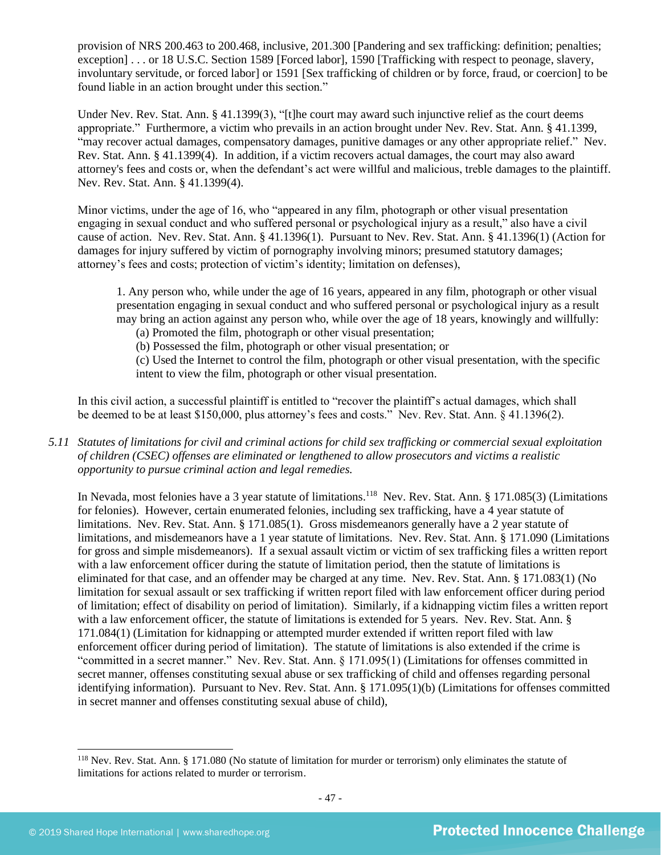provision of NRS 200.463 to 200.468, inclusive, 201.300 [Pandering and sex trafficking: definition; penalties; exception] . . . or 18 U.S.C. Section 1589 [Forced labor], 1590 [Trafficking with respect to peonage, slavery, involuntary servitude, or forced labor] or 1591 [Sex trafficking of children or by force, fraud, or coercion] to be found liable in an action brought under this section."

Under Nev. Rev. Stat. Ann. § 41.1399(3), "[t]he court may award such injunctive relief as the court deems appropriate." Furthermore, a victim who prevails in an action brought under Nev. Rev. Stat. Ann. § 41.1399, "may recover actual damages, compensatory damages, punitive damages or any other appropriate relief." Nev. Rev. Stat. Ann. § 41.1399(4). In addition, if a victim recovers actual damages, the court may also award attorney's fees and costs or, when the defendant's act were willful and malicious, treble damages to the plaintiff. Nev. Rev. Stat. Ann. § 41.1399(4).

Minor victims, under the age of 16, who "appeared in any film, photograph or other visual presentation engaging in sexual conduct and who suffered personal or psychological injury as a result," also have a civil cause of action. Nev. Rev. Stat. Ann. § 41.1396(1). Pursuant to Nev. Rev. Stat. Ann. § 41.1396(1) (Action for damages for injury suffered by victim of pornography involving minors; presumed statutory damages; attorney's fees and costs; protection of victim's identity; limitation on defenses),

1. Any person who, while under the age of 16 years, appeared in any film, photograph or other visual presentation engaging in sexual conduct and who suffered personal or psychological injury as a result may bring an action against any person who, while over the age of 18 years, knowingly and willfully:

(a) Promoted the film, photograph or other visual presentation;

(b) Possessed the film, photograph or other visual presentation; or

(c) Used the Internet to control the film, photograph or other visual presentation, with the specific intent to view the film, photograph or other visual presentation.

In this civil action, a successful plaintiff is entitled to "recover the plaintiff's actual damages, which shall be deemed to be at least \$150,000, plus attorney's fees and costs." Nev. Rev. Stat. Ann. § 41.1396(2).

*5.11 Statutes of limitations for civil and criminal actions for child sex trafficking or commercial sexual exploitation of children (CSEC) offenses are eliminated or lengthened to allow prosecutors and victims a realistic opportunity to pursue criminal action and legal remedies.*

In Nevada, most felonies have a 3 year statute of limitations.<sup>118</sup> Nev. Rev. Stat. Ann. § 171.085(3) (Limitations for felonies). However, certain enumerated felonies, including sex trafficking, have a 4 year statute of limitations. Nev. Rev. Stat. Ann. § 171.085(1). Gross misdemeanors generally have a 2 year statute of limitations, and misdemeanors have a 1 year statute of limitations. Nev. Rev. Stat. Ann. § 171.090 (Limitations for gross and simple misdemeanors). If a sexual assault victim or victim of sex trafficking files a written report with a law enforcement officer during the statute of limitation period, then the statute of limitations is eliminated for that case, and an offender may be charged at any time. Nev. Rev. Stat. Ann. § 171.083(1) (No limitation for sexual assault or sex trafficking if written report filed with law enforcement officer during period of limitation; effect of disability on period of limitation). Similarly, if a kidnapping victim files a written report with a law enforcement officer, the statute of limitations is extended for 5 years. Nev. Rev. Stat. Ann. § 171.084(1) (Limitation for kidnapping or attempted murder extended if written report filed with law enforcement officer during period of limitation). The statute of limitations is also extended if the crime is "committed in a secret manner." Nev. Rev. Stat. Ann. § 171.095(1) (Limitations for offenses committed in secret manner, offenses constituting sexual abuse or sex trafficking of child and offenses regarding personal identifying information). Pursuant to Nev. Rev. Stat. Ann. § 171.095(1)(b) (Limitations for offenses committed in secret manner and offenses constituting sexual abuse of child),

<sup>118</sup> Nev. Rev. Stat. Ann. § 171.080 (No statute of limitation for murder or terrorism) only eliminates the statute of limitations for actions related to murder or terrorism.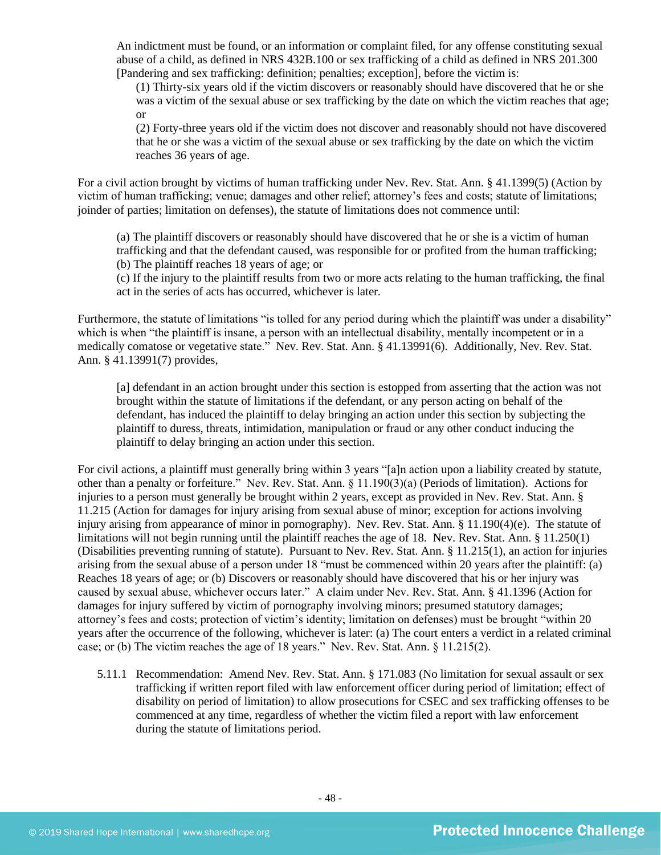An indictment must be found, or an information or complaint filed, for any offense constituting sexual abuse of a child, as defined in NRS 432B.100 or sex trafficking of a child as defined in NRS 201.300 [Pandering and sex trafficking: definition; penalties; exception], before the victim is:

(1) Thirty-six years old if the victim discovers or reasonably should have discovered that he or she was a victim of the sexual abuse or sex trafficking by the date on which the victim reaches that age; or

(2) Forty-three years old if the victim does not discover and reasonably should not have discovered that he or she was a victim of the sexual abuse or sex trafficking by the date on which the victim reaches 36 years of age.

For a civil action brought by victims of human trafficking under Nev. Rev. Stat. Ann. § 41.1399(5) (Action by victim of human trafficking; venue; damages and other relief; attorney's fees and costs; statute of limitations; joinder of parties; limitation on defenses), the statute of limitations does not commence until:

(a) The plaintiff discovers or reasonably should have discovered that he or she is a victim of human trafficking and that the defendant caused, was responsible for or profited from the human trafficking; (b) The plaintiff reaches 18 years of age; or

(c) If the injury to the plaintiff results from two or more acts relating to the human trafficking, the final act in the series of acts has occurred, whichever is later.

Furthermore, the statute of limitations "is tolled for any period during which the plaintiff was under a disability" which is when "the plaintiff is insane, a person with an intellectual disability, mentally incompetent or in a medically comatose or vegetative state." Nev. Rev. Stat. Ann. § 41.13991(6). Additionally, Nev. Rev. Stat. Ann. § 41.13991(7) provides,

[a] defendant in an action brought under this section is estopped from asserting that the action was not brought within the statute of limitations if the defendant, or any person acting on behalf of the defendant, has induced the plaintiff to delay bringing an action under this section by subjecting the plaintiff to duress, threats, intimidation, manipulation or fraud or any other conduct inducing the plaintiff to delay bringing an action under this section.

For civil actions, a plaintiff must generally bring within 3 years "[a]n action upon a liability created by statute, other than a penalty or forfeiture." Nev. Rev. Stat. Ann. § 11.190(3)(a) (Periods of limitation). Actions for injuries to a person must generally be brought within 2 years, except as provided in Nev. Rev. Stat. Ann. § 11.215 (Action for damages for injury arising from sexual abuse of minor; exception for actions involving injury arising from appearance of minor in pornography). Nev. Rev. Stat. Ann. § 11.190(4)(e). The statute of limitations will not begin running until the plaintiff reaches the age of 18. Nev. Rev. Stat. Ann. § 11.250(1) (Disabilities preventing running of statute). Pursuant to Nev. Rev. Stat. Ann. § 11.215(1), an action for injuries arising from the sexual abuse of a person under 18 "must be commenced within 20 years after the plaintiff: (a) Reaches 18 years of age; or (b) Discovers or reasonably should have discovered that his or her injury was caused by sexual abuse, whichever occurs later." A claim under Nev. Rev. Stat. Ann. § 41.1396 (Action for damages for injury suffered by victim of pornography involving minors; presumed statutory damages; attorney's fees and costs; protection of victim's identity; limitation on defenses) must be brought "within 20 years after the occurrence of the following, whichever is later: (a) The court enters a verdict in a related criminal case; or (b) The victim reaches the age of 18 years." Nev. Rev. Stat. Ann. § 11.215(2).

5.11.1 Recommendation: Amend Nev. Rev. Stat. Ann. § 171.083 (No limitation for sexual assault or sex trafficking if written report filed with law enforcement officer during period of limitation; effect of disability on period of limitation) to allow prosecutions for CSEC and sex trafficking offenses to be commenced at any time, regardless of whether the victim filed a report with law enforcement during the statute of limitations period.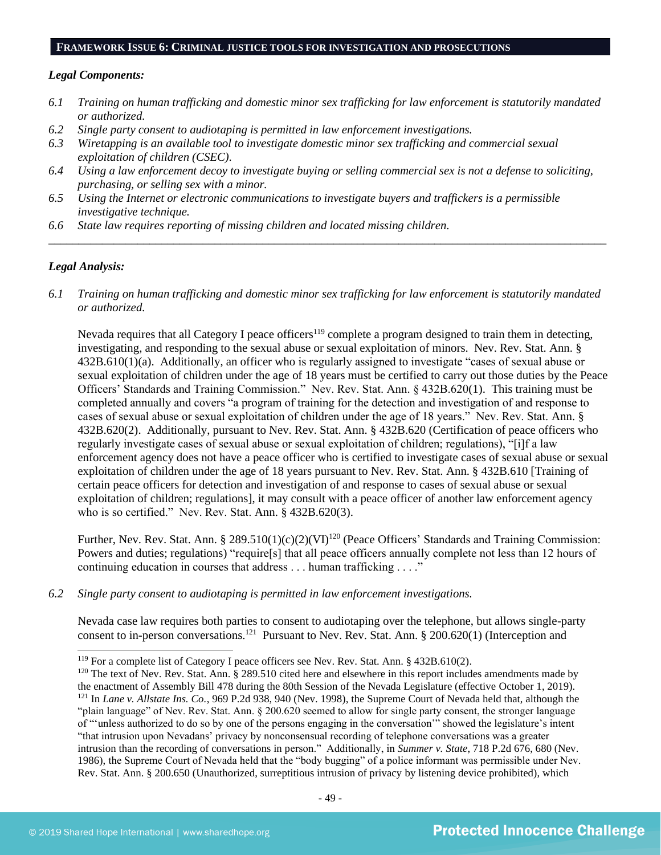#### **FRAMEWORK ISSUE 6: CRIMINAL JUSTICE TOOLS FOR INVESTIGATION AND PROSECUTIONS**

#### *Legal Components:*

- *6.1 Training on human trafficking and domestic minor sex trafficking for law enforcement is statutorily mandated or authorized.*
- *6.2 Single party consent to audiotaping is permitted in law enforcement investigations.*
- *6.3 Wiretapping is an available tool to investigate domestic minor sex trafficking and commercial sexual exploitation of children (CSEC).*
- *6.4 Using a law enforcement decoy to investigate buying or selling commercial sex is not a defense to soliciting, purchasing, or selling sex with a minor.*
- *6.5 Using the Internet or electronic communications to investigate buyers and traffickers is a permissible investigative technique.*
- *6.6 State law requires reporting of missing children and located missing children.*

## *Legal Analysis:*

*6.1 Training on human trafficking and domestic minor sex trafficking for law enforcement is statutorily mandated or authorized.*

*\_\_\_\_\_\_\_\_\_\_\_\_\_\_\_\_\_\_\_\_\_\_\_\_\_\_\_\_\_\_\_\_\_\_\_\_\_\_\_\_\_\_\_\_\_\_\_\_\_\_\_\_\_\_\_\_\_\_\_\_\_\_\_\_\_\_\_\_\_\_\_\_\_\_\_\_\_\_\_\_\_\_\_\_\_\_\_\_\_\_\_\_\_\_*

Nevada requires that all Category I peace officers<sup>119</sup> complete a program designed to train them in detecting, investigating, and responding to the sexual abuse or sexual exploitation of minors. Nev. Rev. Stat. Ann. § 432B.610(1)(a). Additionally, an officer who is regularly assigned to investigate "cases of sexual abuse or sexual exploitation of children under the age of 18 years must be certified to carry out those duties by the Peace Officers' Standards and Training Commission." Nev. Rev. Stat. Ann. § 432B.620(1). This training must be completed annually and covers "a program of training for the detection and investigation of and response to cases of sexual abuse or sexual exploitation of children under the age of 18 years." Nev. Rev. Stat. Ann. § 432B.620(2). Additionally, pursuant to Nev. Rev. Stat. Ann. § 432B.620 (Certification of peace officers who regularly investigate cases of sexual abuse or sexual exploitation of children; regulations), "[i]f a law enforcement agency does not have a peace officer who is certified to investigate cases of sexual abuse or sexual exploitation of children under the age of 18 years pursuant to Nev. Rev. Stat. Ann. § 432B.610 [Training of certain peace officers for detection and investigation of and response to cases of sexual abuse or sexual exploitation of children; regulations], it may consult with a peace officer of another law enforcement agency who is so certified." Nev. Rev. Stat. Ann. § 432B.620(3).

Further, Nev. Rev. Stat. Ann. § 289.510(1)(c)(2)(VI)<sup>120</sup> (Peace Officers' Standards and Training Commission: Powers and duties; regulations) "require[s] that all peace officers annually complete not less than 12 hours of continuing education in courses that address . . . human trafficking . . . ."

*6.2 Single party consent to audiotaping is permitted in law enforcement investigations.*

Nevada case law requires both parties to consent to audiotaping over the telephone, but allows single-party consent to in-person conversations.<sup>121</sup> Pursuant to Nev. Rev. Stat. Ann.  $\S 200.620(1)$  (Interception and

<sup>&</sup>lt;sup>119</sup> For a complete list of Category I peace officers see Nev. Rev. Stat. Ann. § 432B.610(2).

 $120$  The text of Nev. Rev. Stat. Ann. § 289.510 cited here and elsewhere in this report includes amendments made by the enactment of Assembly Bill 478 during the 80th Session of the Nevada Legislature (effective October 1, 2019). <sup>121</sup> In *Lane v. Allstate Ins. Co.*, 969 P.2d 938, 940 (Nev. 1998), the Supreme Court of Nevada held that, although the "plain language" of Nev. Rev. Stat. Ann. § 200.620 seemed to allow for single party consent, the stronger language of "'unless authorized to do so by one of the persons engaging in the conversation'" showed the legislature's intent "that intrusion upon Nevadans' privacy by nonconsensual recording of telephone conversations was a greater intrusion than the recording of conversations in person." Additionally, in *Summer v. State*, 718 P.2d 676, 680 (Nev. 1986), the Supreme Court of Nevada held that the "body bugging" of a police informant was permissible under Nev. Rev. Stat. Ann. § 200.650 (Unauthorized, surreptitious intrusion of privacy by listening device prohibited), which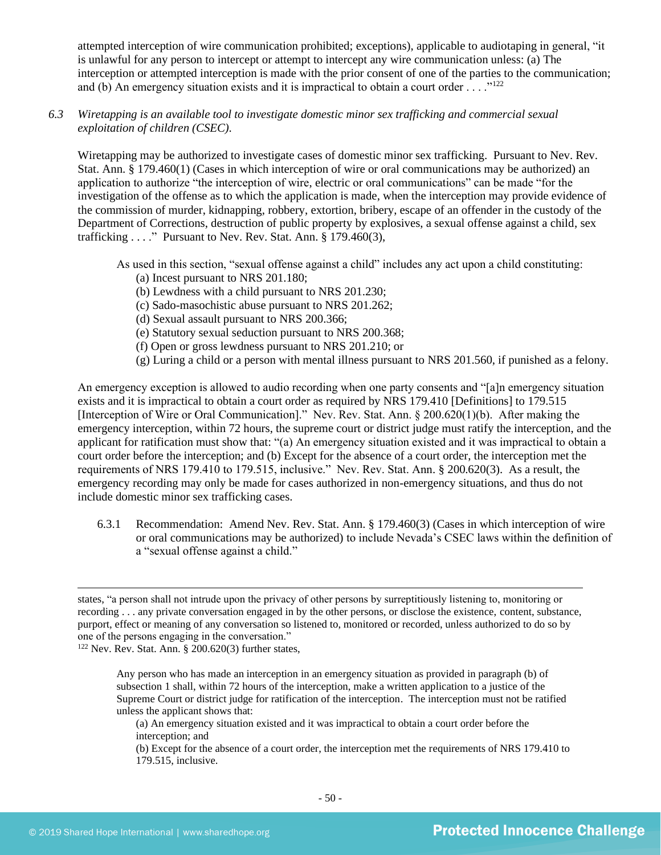attempted interception of wire communication prohibited; exceptions), applicable to audiotaping in general, "it is unlawful for any person to intercept or attempt to intercept any wire communication unless: (a) The interception or attempted interception is made with the prior consent of one of the parties to the communication; and (b) An emergency situation exists and it is impractical to obtain a court order . . . ."<sup>122</sup>

## *6.3 Wiretapping is an available tool to investigate domestic minor sex trafficking and commercial sexual exploitation of children (CSEC).*

Wiretapping may be authorized to investigate cases of domestic minor sex trafficking. Pursuant to Nev. Rev. Stat. Ann. § 179.460(1) (Cases in which interception of wire or oral communications may be authorized) an application to authorize "the interception of wire, electric or oral communications" can be made "for the investigation of the offense as to which the application is made, when the interception may provide evidence of the commission of murder, kidnapping, robbery, extortion, bribery, escape of an offender in the custody of the Department of Corrections, destruction of public property by explosives, a sexual offense against a child, sex trafficking . . . ." Pursuant to Nev. Rev. Stat. Ann. § 179.460(3),

As used in this section, "sexual offense against a child" includes any act upon a child constituting:

- (a) Incest pursuant to NRS 201.180;
- (b) Lewdness with a child pursuant to NRS 201.230;
- (c) Sado-masochistic abuse pursuant to NRS 201.262;
- (d) Sexual assault pursuant to NRS 200.366;
- (e) Statutory sexual seduction pursuant to NRS 200.368;
- (f) Open or gross lewdness pursuant to NRS 201.210; or
- (g) Luring a child or a person with mental illness pursuant to NRS 201.560, if punished as a felony.

An emergency exception is allowed to audio recording when one party consents and "[a]n emergency situation exists and it is impractical to obtain a court order as required by NRS 179.410 [Definitions] to 179.515 [Interception of Wire or Oral Communication]." Nev. Rev. Stat. Ann. § 200.620(1)(b). After making the emergency interception, within 72 hours, the supreme court or district judge must ratify the interception, and the applicant for ratification must show that: "(a) An emergency situation existed and it was impractical to obtain a court order before the interception; and (b) Except for the absence of a court order, the interception met the requirements of NRS 179.410 to 179.515, inclusive." Nev. Rev. Stat. Ann. § 200.620(3). As a result, the emergency recording may only be made for cases authorized in non-emergency situations, and thus do not include domestic minor sex trafficking cases.

6.3.1 Recommendation: Amend Nev. Rev. Stat. Ann. § 179.460(3) (Cases in which interception of wire or oral communications may be authorized) to include Nevada's CSEC laws within the definition of a "sexual offense against a child."

 $122$  Nev. Rev. Stat. Ann. § 200.620(3) further states,

Any person who has made an interception in an emergency situation as provided in paragraph (b) of subsection 1 shall, within 72 hours of the interception, make a written application to a justice of the Supreme Court or district judge for ratification of the interception. The interception must not be ratified unless the applicant shows that:

(a) An emergency situation existed and it was impractical to obtain a court order before the interception; and

(b) Except for the absence of a court order, the interception met the requirements of NRS 179.410 to 179.515, inclusive.

states, "a person shall not intrude upon the privacy of other persons by surreptitiously listening to, monitoring or recording . . . any private conversation engaged in by the other persons, or disclose the existence, content, substance, purport, effect or meaning of any conversation so listened to, monitored or recorded, unless authorized to do so by one of the persons engaging in the conversation."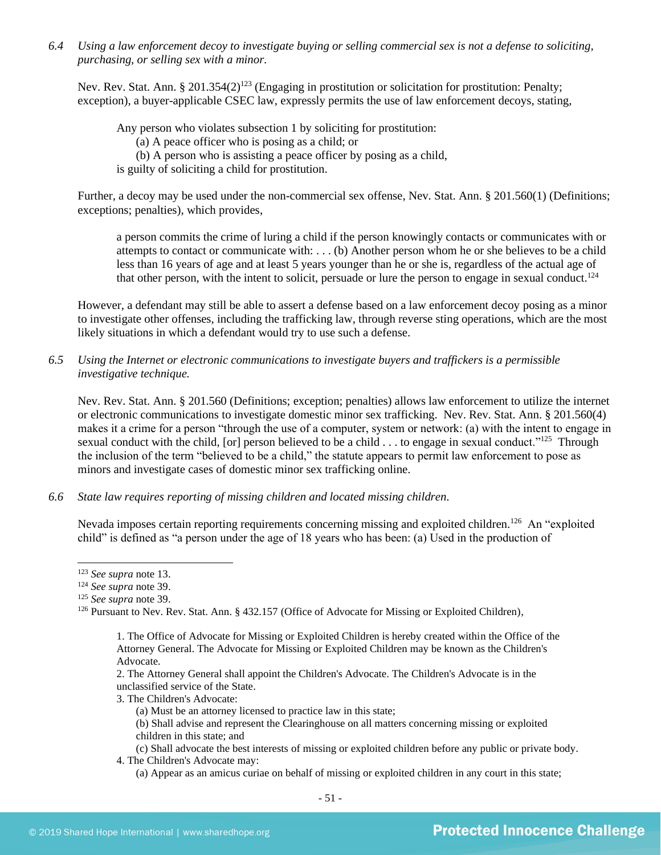*6.4 Using a law enforcement decoy to investigate buying or selling commercial sex is not a defense to soliciting, purchasing, or selling sex with a minor.*

Nev. Rev. Stat. Ann. § 201.354(2)<sup>123</sup> (Engaging in prostitution or solicitation for prostitution: Penalty; exception), a buyer-applicable CSEC law, expressly permits the use of law enforcement decoys, stating,

Any person who violates subsection 1 by soliciting for prostitution:

(a) A peace officer who is posing as a child; or

(b) A person who is assisting a peace officer by posing as a child,

is guilty of soliciting a child for prostitution.

Further, a decoy may be used under the non-commercial sex offense, Nev. Stat. Ann. § 201.560(1) (Definitions; exceptions; penalties), which provides,

a person commits the crime of luring a child if the person knowingly contacts or communicates with or attempts to contact or communicate with: . . . (b) Another person whom he or she believes to be a child less than 16 years of age and at least 5 years younger than he or she is, regardless of the actual age of that other person, with the intent to solicit, persuade or lure the person to engage in sexual conduct.<sup>124</sup>

However, a defendant may still be able to assert a defense based on a law enforcement decoy posing as a minor to investigate other offenses, including the trafficking law, through reverse sting operations, which are the most likely situations in which a defendant would try to use such a defense.

*6.5 Using the Internet or electronic communications to investigate buyers and traffickers is a permissible investigative technique.*

Nev. Rev. Stat. Ann. § 201.560 (Definitions; exception; penalties) allows law enforcement to utilize the internet or electronic communications to investigate domestic minor sex trafficking. Nev. Rev. Stat. Ann. § 201.560(4) makes it a crime for a person "through the use of a computer, system or network: (a) with the intent to engage in sexual conduct with the child, [or] person believed to be a child  $\dots$  to engage in sexual conduct."<sup>125</sup> Through the inclusion of the term "believed to be a child," the statute appears to permit law enforcement to pose as minors and investigate cases of domestic minor sex trafficking online.

## *6.6 State law requires reporting of missing children and located missing children.*

Nevada imposes certain reporting requirements concerning missing and exploited children.<sup>126</sup> An "exploited child" is defined as "a person under the age of 18 years who has been: (a) Used in the production of

<sup>123</sup> *See supra* not[e 13.](#page-3-0)

2. The Attorney General shall appoint the Children's Advocate. The Children's Advocate is in the unclassified service of the State.

3. The Children's Advocate:

(c) Shall advocate the best interests of missing or exploited children before any public or private body.

- 4. The Children's Advocate may:
	- (a) Appear as an amicus curiae on behalf of missing or exploited children in any court in this state;

<sup>124</sup> *See supra* note [39.](#page-13-0)

<sup>125</sup> *See supra* note [39.](#page-13-0)

<sup>&</sup>lt;sup>126</sup> Pursuant to Nev. Rev. Stat. Ann. § 432.157 (Office of Advocate for Missing or Exploited Children),

<sup>1.</sup> The Office of Advocate for Missing or Exploited Children is hereby created within the Office of the Attorney General. The Advocate for Missing or Exploited Children may be known as the Children's Advocate.

<sup>(</sup>a) Must be an attorney licensed to practice law in this state;

<sup>(</sup>b) Shall advise and represent the Clearinghouse on all matters concerning missing or exploited children in this state; and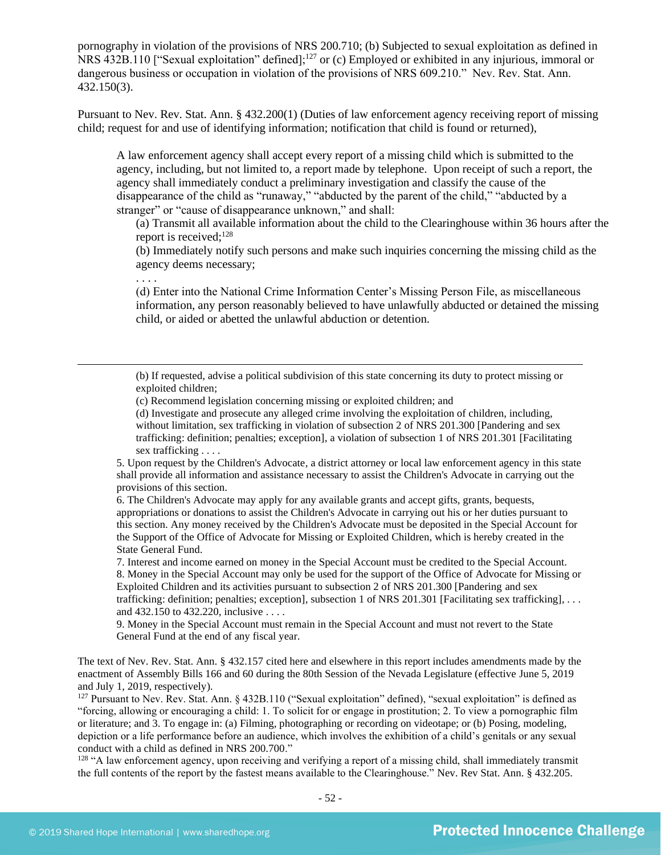pornography in violation of the provisions of NRS 200.710; (b) Subjected to sexual exploitation as defined in NRS 432B.110 ["Sexual exploitation" defined];<sup>127</sup> or (c) Employed or exhibited in any injurious, immoral or dangerous business or occupation in violation of the provisions of NRS 609.210." Nev. Rev. Stat. Ann. 432.150(3).

Pursuant to Nev. Rev. Stat. Ann. § 432.200(1) (Duties of law enforcement agency receiving report of missing child; request for and use of identifying information; notification that child is found or returned),

A law enforcement agency shall accept every report of a missing child which is submitted to the agency, including, but not limited to, a report made by telephone. Upon receipt of such a report, the agency shall immediately conduct a preliminary investigation and classify the cause of the disappearance of the child as "runaway," "abducted by the parent of the child," "abducted by a stranger" or "cause of disappearance unknown," and shall:

(a) Transmit all available information about the child to the Clearinghouse within 36 hours after the report is received;<sup>128</sup>

(b) Immediately notify such persons and make such inquiries concerning the missing child as the agency deems necessary;

. . . .

(d) Enter into the National Crime Information Center's Missing Person File, as miscellaneous information, any person reasonably believed to have unlawfully abducted or detained the missing child, or aided or abetted the unlawful abduction or detention.

(b) If requested, advise a political subdivision of this state concerning its duty to protect missing or exploited children;

(c) Recommend legislation concerning missing or exploited children; and

(d) Investigate and prosecute any alleged crime involving the exploitation of children, including, without limitation, sex trafficking in violation of subsection 2 of NRS 201.300 [Pandering and sex trafficking: definition; penalties; exception], a violation of subsection 1 of NRS 201.301 [Facilitating sex trafficking . . . .

5. Upon request by the Children's Advocate, a district attorney or local law enforcement agency in this state shall provide all information and assistance necessary to assist the Children's Advocate in carrying out the provisions of this section.

6. The Children's Advocate may apply for any available grants and accept gifts, grants, bequests, appropriations or donations to assist the Children's Advocate in carrying out his or her duties pursuant to this section. Any money received by the Children's Advocate must be deposited in the Special Account for the Support of the Office of Advocate for Missing or Exploited Children, which is hereby created in the State General Fund.

7. Interest and income earned on money in the Special Account must be credited to the Special Account. 8. Money in the Special Account may only be used for the support of the Office of Advocate for Missing or Exploited Children and its activities pursuant to subsection 2 of NRS 201.300 [Pandering and sex trafficking: definition; penalties; exception], subsection 1 of NRS 201.301 [Facilitating sex trafficking], ... and 432.150 to 432.220, inclusive . . . .

9. Money in the Special Account must remain in the Special Account and must not revert to the State General Fund at the end of any fiscal year.

The text of Nev. Rev. Stat. Ann. § 432.157 cited here and elsewhere in this report includes amendments made by the enactment of Assembly Bills 166 and 60 during the 80th Session of the Nevada Legislature (effective June 5, 2019 and July 1, 2019, respectively).

 $127$  Pursuant to Nev. Rev. Stat. Ann. § 432B.110 ("Sexual exploitation" defined), "sexual exploitation" is defined as "forcing, allowing or encouraging a child: 1. To solicit for or engage in prostitution; 2. To view a pornographic film or literature; and 3. To engage in: (a) Filming, photographing or recording on videotape; or (b) Posing, modeling, depiction or a life performance before an audience, which involves the exhibition of a child's genitals or any sexual conduct with a child as defined in NRS 200.700."

<sup>128</sup> "A law enforcement agency, upon receiving and verifying a report of a missing child, shall immediately transmit the full contents of the report by the fastest means available to the Clearinghouse." Nev. Rev Stat. Ann. [§ 432.205.](http://www.leg.state.nv.us/NRS/NRS-432.html#NRS432Sec205)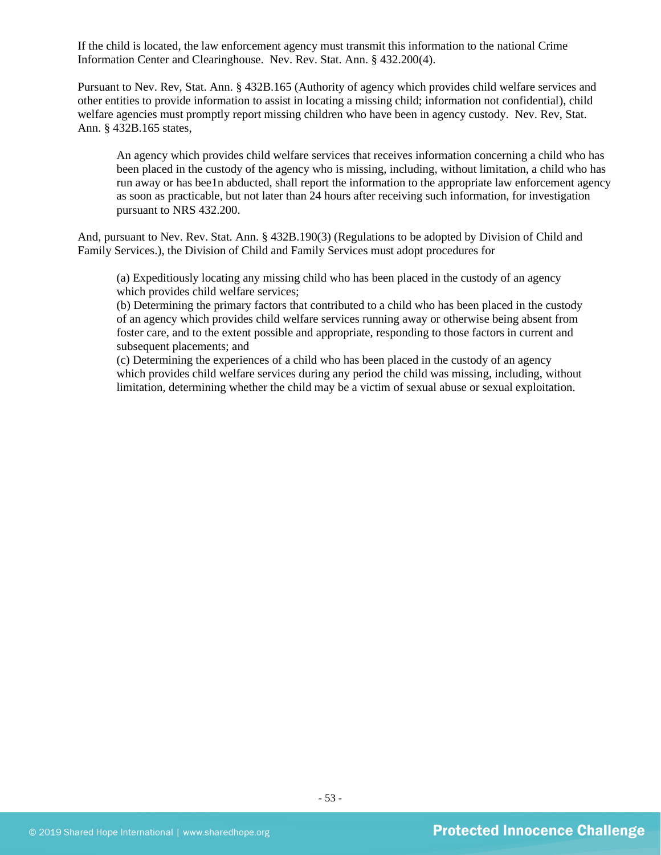If the child is located, the law enforcement agency must transmit this information to the national Crime Information Center and Clearinghouse. Nev. Rev. Stat. Ann. § 432.200(4).

Pursuant to Nev. Rev, Stat. Ann. § 432B.165 (Authority of agency which provides child welfare services and other entities to provide information to assist in locating a missing child; information not confidential), child welfare agencies must promptly report missing children who have been in agency custody. Nev. Rev, Stat. Ann. § 432B.165 states,

An agency which provides child welfare services that receives information concerning a child who has been placed in the custody of the agency who is missing, including, without limitation, a child who has run away or has bee1n abducted, shall report the information to the appropriate law enforcement agency as soon as practicable, but not later than 24 hours after receiving such information, for investigation pursuant to NRS [432.200.](http://www.leg.state.nv.us/NRS/NRS-432.html#NRS432Sec200)

And, pursuant to Nev. Rev. Stat. Ann. § 432B.190(3) (Regulations to be adopted by Division of Child and Family Services.), the Division of Child and Family Services must adopt procedures for

(a) Expeditiously locating any missing child who has been placed in the custody of an agency which provides child welfare services;

(b) Determining the primary factors that contributed to a child who has been placed in the custody of an agency which provides child welfare services running away or otherwise being absent from foster care, and to the extent possible and appropriate, responding to those factors in current and subsequent placements; and

(c) Determining the experiences of a child who has been placed in the custody of an agency which provides child welfare services during any period the child was missing, including, without limitation, determining whether the child may be a victim of sexual abuse or sexual exploitation.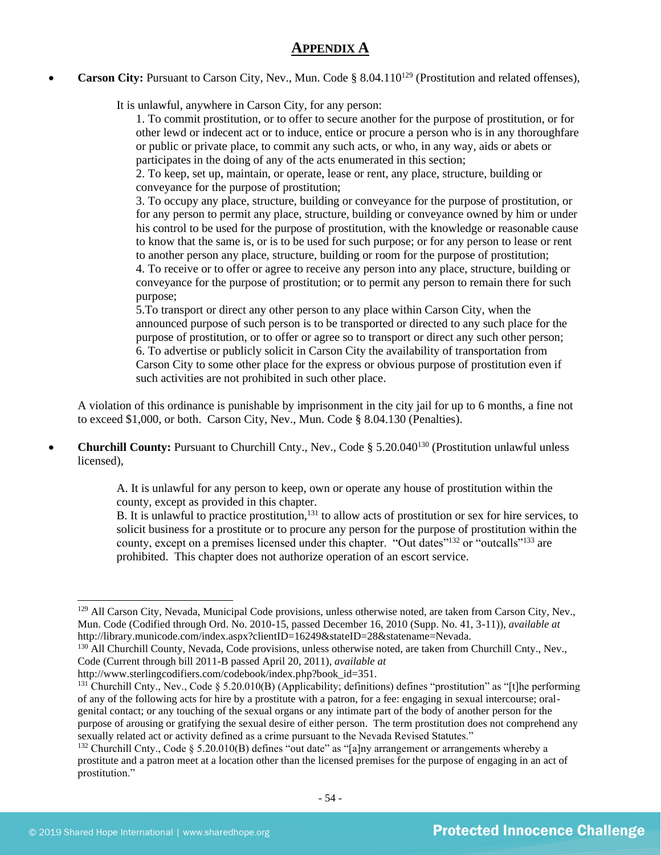## **APPENDIX A**

**Carson City:** Pursuant to Carson City, Nev., Mun. Code § 8.04.110<sup>129</sup> (Prostitution and related offenses),

It is unlawful, anywhere in Carson City, for any person:

1. To commit prostitution, or to offer to secure another for the purpose of prostitution, or for other lewd or indecent act or to induce, entice or procure a person who is in any thoroughfare or public or private place, to commit any such acts, or who, in any way, aids or abets or participates in the doing of any of the acts enumerated in this section;

2. To keep, set up, maintain, or operate, lease or rent, any place, structure, building or conveyance for the purpose of prostitution;

3. To occupy any place, structure, building or conveyance for the purpose of prostitution, or for any person to permit any place, structure, building or conveyance owned by him or under his control to be used for the purpose of prostitution, with the knowledge or reasonable cause to know that the same is, or is to be used for such purpose; or for any person to lease or rent to another person any place, structure, building or room for the purpose of prostitution;

4. To receive or to offer or agree to receive any person into any place, structure, building or conveyance for the purpose of prostitution; or to permit any person to remain there for such purpose;

5.To transport or direct any other person to any place within Carson City, when the announced purpose of such person is to be transported or directed to any such place for the purpose of prostitution, or to offer or agree so to transport or direct any such other person; 6. To advertise or publicly solicit in Carson City the availability of transportation from Carson City to some other place for the express or obvious purpose of prostitution even if such activities are not prohibited in such other place.

A violation of this ordinance is punishable by imprisonment in the city jail for up to 6 months, a fine not to exceed \$1,000, or both. Carson City, Nev., Mun. Code § 8.04.130 (Penalties).

• **Churchill County:** Pursuant to Churchill Cnty., Nev., Code § 5.20.040<sup>130</sup> (Prostitution unlawful unless licensed),

> A. It is unlawful for any person to keep, own or operate any house of prostitution within the county, except as provided in this chapter.

B. It is unlawful to practice prostitution,<sup>131</sup> to allow acts of prostitution or sex for hire services, to solicit business for a prostitute or to procure any person for the purpose of prostitution within the county, except on a premises licensed under this chapter. "Out dates"<sup>132</sup> or "outcalls"<sup>133</sup> are prohibited. This chapter does not authorize operation of an escort service.

<sup>&</sup>lt;sup>129</sup> All Carson City, Nevada, Municipal Code provisions, unless otherwise noted, are taken from Carson City, Nev., Mun. Code (Codified through Ord. No. 2010-15, passed December 16, 2010 (Supp. No. 41, 3-11)), *available at* http://library.municode.com/index.aspx?clientID=16249&stateID=28&statename=Nevada.

<sup>&</sup>lt;sup>130</sup> All Churchill County, Nevada, Code provisions, unless otherwise noted, are taken from Churchill Cnty., Nev., Code (Current through bill 2011-B passed April 20, 2011), *available at*

http://www.sterlingcodifiers.com/codebook/index.php?book\_id=351.

<sup>&</sup>lt;sup>131</sup> Churchill Cnty., Nev., Code § 5.20.010(B) (Applicability; definitions) defines "prostitution" as "[t]he performing of any of the following acts for hire by a prostitute with a patron, for a fee: engaging in sexual intercourse; oralgenital contact; or any touching of the sexual organs or any intimate part of the body of another person for the purpose of arousing or gratifying the sexual desire of either person. The term prostitution does not comprehend any sexually related act or activity defined as a crime pursuant to the Nevada Revised Statutes."

<sup>&</sup>lt;sup>132</sup> Churchill Cnty., Code § 5.20.010(B) defines "out date" as "[a]ny arrangement or arrangements whereby a prostitute and a patron meet at a location other than the licensed premises for the purpose of engaging in an act of prostitution."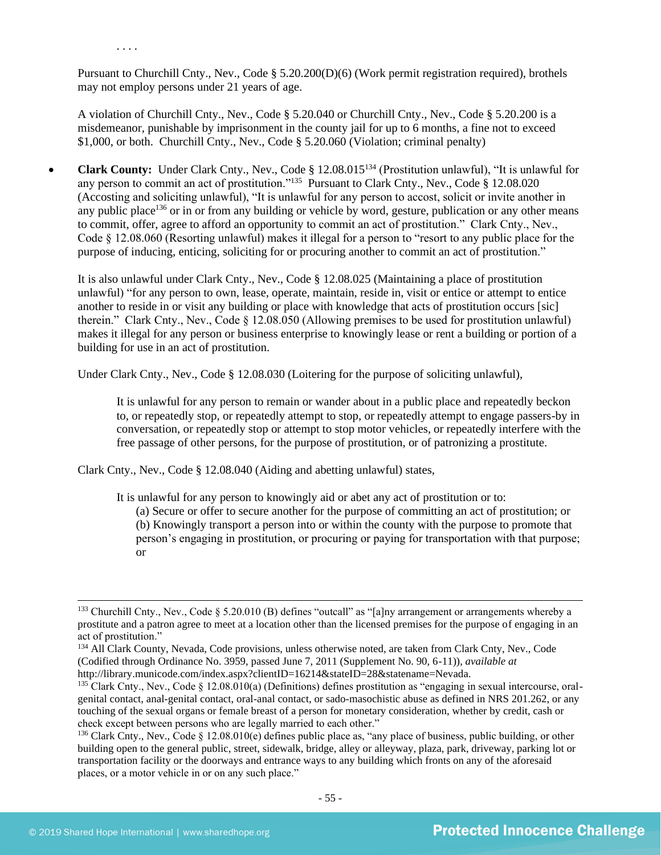Pursuant to Churchill Cnty., Nev., Code § 5.20.200(D)(6) (Work permit registration required), brothels may not employ persons under 21 years of age.

A violation of Churchill Cnty., Nev., Code § 5.20.040 or Churchill Cnty., Nev., Code § 5.20.200 is a misdemeanor, punishable by imprisonment in the county jail for up to 6 months, a fine not to exceed \$1,000, or both. Churchill Cnty., Nev., Code § 5.20.060 (Violation; criminal penalty)

• **Clark County:** Under Clark Cnty., Nev., Code § 12.08.015<sup>134</sup> (Prostitution unlawful), "It is unlawful for any person to commit an act of prostitution."<sup>135</sup> Pursuant to Clark Cnty., Nev., Code § 12.08.020 (Accosting and soliciting unlawful), "It is unlawful for any person to accost, solicit or invite another in any public place<sup>136</sup> or in or from any building or vehicle by word, gesture, publication or any other means to commit, offer, agree to afford an opportunity to commit an act of prostitution." Clark Cnty., Nev., Code § 12.08.060 (Resorting unlawful) makes it illegal for a person to "resort to any public place for the purpose of inducing, enticing, soliciting for or procuring another to commit an act of prostitution."

It is also unlawful under Clark Cnty., Nev., Code § 12.08.025 (Maintaining a place of prostitution unlawful) "for any person to own, lease, operate, maintain, reside in, visit or entice or attempt to entice another to reside in or visit any building or place with knowledge that acts of prostitution occurs [sic] therein." Clark Cnty., Nev., Code § 12.08.050 (Allowing premises to be used for prostitution unlawful) makes it illegal for any person or business enterprise to knowingly lease or rent a building or portion of a building for use in an act of prostitution.

Under Clark Cnty., Nev., Code § 12.08.030 (Loitering for the purpose of soliciting unlawful),

It is unlawful for any person to remain or wander about in a public place and repeatedly beckon to, or repeatedly stop, or repeatedly attempt to stop, or repeatedly attempt to engage passers-by in conversation, or repeatedly stop or attempt to stop motor vehicles, or repeatedly interfere with the free passage of other persons, for the purpose of prostitution, or of patronizing a prostitute.

Clark Cnty., Nev., Code § 12.08.040 (Aiding and abetting unlawful) states,

It is unlawful for any person to knowingly aid or abet any act of prostitution or to:

(a) Secure or offer to secure another for the purpose of committing an act of prostitution; or (b) Knowingly transport a person into or within the county with the purpose to promote that person's engaging in prostitution, or procuring or paying for transportation with that purpose; or

. . . .

<sup>&</sup>lt;sup>133</sup> Churchill Cnty., Nev., Code § 5.20.010 (B) defines "outcall" as "[a]ny arrangement or arrangements whereby a prostitute and a patron agree to meet at a location other than the licensed premises for the purpose of engaging in an act of prostitution."

<sup>&</sup>lt;sup>134</sup> All Clark County, Nevada, Code provisions, unless otherwise noted, are taken from Clark Cnty, Nev., Code (Codified through Ordinance No. 3959, passed June 7, 2011 (Supplement No. 90, 6-11)), *available at*  http://library.municode.com/index.aspx?clientID=16214&stateID=28&statename=Nevada.

 $135$  Clark Cnty., Nev., Code § 12.08.010(a) (Definitions) defines prostitution as "engaging in sexual intercourse, oralgenital contact, anal-genital contact, oral-anal contact, or sado-masochistic abuse as defined in NRS 201.262, or any touching of the sexual organs or female breast of a person for monetary consideration, whether by credit, cash or check except between persons who are legally married to each other."

<sup>&</sup>lt;sup>136</sup> Clark Cnty., Nev., Code § 12.08.010(e) defines public place as, "any place of business, public building, or other building open to the general public, street, sidewalk, bridge, alley or alleyway, plaza, park, driveway, parking lot or transportation facility or the doorways and entrance ways to any building which fronts on any of the aforesaid places, or a motor vehicle in or on any such place."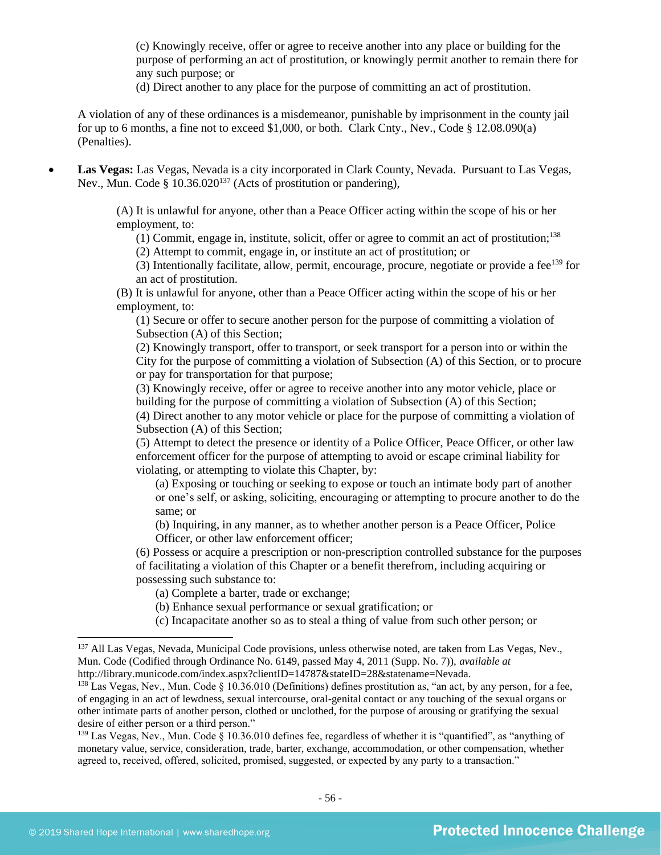(c) Knowingly receive, offer or agree to receive another into any place or building for the purpose of performing an act of prostitution, or knowingly permit another to remain there for any such purpose; or

(d) Direct another to any place for the purpose of committing an act of prostitution.

A violation of any of these ordinances is a misdemeanor, punishable by imprisonment in the county jail for up to 6 months, a fine not to exceed \$1,000, or both. Clark Cnty., Nev., Code § 12.08.090(a) (Penalties).

• **Las Vegas:** Las Vegas, Nevada is a city incorporated in Clark County, Nevada. Pursuant to Las Vegas, Nev., Mun. Code §  $10.36.020^{137}$  (Acts of prostitution or pandering),

> (A) It is unlawful for anyone, other than a Peace Officer acting within the scope of his or her employment, to:

(1) Commit, engage in, institute, solicit, offer or agree to commit an act of prostitution;<sup>138</sup>

(2) Attempt to commit, engage in, or institute an act of prostitution; or

(3) Intentionally facilitate, allow, permit, encourage, procure, negotiate or provide a fee $139$  for an act of prostitution.

(B) It is unlawful for anyone, other than a Peace Officer acting within the scope of his or her employment, to:

(1) Secure or offer to secure another person for the purpose of committing a violation of Subsection (A) of this Section;

(2) Knowingly transport, offer to transport, or seek transport for a person into or within the City for the purpose of committing a violation of Subsection (A) of this Section, or to procure or pay for transportation for that purpose;

(3) Knowingly receive, offer or agree to receive another into any motor vehicle, place or building for the purpose of committing a violation of Subsection (A) of this Section;

(4) Direct another to any motor vehicle or place for the purpose of committing a violation of Subsection (A) of this Section;

(5) Attempt to detect the presence or identity of a Police Officer, Peace Officer, or other law enforcement officer for the purpose of attempting to avoid or escape criminal liability for violating, or attempting to violate this Chapter, by:

(a) Exposing or touching or seeking to expose or touch an intimate body part of another or one's self, or asking, soliciting, encouraging or attempting to procure another to do the same; or

(b) Inquiring, in any manner, as to whether another person is a Peace Officer, Police Officer, or other law enforcement officer;

(6) Possess or acquire a prescription or non-prescription controlled substance for the purposes of facilitating a violation of this Chapter or a benefit therefrom, including acquiring or possessing such substance to:

(a) Complete a barter, trade or exchange;

(b) Enhance sexual performance or sexual gratification; or

(c) Incapacitate another so as to steal a thing of value from such other person; or

<sup>&</sup>lt;sup>137</sup> All Las Vegas, Nevada, Municipal Code provisions, unless otherwise noted, are taken from Las Vegas, Nev., Mun. Code (Codified through Ordinance No. 6149, passed May 4, 2011 (Supp. No. 7)), *available at*  http://library.municode.com/index.aspx?clientID=14787&stateID=28&statename=Nevada.

<sup>&</sup>lt;sup>138</sup> Las Vegas, Nev., Mun. Code  $\S$  10.36.010 (Definitions) defines prostitution as, "an act, by any person, for a fee, of engaging in an act of lewdness, sexual intercourse, oral-genital contact or any touching of the sexual organs or other intimate parts of another person, clothed or unclothed, for the purpose of arousing or gratifying the sexual desire of either person or a third person."

 $139$  Las Vegas, Nev., Mun. Code  $\S$  10.36.010 defines fee, regardless of whether it is "quantified", as "anything of monetary value, service, consideration, trade, barter, exchange, accommodation, or other compensation, whether agreed to, received, offered, solicited, promised, suggested, or expected by any party to a transaction."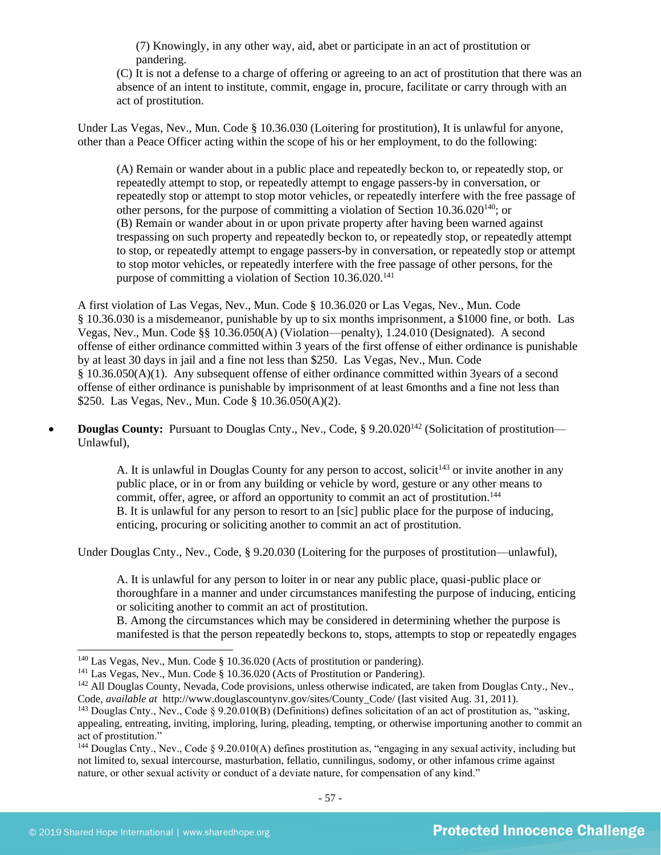(7) Knowingly, in any other way, aid, abet or participate in an act of prostitution or pandering.

(C) It is not a defense to a charge of offering or agreeing to an act of prostitution that there was an absence of an intent to institute, commit, engage in, procure, facilitate or carry through with an act of prostitution.

Under Las Vegas, Nev., Mun. Code § 10.36.030 (Loitering for prostitution), It is unlawful for anyone, other than a Peace Officer acting within the scope of his or her employment, to do the following:

(A) Remain or wander about in a public place and repeatedly beckon to, or repeatedly stop, or repeatedly attempt to stop, or repeatedly attempt to engage passers-by in conversation, or repeatedly stop or attempt to stop motor vehicles, or repeatedly interfere with the free passage of other persons, for the purpose of committing a violation of Section  $10.36.020^{140}$ ; or (B) Remain or wander about in or upon private property after having been warned against trespassing on such property and repeatedly beckon to, or repeatedly stop, or repeatedly attempt to stop, or repeatedly attempt to engage passers-by in conversation, or repeatedly stop or attempt to stop motor vehicles, or repeatedly interfere with the free passage of other persons, for the purpose of committing a violation of Section  $10.36.020$ <sup>141</sup>

A first violation of Las Vegas, Nev., Mun. Code § 10.36.020 or Las Vegas, Nev., Mun. Code § 10.36.030 is a misdemeanor, punishable by up to six months imprisonment, a \$1000 fine, or both. Las Vegas, Nev., Mun. Code §§ 10.36.050(A) (Violation—penalty), 1.24.010 (Designated). A second offense of either ordinance committed within 3 years of the first offense of either ordinance is punishable by at least 30 days in jail and a fine not less than \$250. Las Vegas, Nev., Mun. Code § 10.36.050(A)(1). Any subsequent offense of either ordinance committed within 3years of a second offense of either ordinance is punishable by imprisonment of at least 6months and a fine not less than \$250. Las Vegas, Nev., Mun. Code § 10.36.050(A)(2).

• **Douglas County:** Pursuant to Douglas Cnty., Nev., Code, § 9.20.020<sup>142</sup> (Solicitation of prostitution— Unlawful),

> A. It is unlawful in Douglas County for any person to accost, solicit<sup>143</sup> or invite another in any public place, or in or from any building or vehicle by word, gesture or any other means to commit, offer, agree, or afford an opportunity to commit an act of prostitution.<sup>144</sup> B. It is unlawful for any person to resort to an [sic] public place for the purpose of inducing, enticing, procuring or soliciting another to commit an act of prostitution.

Under Douglas Cnty., Nev., Code, § 9.20.030 (Loitering for the purposes of prostitution—unlawful),

A. It is unlawful for any person to loiter in or near any public place, quasi-public place or thoroughfare in a manner and under circumstances manifesting the purpose of inducing, enticing or soliciting another to commit an act of prostitution.

B. Among the circumstances which may be considered in determining whether the purpose is manifested is that the person repeatedly beckons to, stops, attempts to stop or repeatedly engages

<sup>140</sup> Las Vegas, Nev., Mun. Code § 10.36.020 (Acts of prostitution or pandering).

<sup>&</sup>lt;sup>141</sup> Las Vegas, Nev., Mun. Code § 10.36.020 (Acts of Prostitution or Pandering).

<sup>&</sup>lt;sup>142</sup> All Douglas County, Nevada, Code provisions, unless otherwise indicated, are taken from Douglas Cnty., Nev., Code, *available at* http://www.douglascountynv.gov/sites/County\_Code/ (last visited Aug. 31, 2011).

<sup>143</sup> Douglas Cnty., Nev., Code § 9.20.010(B) (Definitions) defines solicitation of an act of prostitution as, "asking, appealing, entreating, inviting, imploring, luring, pleading, tempting, or otherwise importuning another to commit an act of prostitution."

<sup>&</sup>lt;sup>144</sup> Douglas Cnty., Nev., Code § 9.20.010(A) defines prostitution as, "engaging in any sexual activity, including but not limited to, sexual intercourse, masturbation, fellatio, cunnilingus, sodomy, or other infamous crime against nature, or other sexual activity or conduct of a deviate nature, for compensation of any kind."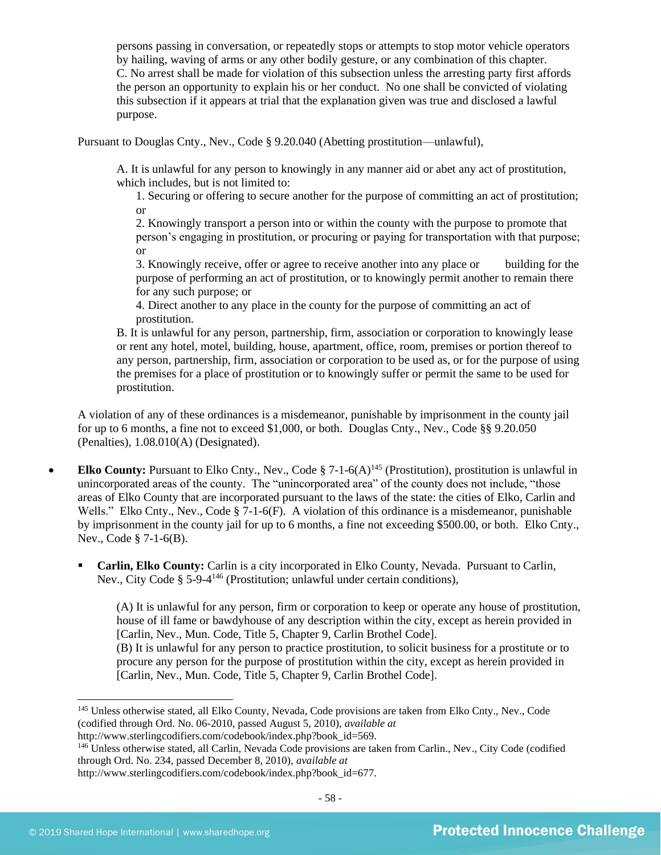persons passing in conversation, or repeatedly stops or attempts to stop motor vehicle operators by hailing, waving of arms or any other bodily gesture, or any combination of this chapter. C. No arrest shall be made for violation of this subsection unless the arresting party first affords the person an opportunity to explain his or her conduct. No one shall be convicted of violating this subsection if it appears at trial that the explanation given was true and disclosed a lawful purpose.

Pursuant to Douglas Cnty., Nev., Code § 9.20.040 (Abetting prostitution—unlawful),

A. It is unlawful for any person to knowingly in any manner aid or abet any act of prostitution, which includes, but is not limited to:

1. Securing or offering to secure another for the purpose of committing an act of prostitution; or

2. Knowingly transport a person into or within the county with the purpose to promote that person's engaging in prostitution, or procuring or paying for transportation with that purpose; or

3. Knowingly receive, offer or agree to receive another into any place or building for the purpose of performing an act of prostitution, or to knowingly permit another to remain there for any such purpose; or

4. Direct another to any place in the county for the purpose of committing an act of prostitution.

B. It is unlawful for any person, partnership, firm, association or corporation to knowingly lease or rent any hotel, motel, building, house, apartment, office, room, premises or portion thereof to any person, partnership, firm, association or corporation to be used as, or for the purpose of using the premises for a place of prostitution or to knowingly suffer or permit the same to be used for prostitution.

A violation of any of these ordinances is a misdemeanor, punishable by imprisonment in the county jail for up to 6 months, a fine not to exceed \$1,000, or both. Douglas Cnty., Nev., Code §§ 9.20.050 (Penalties), 1.08.010(A) (Designated).

- **Elko County:** Pursuant to Elko Cnty., Nev., Code § 7-1-6(A)<sup>145</sup> (Prostitution), prostitution is unlawful in unincorporated areas of the county. The "unincorporated area" of the county does not include, "those areas of Elko County that are incorporated pursuant to the laws of the state: the cities of Elko, Carlin and Wells." Elko Cnty., Nev., Code § 7-1-6(F). A violation of this ordinance is a misdemeanor, punishable by imprisonment in the county jail for up to 6 months, a fine not exceeding \$500.00, or both. Elko Cnty., Nev., Code § 7-1-6(B).
	- Carlin, Elko County: Carlin is a city incorporated in Elko County, Nevada. Pursuant to Carlin, Nev., City Code § 5-9-4<sup>146</sup> (Prostitution; unlawful under certain conditions),

(A) It is unlawful for any person, firm or corporation to keep or operate any house of prostitution, house of ill fame or bawdyhouse of any description within the city, except as herein provided in [Carlin, Nev., Mun. Code, Title 5, Chapter 9, Carlin Brothel Code]. (B) It is unlawful for any person to practice prostitution, to solicit business for a prostitute or to

procure any person for the purpose of prostitution within the city, except as herein provided in [Carlin, Nev., Mun. Code, Title 5, Chapter 9, Carlin Brothel Code].

<sup>145</sup> Unless otherwise stated, all Elko County, Nevada, Code provisions are taken from Elko Cnty., Nev., Code (codified through Ord. No. 06-2010, passed August 5, 2010), *available at* 

http://www.sterlingcodifiers.com/codebook/index.php?book\_id=569.

<sup>&</sup>lt;sup>146</sup> Unless otherwise stated, all Carlin, Nevada Code provisions are taken from Carlin., Nev., City Code (codified through Ord. No. 234, passed December 8, 2010), *available at*  http://www.sterlingcodifiers.com/codebook/index.php?book\_id=677.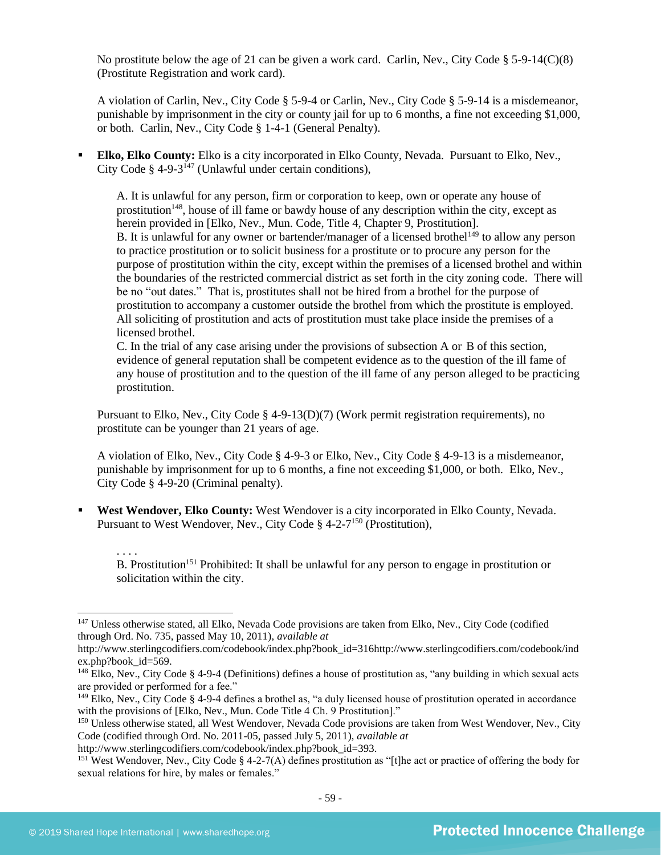No prostitute below the age of 21 can be given a work card. Carlin, Nev., City Code  $\S 5-9-14(C)(8)$ (Prostitute Registration and work card).

A violation of Carlin, Nev., City Code § 5-9-4 or Carlin, Nev., City Code § 5-9-14 is a misdemeanor, punishable by imprisonment in the city or county jail for up to 6 months, a fine not exceeding \$1,000, or both. Carlin, Nev., City Code § 1-4-1 (General Penalty).

Elko, Elko County: Elko is a city incorporated in Elko County, Nevada. Pursuant to Elko, Nev., City Code § 4-9-3<sup>147</sup> (Unlawful under certain conditions),

A. It is unlawful for any person, firm or corporation to keep, own or operate any house of prostitution<sup>148</sup>, house of ill fame or bawdy house of any description within the city, except as herein provided in [Elko, Nev., Mun. Code, Title 4, Chapter 9, Prostitution]. B. It is unlawful for any owner or bartender/manager of a licensed brothel<sup>149</sup> to allow any person to practice prostitution or to solicit business for a prostitute or to procure any person for the purpose of prostitution within the city, except within the premises of a licensed brothel and within the boundaries of the restricted commercial district as set forth in the city zoning code. There will be no "out dates." That is, prostitutes shall not be hired from a brothel for the purpose of prostitution to accompany a customer outside the brothel from which the prostitute is employed. All soliciting of prostitution and acts of prostitution must take place inside the premises of a licensed brothel.

C. In the trial of any case arising under the provisions of subsection A or B of this section, evidence of general reputation shall be competent evidence as to the question of the ill fame of any house of prostitution and to the question of the ill fame of any person alleged to be practicing prostitution.

Pursuant to Elko, Nev., City Code § 4-9-13(D)(7) (Work permit registration requirements), no prostitute can be younger than 21 years of age.

A violation of Elko, Nev., City Code § 4-9-3 or Elko, Nev., City Code § 4-9-13 is a misdemeanor, punishable by imprisonment for up to 6 months, a fine not exceeding \$1,000, or both. Elko, Nev., City Code § 4-9-20 (Criminal penalty).

West Wendover, Elko County: West Wendover is a city incorporated in Elko County, Nevada. Pursuant to West Wendover, Nev., City Code § 4-2-7<sup>150</sup> (Prostitution),

. . . . B. Prostitution<sup>151</sup> Prohibited: It shall be unlawful for any person to engage in prostitution or solicitation within the city.

<sup>&</sup>lt;sup>147</sup> Unless otherwise stated, all Elko, Nevada Code provisions are taken from Elko, Nev., City Code (codified through Ord. No. 735, passed May 10, 2011), *available at* 

http://www.sterlingcodifiers.com/codebook/index.php?book\_id=316http://www.sterlingcodifiers.com/codebook/ind ex.php?book\_id=569.

<sup>148</sup> Elko, Nev., City Code § 4-9-4 (Definitions) defines a house of prostitution as, "any building in which sexual acts are provided or performed for a fee."

 $149$  Elko, Nev., City Code § 4-9-4 defines a brothel as, "a duly licensed house of prostitution operated in accordance with the provisions of [Elko, Nev., Mun. Code Title 4 Ch. 9 Prostitution]."

<sup>&</sup>lt;sup>150</sup> Unless otherwise stated, all West Wendover, Nevada Code provisions are taken from West Wendover, Nev., City Code (codified through Ord. No. 2011-05, passed July 5, 2011), *available at* 

http://www.sterlingcodifiers.com/codebook/index.php?book\_id=393.

<sup>&</sup>lt;sup>151</sup> West Wendover, Nev., City Code § 4-2-7(A) defines prostitution as "[t]he act or practice of offering the body for sexual relations for hire, by males or females."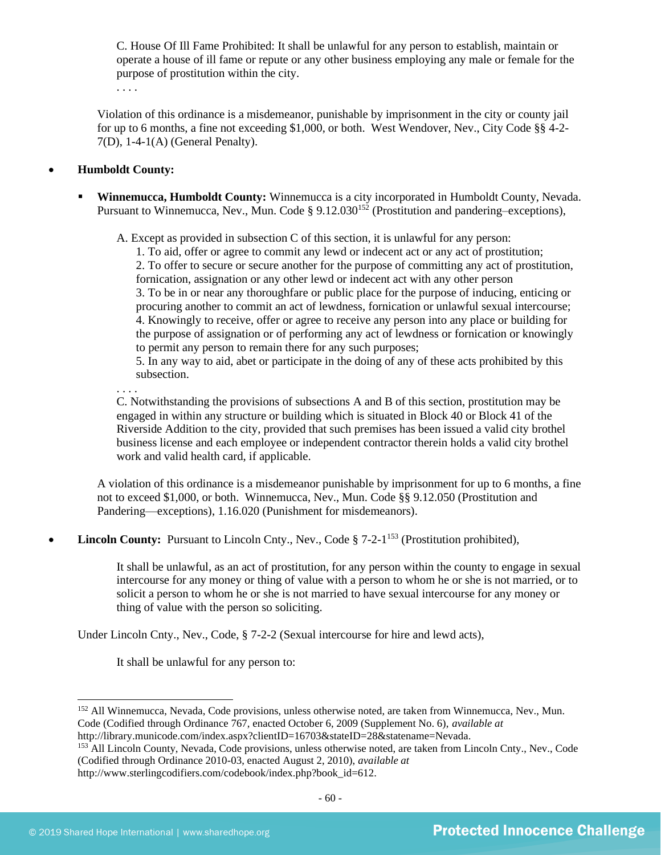C. House Of Ill Fame Prohibited: It shall be unlawful for any person to establish, maintain or operate a house of ill fame or repute or any other business employing any male or female for the purpose of prostitution within the city.

. . . .

Violation of this ordinance is a misdemeanor, punishable by imprisonment in the city or county jail for up to 6 months, a fine not exceeding \$1,000, or both. West Wendover, Nev., City Code §§ 4-2- 7(D), 1-4-1(A) (General Penalty).

#### • **Humboldt County:**

. . . .

Winnemucca, Humboldt County: Winnemucca is a city incorporated in Humboldt County, Nevada. Pursuant to Winnemucca, Nev., Mun. Code § 9.12.030<sup>152</sup> (Prostitution and pandering–exceptions),

A. Except as provided in subsection C of this section, it is unlawful for any person:

1. To aid, offer or agree to commit any lewd or indecent act or any act of prostitution; 2. To offer to secure or secure another for the purpose of committing any act of prostitution, fornication, assignation or any other lewd or indecent act with any other person 3. To be in or near any thoroughfare or public place for the purpose of inducing, enticing or procuring another to commit an act of lewdness, fornication or unlawful sexual intercourse; 4. Knowingly to receive, offer or agree to receive any person into any place or building for the purpose of assignation or of performing any act of lewdness or fornication or knowingly to permit any person to remain there for any such purposes;

5. In any way to aid, abet or participate in the doing of any of these acts prohibited by this subsection.

C. Notwithstanding the provisions of subsections A and B of this section, prostitution may be engaged in within any structure or building which is situated in Block 40 or Block 41 of the Riverside Addition to the city, provided that such premises has been issued a valid city brothel business license and each employee or independent contractor therein holds a valid city brothel work and valid health card, if applicable.

A violation of this ordinance is a misdemeanor punishable by imprisonment for up to 6 months, a fine not to exceed \$1,000, or both. Winnemucca, Nev., Mun. Code §§ 9.12.050 (Prostitution and Pandering—exceptions), 1.16.020 (Punishment for misdemeanors).

• **Lincoln County:** Pursuant to Lincoln Cnty., Nev., Code § 7-2-1<sup>153</sup> (Prostitution prohibited),

It shall be unlawful, as an act of prostitution, for any person within the county to engage in sexual intercourse for any money or thing of value with a person to whom he or she is not married, or to solicit a person to whom he or she is not married to have sexual intercourse for any money or thing of value with the person so soliciting.

Under Lincoln Cnty., Nev., Code, § 7-2-2 (Sexual intercourse for hire and lewd acts),

It shall be unlawful for any person to:

<sup>152</sup> All Winnemucca, Nevada, Code provisions, unless otherwise noted, are taken from Winnemucca, Nev., Mun. Code (Codified through Ordinance 767, enacted October 6, 2009 (Supplement No. 6), *available at* 

http://library.municode.com/index.aspx?clientID=16703&stateID=28&statename=Nevada.

<sup>&</sup>lt;sup>153</sup> All Lincoln County, Nevada, Code provisions, unless otherwise noted, are taken from Lincoln Cnty., Nev., Code (Codified through Ordinance 2010-03, enacted August 2, 2010), *available at*  http://www.sterlingcodifiers.com/codebook/index.php?book\_id=612.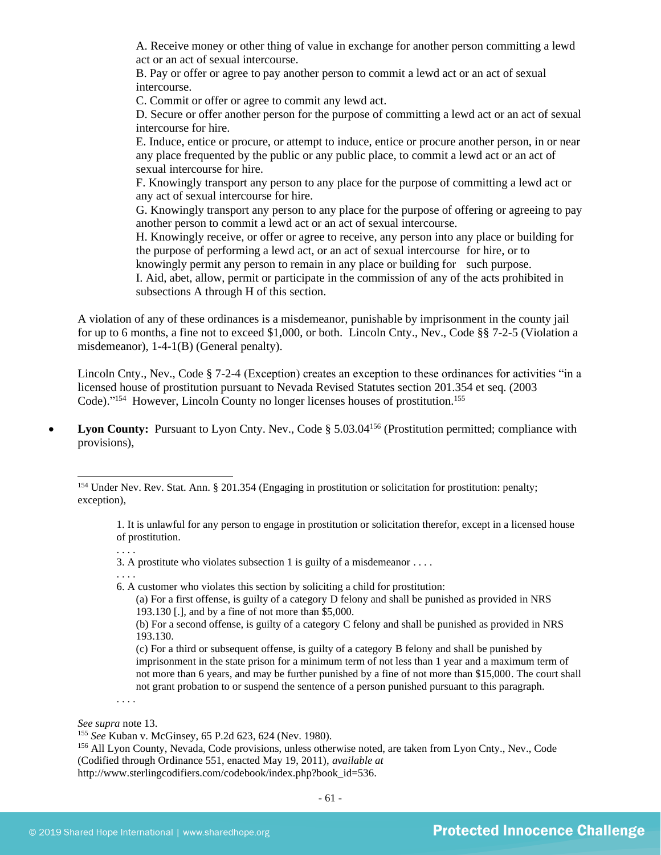A. Receive money or other thing of value in exchange for another person committing a lewd act or an act of sexual intercourse.

B. Pay or offer or agree to pay another person to commit a lewd act or an act of sexual intercourse.

C. Commit or offer or agree to commit any lewd act.

D. Secure or offer another person for the purpose of committing a lewd act or an act of sexual intercourse for hire.

E. Induce, entice or procure, or attempt to induce, entice or procure another person, in or near any place frequented by the public or any public place, to commit a lewd act or an act of sexual intercourse for hire.

F. Knowingly transport any person to any place for the purpose of committing a lewd act or any act of sexual intercourse for hire.

G. Knowingly transport any person to any place for the purpose of offering or agreeing to pay another person to commit a lewd act or an act of sexual intercourse.

H. Knowingly receive, or offer or agree to receive, any person into any place or building for the purpose of performing a lewd act, or an act of sexual intercourse for hire, or to knowingly permit any person to remain in any place or building for such purpose. I. Aid, abet, allow, permit or participate in the commission of any of the acts prohibited in subsections A through H of this section.

A violation of any of these ordinances is a misdemeanor, punishable by imprisonment in the county jail for up to 6 months, a fine not to exceed \$1,000, or both. Lincoln Cnty., Nev., Code §§ 7-2-5 (Violation a misdemeanor), 1-4-1(B) (General penalty).

Lincoln Cnty., Nev., Code § 7-2-4 (Exception) creates an exception to these ordinances for activities "in a licensed house of prostitution pursuant to Nevada Revised Statutes section 201.354 et seq. (2003 Code)."<sup>154</sup> However, Lincoln County no longer licenses houses of prostitution.<sup>155</sup>

• Lyon County: Pursuant to Lyon Cnty. Nev., Code § 5.03.04<sup>156</sup> (Prostitution permitted; compliance with provisions),

<sup>154</sup> Under Nev. Rev. Stat. Ann. § 201.354 (Engaging in prostitution or solicitation for prostitution: penalty; exception),

1. It is unlawful for any person to engage in prostitution or solicitation therefor, except in a licensed house of prostitution.

3. A prostitute who violates subsection 1 is guilty of a misdemeanor . . . .

. . . .

6. A customer who violates this section by soliciting a child for prostitution:

(a) For a first offense, is guilty of a category D felony and shall be punished as provided in NRS 193.130 [.], and by a fine of not more than \$5,000.

(b) For a second offense, is guilty of a category C felony and shall be punished as provided in NRS 193.130.

(c) For a third or subsequent offense, is guilty of a category B felony and shall be punished by imprisonment in the state prison for a minimum term of not less than 1 year and a maximum term of not more than 6 years, and may be further punished by a fine of not more than \$15,000. The court shall not grant probation to or suspend the sentence of a person punished pursuant to this paragraph.

. . . .

*See supra* not[e 13.](#page-3-0)

<sup>155</sup> *See* Kuban v. McGinsey, 65 P.2d 623, 624 (Nev. 1980).

<sup>156</sup> All Lyon County, Nevada, Code provisions, unless otherwise noted, are taken from Lyon Cnty., Nev., Code (Codified through Ordinance 551, enacted May 19, 2011), *available at*  http://www.sterlingcodifiers.com/codebook/index.php?book\_id=536.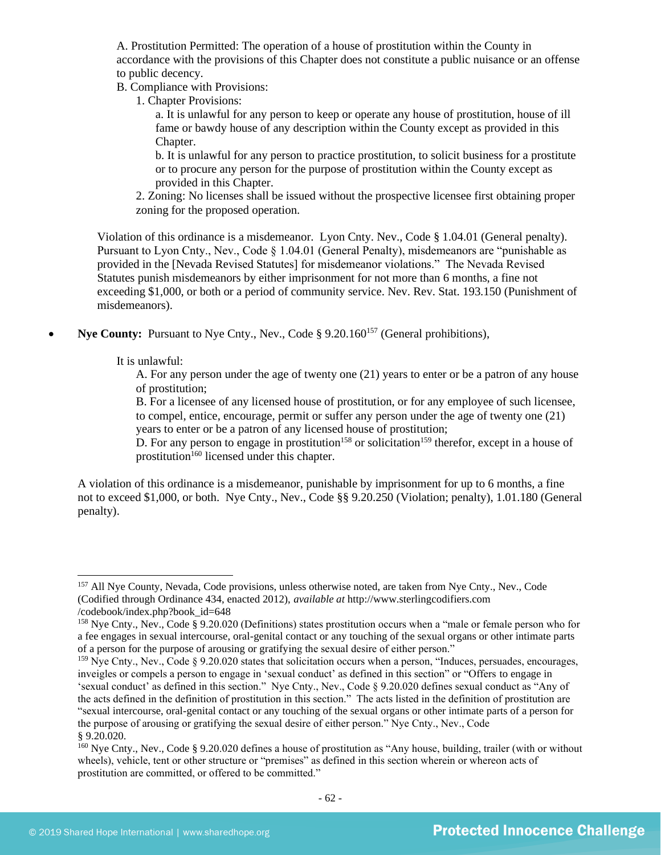A. Prostitution Permitted: The operation of a house of prostitution within the County in accordance with the provisions of this Chapter does not constitute a public nuisance or an offense to public decency.

B. Compliance with Provisions:

1. Chapter Provisions:

a. It is unlawful for any person to keep or operate any house of prostitution, house of ill fame or bawdy house of any description within the County except as provided in this Chapter.

b. It is unlawful for any person to practice prostitution, to solicit business for a prostitute or to procure any person for the purpose of prostitution within the County except as provided in this Chapter.

2. Zoning: No licenses shall be issued without the prospective licensee first obtaining proper zoning for the proposed operation.

Violation of this ordinance is a misdemeanor. Lyon Cnty. Nev., Code § 1.04.01 (General penalty). Pursuant to Lyon Cnty., Nev., Code § 1.04.01 (General Penalty), misdemeanors are "punishable as provided in the [Nevada Revised Statutes] for misdemeanor violations." The Nevada Revised Statutes punish misdemeanors by either imprisonment for not more than 6 months, a fine not exceeding \$1,000, or both or a period of community service. Nev. Rev. Stat. 193.150 (Punishment of misdemeanors).

**Nye County:** Pursuant to Nye Cnty., Nev., Code § 9.20.160<sup>157</sup> (General prohibitions),

It is unlawful:

A. For any person under the age of twenty one (21) years to enter or be a patron of any house of prostitution;

B. For a licensee of any licensed house of prostitution, or for any employee of such licensee, to compel, entice, encourage, permit or suffer any person under the age of twenty one (21) years to enter or be a patron of any licensed house of prostitution;

D. For any person to engage in prostitution<sup>158</sup> or solicitation<sup>159</sup> therefor, except in a house of prostitution<sup>160</sup> licensed under this chapter.

A violation of this ordinance is a misdemeanor, punishable by imprisonment for up to 6 months, a fine not to exceed \$1,000, or both. Nye Cnty., Nev., Code §§ 9.20.250 (Violation; penalty), 1.01.180 (General penalty).

<sup>157</sup> All Nye County, Nevada, Code provisions, unless otherwise noted, are taken from Nye Cnty., Nev., Code (Codified through Ordinance 434, enacted 2012), *available at* http://www.sterlingcodifiers.com /codebook/index.php?book\_id=648

<sup>158</sup> Nye Cnty., Nev., Code § 9.20.020 (Definitions) states prostitution occurs when a "male or female person who for a fee engages in sexual intercourse, oral-genital contact or any touching of the sexual organs or other intimate parts of a person for the purpose of arousing or gratifying the sexual desire of either person."

<sup>&</sup>lt;sup>159</sup> Nye Cnty., Nev., Code § 9.20.020 states that solicitation occurs when a person, "Induces, persuades, encourages, inveigles or compels a person to engage in 'sexual conduct' as defined in this section" or "Offers to engage in 'sexual conduct' as defined in this section." Nye Cnty., Nev., Code § 9.20.020 defines sexual conduct as "Any of the acts defined in the definition of prostitution in this section." The acts listed in the definition of prostitution are "sexual intercourse, oral-genital contact or any touching of the sexual organs or other intimate parts of a person for the purpose of arousing or gratifying the sexual desire of either person." Nye Cnty., Nev., Code § 9.20.020.

<sup>&</sup>lt;sup>160</sup> Nye Cnty., Nev., Code § 9.20.020 defines a house of prostitution as "Any house, building, trailer (with or without wheels), vehicle, tent or other structure or "premises" as defined in this section wherein or whereon acts of prostitution are committed, or offered to be committed."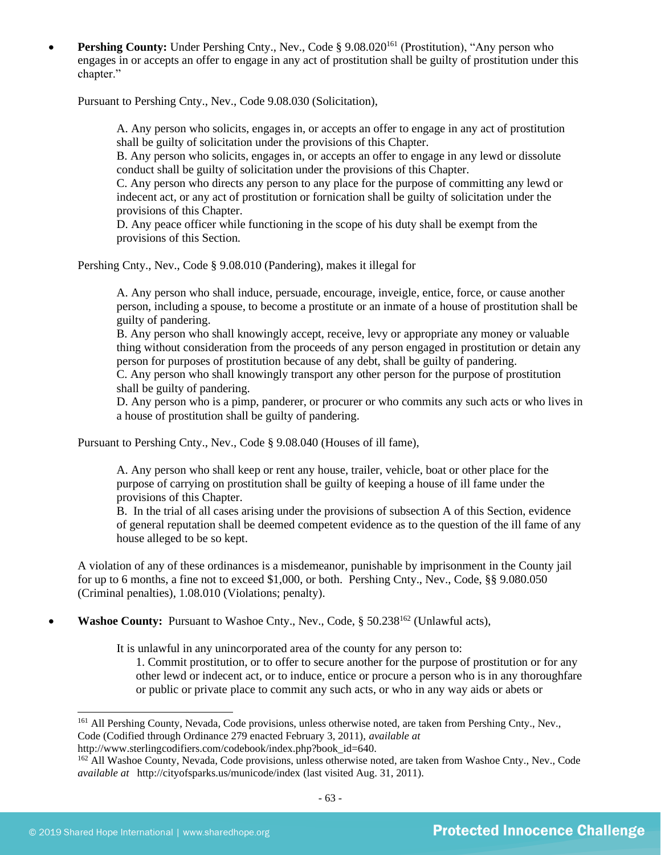**Pershing County:** Under Pershing Cnty., Nev., Code § 9.08.020<sup>161</sup> (Prostitution), "Any person who engages in or accepts an offer to engage in any act of prostitution shall be guilty of prostitution under this chapter."

Pursuant to Pershing Cnty., Nev., Code 9.08.030 (Solicitation),

A. Any person who solicits, engages in, or accepts an offer to engage in any act of prostitution shall be guilty of solicitation under the provisions of this Chapter.

B. Any person who solicits, engages in, or accepts an offer to engage in any lewd or dissolute conduct shall be guilty of solicitation under the provisions of this Chapter.

C. Any person who directs any person to any place for the purpose of committing any lewd or indecent act, or any act of prostitution or fornication shall be guilty of solicitation under the provisions of this Chapter.

D. Any peace officer while functioning in the scope of his duty shall be exempt from the provisions of this Section.

Pershing Cnty., Nev., Code § 9.08.010 (Pandering), makes it illegal for

A. Any person who shall induce, persuade, encourage, inveigle, entice, force, or cause another person, including a spouse, to become a prostitute or an inmate of a house of prostitution shall be guilty of pandering.

B. Any person who shall knowingly accept, receive, levy or appropriate any money or valuable thing without consideration from the proceeds of any person engaged in prostitution or detain any person for purposes of prostitution because of any debt, shall be guilty of pandering.

C. Any person who shall knowingly transport any other person for the purpose of prostitution shall be guilty of pandering.

D. Any person who is a pimp, panderer, or procurer or who commits any such acts or who lives in a house of prostitution shall be guilty of pandering.

Pursuant to Pershing Cnty., Nev., Code § 9.08.040 (Houses of ill fame),

A. Any person who shall keep or rent any house, trailer, vehicle, boat or other place for the purpose of carrying on prostitution shall be guilty of keeping a house of ill fame under the provisions of this Chapter.

B. In the trial of all cases arising under the provisions of subsection A of this Section, evidence of general reputation shall be deemed competent evidence as to the question of the ill fame of any house alleged to be so kept.

A violation of any of these ordinances is a misdemeanor, punishable by imprisonment in the County jail for up to 6 months, a fine not to exceed \$1,000, or both. Pershing Cnty., Nev., Code, §§ 9.080.050 (Criminal penalties), 1.08.010 (Violations; penalty).

**Washoe County:** Pursuant to Washoe Cnty., Nev., Code, § 50.238<sup>162</sup> (Unlawful acts),

It is unlawful in any unincorporated area of the county for any person to:

1. Commit prostitution, or to offer to secure another for the purpose of prostitution or for any other lewd or indecent act, or to induce, entice or procure a person who is in any thoroughfare or public or private place to commit any such acts, or who in any way aids or abets or

<sup>&</sup>lt;sup>161</sup> All Pershing County, Nevada, Code provisions, unless otherwise noted, are taken from Pershing Cnty., Nev., Code (Codified through Ordinance 279 enacted February 3, 2011), *available at*

http://www.sterlingcodifiers.com/codebook/index.php?book\_id=640.

<sup>&</sup>lt;sup>162</sup> All Washoe County, Nevada, Code provisions, unless otherwise noted, are taken from Washoe Cnty., Nev., Code *available at* http://cityofsparks.us/municode/index (last visited Aug. 31, 2011).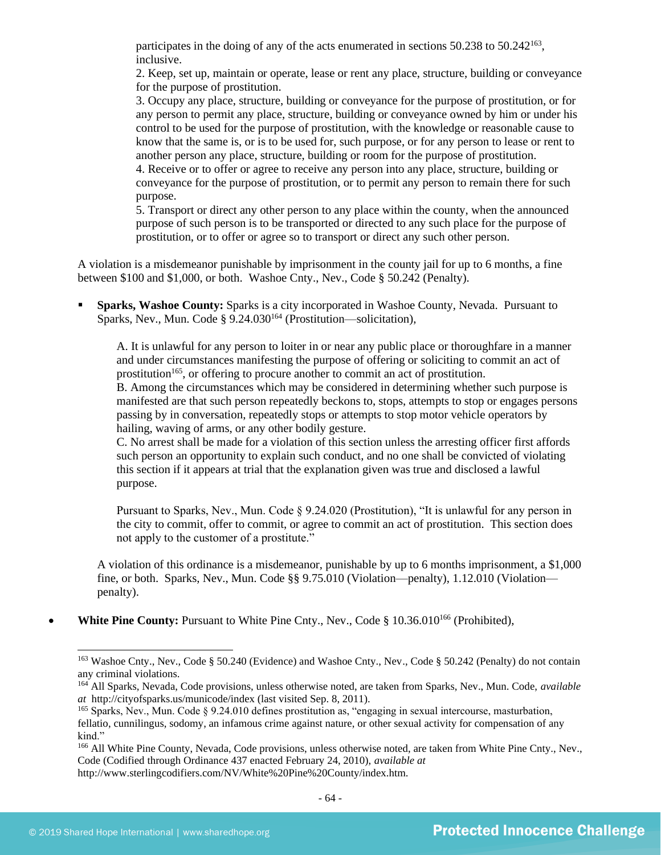participates in the doing of any of the acts enumerated in sections 50.238 to 50.242<sup>163</sup>, inclusive.

2. Keep, set up, maintain or operate, lease or rent any place, structure, building or conveyance for the purpose of prostitution.

3. Occupy any place, structure, building or conveyance for the purpose of prostitution, or for any person to permit any place, structure, building or conveyance owned by him or under his control to be used for the purpose of prostitution, with the knowledge or reasonable cause to know that the same is, or is to be used for, such purpose, or for any person to lease or rent to another person any place, structure, building or room for the purpose of prostitution.

4. Receive or to offer or agree to receive any person into any place, structure, building or conveyance for the purpose of prostitution, or to permit any person to remain there for such purpose.

5. Transport or direct any other person to any place within the county, when the announced purpose of such person is to be transported or directed to any such place for the purpose of prostitution, or to offer or agree so to transport or direct any such other person.

A violation is a misdemeanor punishable by imprisonment in the county jail for up to 6 months, a fine between \$100 and \$1,000, or both. Washoe Cnty., Nev., Code § 50.242 (Penalty).

**Sparks, Washoe County:** Sparks is a city incorporated in Washoe County, Nevada. Pursuant to Sparks, Nev., Mun. Code § 9.24.030<sup>164</sup> (Prostitution—solicitation).

A. It is unlawful for any person to loiter in or near any public place or thoroughfare in a manner and under circumstances manifesting the purpose of offering or soliciting to commit an act of prostitution<sup>165</sup>, or offering to procure another to commit an act of prostitution.

B. Among the circumstances which may be considered in determining whether such purpose is manifested are that such person repeatedly beckons to, stops, attempts to stop or engages persons passing by in conversation, repeatedly stops or attempts to stop motor vehicle operators by hailing, waving of arms, or any other bodily gesture.

C. No arrest shall be made for a violation of this section unless the arresting officer first affords such person an opportunity to explain such conduct, and no one shall be convicted of violating this section if it appears at trial that the explanation given was true and disclosed a lawful purpose.

Pursuant to Sparks, Nev., Mun. Code § 9.24.020 (Prostitution), "It is unlawful for any person in the city to commit, offer to commit, or agree to commit an act of prostitution. This section does not apply to the customer of a prostitute."

A violation of this ordinance is a misdemeanor, punishable by up to 6 months imprisonment, a \$1,000 fine, or both. Sparks, Nev., Mun. Code §§ 9.75.010 (Violation—penalty), 1.12.010 (Violation penalty).

**White Pine County:** Pursuant to White Pine Cnty., Nev., Code § 10.36.010<sup>166</sup> (Prohibited),

<sup>163</sup> Washoe Cnty., Nev., Code § 50.240 (Evidence) and Washoe Cnty., Nev., Code § 50.242 (Penalty) do not contain any criminal violations.

<sup>164</sup> All Sparks, Nevada, Code provisions, unless otherwise noted, are taken from Sparks, Nev., Mun. Code, *available at* http://cityofsparks.us/municode/index (last visited Sep. 8, 2011).

<sup>165</sup> Sparks, Nev., Mun. Code § 9.24.010 defines prostitution as, "engaging in sexual intercourse, masturbation, fellatio, cunnilingus, sodomy, an infamous crime against nature, or other sexual activity for compensation of any kind."

<sup>&</sup>lt;sup>166</sup> All White Pine County, Nevada, Code provisions, unless otherwise noted, are taken from White Pine Cnty., Nev., Code (Codified through Ordinance 437 enacted February 24, 2010), *available at* http://www.sterlingcodifiers.com/NV/White%20Pine%20County/index.htm.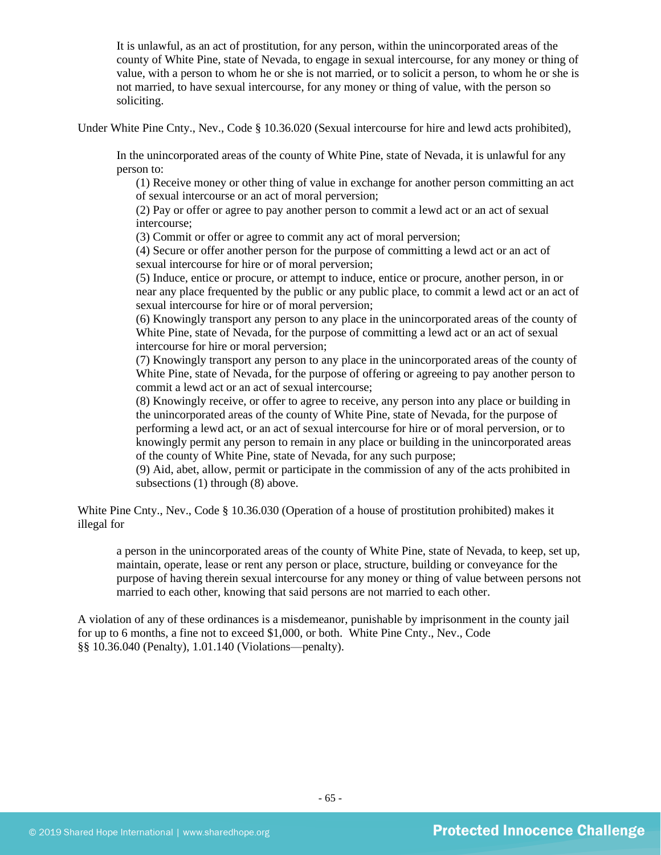It is unlawful, as an act of prostitution, for any person, within the unincorporated areas of the county of White Pine, state of Nevada, to engage in sexual intercourse, for any money or thing of value, with a person to whom he or she is not married, or to solicit a person, to whom he or she is not married, to have sexual intercourse, for any money or thing of value, with the person so soliciting.

Under White Pine Cnty., Nev., Code § 10.36.020 (Sexual intercourse for hire and lewd acts prohibited),

In the unincorporated areas of the county of White Pine, state of Nevada, it is unlawful for any person to:

(1) Receive money or other thing of value in exchange for another person committing an act of sexual intercourse or an act of moral perversion;

(2) Pay or offer or agree to pay another person to commit a lewd act or an act of sexual intercourse;

(3) Commit or offer or agree to commit any act of moral perversion;

(4) Secure or offer another person for the purpose of committing a lewd act or an act of sexual intercourse for hire or of moral perversion;

(5) Induce, entice or procure, or attempt to induce, entice or procure, another person, in or near any place frequented by the public or any public place, to commit a lewd act or an act of sexual intercourse for hire or of moral perversion;

(6) Knowingly transport any person to any place in the unincorporated areas of the county of White Pine, state of Nevada, for the purpose of committing a lewd act or an act of sexual intercourse for hire or moral perversion;

(7) Knowingly transport any person to any place in the unincorporated areas of the county of White Pine, state of Nevada, for the purpose of offering or agreeing to pay another person to commit a lewd act or an act of sexual intercourse;

(8) Knowingly receive, or offer to agree to receive, any person into any place or building in the unincorporated areas of the county of White Pine, state of Nevada, for the purpose of performing a lewd act, or an act of sexual intercourse for hire or of moral perversion, or to knowingly permit any person to remain in any place or building in the unincorporated areas of the county of White Pine, state of Nevada, for any such purpose;

(9) Aid, abet, allow, permit or participate in the commission of any of the acts prohibited in subsections (1) through (8) above.

White Pine Cnty., Nev., Code § 10.36.030 (Operation of a house of prostitution prohibited) makes it illegal for

a person in the unincorporated areas of the county of White Pine, state of Nevada, to keep, set up, maintain, operate, lease or rent any person or place, structure, building or conveyance for the purpose of having therein sexual intercourse for any money or thing of value between persons not married to each other, knowing that said persons are not married to each other.

A violation of any of these ordinances is a misdemeanor, punishable by imprisonment in the county jail for up to 6 months, a fine not to exceed \$1,000, or both. White Pine Cnty., Nev., Code §§ 10.36.040 (Penalty), 1.01.140 (Violations—penalty).